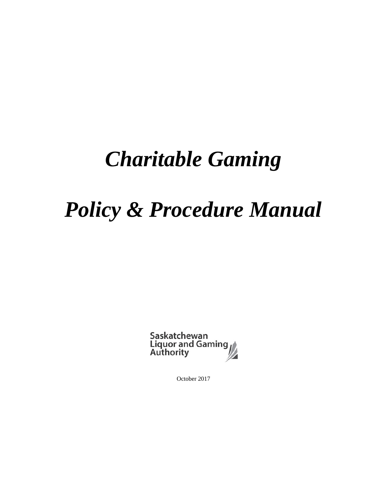# *Charitable Gaming*

# *Policy & Procedure Manual*

Saskatchewan<br>Liquor and Gaming<br>Authority

October 2017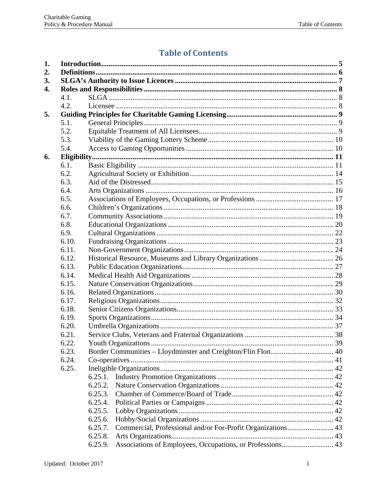# **Table of Contents**

| 1. |       |                                                                        |  |  |  |
|----|-------|------------------------------------------------------------------------|--|--|--|
| 2. |       |                                                                        |  |  |  |
| 3. |       |                                                                        |  |  |  |
| 4. |       |                                                                        |  |  |  |
|    | 4.1.  |                                                                        |  |  |  |
|    | 4.2.  |                                                                        |  |  |  |
| 5. |       |                                                                        |  |  |  |
|    | 5.1.  |                                                                        |  |  |  |
|    | 5.2.  |                                                                        |  |  |  |
|    | 5.3.  |                                                                        |  |  |  |
|    | 5.4.  |                                                                        |  |  |  |
| 6. |       |                                                                        |  |  |  |
|    | 6.1.  |                                                                        |  |  |  |
|    | 6.2.  |                                                                        |  |  |  |
|    | 6.3.  |                                                                        |  |  |  |
|    | 6.4.  |                                                                        |  |  |  |
|    | 6.5.  |                                                                        |  |  |  |
|    | 6.6.  |                                                                        |  |  |  |
|    | 6.7.  |                                                                        |  |  |  |
|    | 6.8.  |                                                                        |  |  |  |
|    | 6.9.  |                                                                        |  |  |  |
|    | 6.10. |                                                                        |  |  |  |
|    | 6.11. |                                                                        |  |  |  |
|    | 6.12. |                                                                        |  |  |  |
|    | 6.13. |                                                                        |  |  |  |
|    | 6.14. |                                                                        |  |  |  |
|    | 6.15. |                                                                        |  |  |  |
|    | 6.16. |                                                                        |  |  |  |
|    | 6.17. |                                                                        |  |  |  |
|    | 6.18. |                                                                        |  |  |  |
|    | 6.19. |                                                                        |  |  |  |
|    | 6.20. |                                                                        |  |  |  |
|    | 6.21. |                                                                        |  |  |  |
|    | 6.22. |                                                                        |  |  |  |
|    | 6.23. |                                                                        |  |  |  |
|    | 6.24. |                                                                        |  |  |  |
|    | 6.25. |                                                                        |  |  |  |
|    |       | 6.25.1.                                                                |  |  |  |
|    |       | 6.25.2.                                                                |  |  |  |
|    |       | 6.25.3.                                                                |  |  |  |
|    |       | 6.25.4.                                                                |  |  |  |
|    |       | 6.25.5.                                                                |  |  |  |
|    |       | 6.25.6.                                                                |  |  |  |
|    |       | Commercial, Professional and/or For-Profit Organizations 43<br>6.25.7. |  |  |  |
|    |       | 6.25.8.                                                                |  |  |  |
|    |       | Associations of Employees, Occupations, or Professions 43<br>6.25.9.   |  |  |  |
|    |       |                                                                        |  |  |  |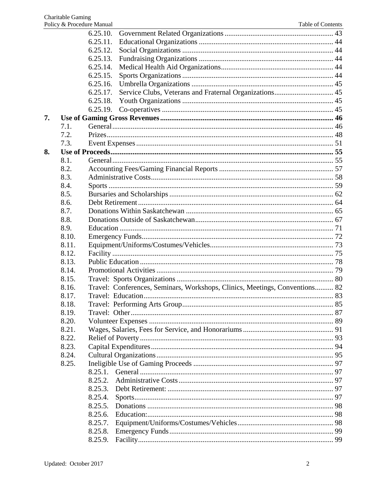|    |       | 6.25.10. |                                                                             |  |
|----|-------|----------|-----------------------------------------------------------------------------|--|
|    |       | 6.25.11. |                                                                             |  |
|    |       | 6.25.12. |                                                                             |  |
|    |       | 6.25.13. |                                                                             |  |
|    |       | 6.25.14. |                                                                             |  |
|    |       | 6.25.15. |                                                                             |  |
|    |       | 6.25.16. |                                                                             |  |
|    |       | 6.25.17. | Service Clubs, Veterans and Fraternal Organizations 45                      |  |
|    |       | 6.25.18. |                                                                             |  |
|    |       | 6.25.19. |                                                                             |  |
| 7. |       |          |                                                                             |  |
|    | 7.1.  |          |                                                                             |  |
|    | 7.2.  |          |                                                                             |  |
|    | 7.3.  |          |                                                                             |  |
| 8. |       |          |                                                                             |  |
|    | 8.1.  |          |                                                                             |  |
|    | 8.2.  |          |                                                                             |  |
|    | 8.3.  |          |                                                                             |  |
|    | 8.4.  |          |                                                                             |  |
|    | 8.5.  |          |                                                                             |  |
|    | 8.6.  |          |                                                                             |  |
|    | 8.7.  |          |                                                                             |  |
|    | 8.8.  |          |                                                                             |  |
|    | 8.9.  |          |                                                                             |  |
|    | 8.10. |          |                                                                             |  |
|    | 8.11. |          |                                                                             |  |
|    | 8.12. |          |                                                                             |  |
|    | 8.13. |          |                                                                             |  |
|    | 8.14. |          |                                                                             |  |
|    | 8.15. |          |                                                                             |  |
|    | 8.16. |          | Travel: Conferences, Seminars, Workshops, Clinics, Meetings, Conventions 82 |  |
|    | 8.17. |          |                                                                             |  |
|    | 8.18. |          |                                                                             |  |
|    | 8.19. |          |                                                                             |  |
|    | 8.20. |          |                                                                             |  |
|    | 8.21. |          |                                                                             |  |
|    | 8.22. |          |                                                                             |  |
|    | 8.23. |          |                                                                             |  |
|    | 8.24. |          |                                                                             |  |
|    | 8.25. |          |                                                                             |  |
|    |       | 8.25.1.  |                                                                             |  |
|    |       | 8.25.2.  |                                                                             |  |
|    |       | 8.25.3.  |                                                                             |  |
|    |       | 8.25.4.  |                                                                             |  |
|    |       | 8.25.5.  |                                                                             |  |
|    |       | 8.25.6.  |                                                                             |  |
|    |       | 8.25.7.  |                                                                             |  |
|    |       | 8.25.8.  |                                                                             |  |
|    |       | 8.25.9.  |                                                                             |  |
|    |       |          |                                                                             |  |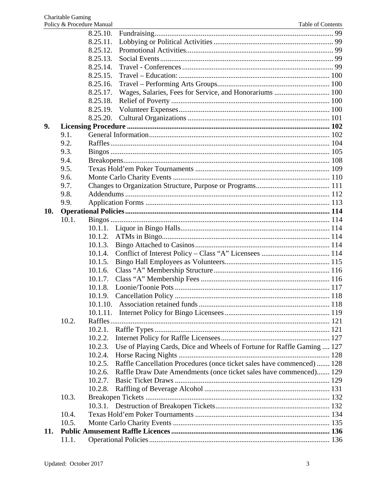|     |       | 8.25.10.                                                                           |  |
|-----|-------|------------------------------------------------------------------------------------|--|
|     |       | 8.25.11.                                                                           |  |
|     |       | 8.25.12.                                                                           |  |
|     |       | 8.25.13.                                                                           |  |
|     |       | 8.25.14.                                                                           |  |
|     |       | 8.25.15.                                                                           |  |
|     |       | 8.25.16.                                                                           |  |
|     |       | Wages, Salaries, Fees for Service, and Honorariums  100<br>8.25.17.                |  |
|     |       | 8.25.18.                                                                           |  |
|     |       | 8.25.19.                                                                           |  |
|     |       | 8.25.20.                                                                           |  |
| 9.  |       |                                                                                    |  |
|     | 9.1.  |                                                                                    |  |
|     | 9.2.  |                                                                                    |  |
|     | 9.3.  |                                                                                    |  |
|     | 9.4.  |                                                                                    |  |
|     | 9.5.  |                                                                                    |  |
|     | 9.6.  |                                                                                    |  |
|     | 9.7.  |                                                                                    |  |
|     | 9.8.  |                                                                                    |  |
|     | 9.9.  |                                                                                    |  |
| 10. |       |                                                                                    |  |
|     | 10.1. |                                                                                    |  |
|     |       |                                                                                    |  |
|     |       | 10.1.2.                                                                            |  |
|     |       | 10.1.3.                                                                            |  |
|     |       | 10.1.4.                                                                            |  |
|     |       | 10.1.5.                                                                            |  |
|     |       | 10.1.6.                                                                            |  |
|     |       | 10.1.7.                                                                            |  |
|     |       | 10.1.8.                                                                            |  |
|     |       | 10.1.9.                                                                            |  |
|     |       |                                                                                    |  |
|     |       | 10.1.11.                                                                           |  |
|     | 10.2. |                                                                                    |  |
|     |       | 10.2.1.                                                                            |  |
|     |       | 10.2.2.                                                                            |  |
|     |       | Use of Playing Cards, Dice and Wheels of Fortune for Raffle Gaming  127<br>10.2.3. |  |
|     |       | 10.2.4.                                                                            |  |
|     |       | Raffle Cancellation Procedures (once ticket sales have commenced)  128<br>10.2.5.  |  |
|     |       | 10.2.6.<br>Raffle Draw Date Amendments (once ticket sales have commenced) 129      |  |
|     |       | 10.2.7.                                                                            |  |
|     |       | 10.2.8.                                                                            |  |
|     | 10.3. |                                                                                    |  |
|     |       |                                                                                    |  |
|     | 10.4. |                                                                                    |  |
|     | 10.5. |                                                                                    |  |
| 11. |       |                                                                                    |  |
|     | 11.1. |                                                                                    |  |
|     |       |                                                                                    |  |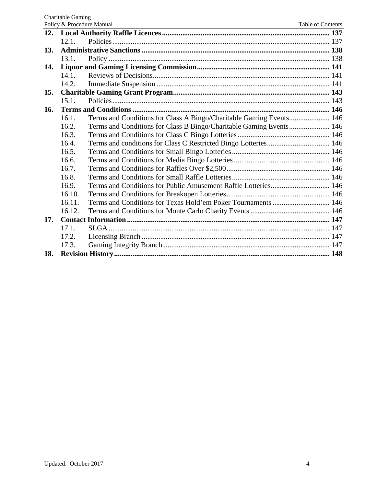|     | Policy & Procedure Manual<br>Table of Contents |                                                                     |  |  |  |
|-----|------------------------------------------------|---------------------------------------------------------------------|--|--|--|
|     |                                                |                                                                     |  |  |  |
|     | 12.1.                                          |                                                                     |  |  |  |
| 13. |                                                |                                                                     |  |  |  |
|     | 13.1.                                          |                                                                     |  |  |  |
| 14. |                                                |                                                                     |  |  |  |
|     | 14.1.                                          |                                                                     |  |  |  |
|     | 14.2.                                          |                                                                     |  |  |  |
| 15. |                                                |                                                                     |  |  |  |
|     | 15.1.                                          |                                                                     |  |  |  |
| 16. |                                                |                                                                     |  |  |  |
|     | 16.1.                                          | Terms and Conditions for Class A Bingo/Charitable Gaming Events 146 |  |  |  |
|     | 16.2.                                          | Terms and Conditions for Class B Bingo/Charitable Gaming Events 146 |  |  |  |
|     | 16.3.                                          |                                                                     |  |  |  |
|     | 16.4.                                          | Terms and conditions for Class C Restricted Bingo Lotteries 146     |  |  |  |
|     | 16.5.                                          |                                                                     |  |  |  |
|     | 16.6.                                          |                                                                     |  |  |  |
|     | 16.7.                                          |                                                                     |  |  |  |
|     | 16.8.                                          |                                                                     |  |  |  |
|     | 16.9.                                          |                                                                     |  |  |  |
|     | 16.10.                                         |                                                                     |  |  |  |
|     | 16.11.                                         |                                                                     |  |  |  |
|     | 16.12.                                         |                                                                     |  |  |  |
| 17. |                                                |                                                                     |  |  |  |
|     | 17.1.                                          |                                                                     |  |  |  |
|     | 17.2.                                          |                                                                     |  |  |  |
|     | 17.3.                                          |                                                                     |  |  |  |
| 18. |                                                |                                                                     |  |  |  |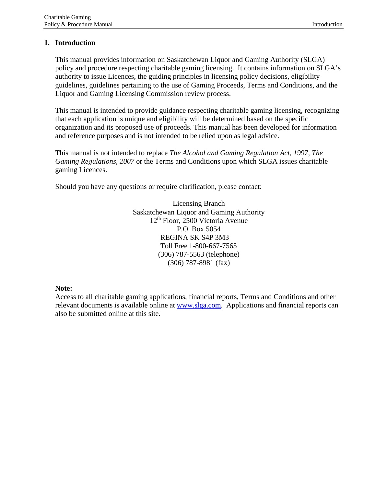# <span id="page-5-0"></span>**1. Introduction**

This manual provides information on Saskatchewan Liquor and Gaming Authority (SLGA) policy and procedure respecting charitable gaming licensing. It contains information on SLGA's authority to issue Licences, the guiding principles in licensing policy decisions, eligibility guidelines, guidelines pertaining to the use of Gaming Proceeds, Terms and Conditions, and the Liquor and Gaming Licensing Commission review process.

This manual is intended to provide guidance respecting charitable gaming licensing, recognizing that each application is unique and eligibility will be determined based on the specific organization and its proposed use of proceeds. This manual has been developed for information and reference purposes and is not intended to be relied upon as legal advice.

This manual is not intended to replace *The Alcohol and Gaming Regulation Act, 1997, The Gaming Regulations, 2007* or the Terms and Conditions upon which SLGA issues charitable gaming Licences.

Should you have any questions or require clarification, please contact:

Licensing Branch Saskatchewan Liquor and Gaming Authority 12th Floor, 2500 Victoria Avenue P.O. Box 5054 REGINA SK S4P 3M3 Toll Free 1-800-667-7565 (306) 787-5563 (telephone) (306) 787-8981 (fax)

#### **Note:**

Access to all charitable gaming applications, financial reports, Terms and Conditions and other relevant documents is available online at [www.slga.com.](http://www.slga.com/) Applications and financial reports can also be submitted online at this site.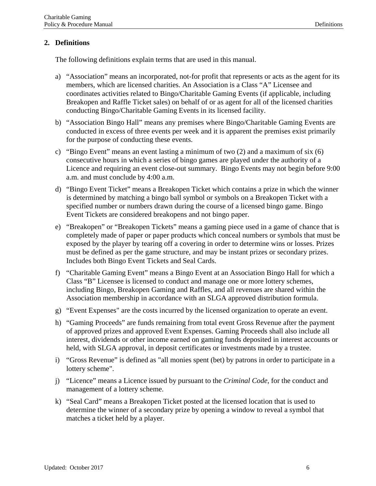# <span id="page-6-0"></span>**2. Definitions**

The following definitions explain terms that are used in this manual.

- a) "Association" means an incorporated, not-for profit that represents or acts as the agent for its members, which are licensed charities. An Association is a Class "A" Licensee and coordinates activities related to Bingo/Charitable Gaming Events (if applicable, including Breakopen and Raffle Ticket sales) on behalf of or as agent for all of the licensed charities conducting Bingo/Charitable Gaming Events in its licensed facility.
- b) "Association Bingo Hall" means any premises where Bingo/Charitable Gaming Events are conducted in excess of three events per week and it is apparent the premises exist primarily for the purpose of conducting these events.
- c) "Bingo Event" means an event lasting a minimum of two (2) and a maximum of six (6) consecutive hours in which a series of bingo games are played under the authority of a Licence and requiring an event close-out summary. Bingo Events may not begin before 9:00 a.m. and must conclude by 4:00 a.m.
- d) "Bingo Event Ticket" means a Breakopen Ticket which contains a prize in which the winner is determined by matching a bingo ball symbol or symbols on a Breakopen Ticket with a specified number or numbers drawn during the course of a licensed bingo game. Bingo Event Tickets are considered breakopens and not bingo paper.
- e) "Breakopen" or "Breakopen Tickets" means a gaming piece used in a game of chance that is completely made of paper or paper products which conceal numbers or symbols that must be exposed by the player by tearing off a covering in order to determine wins or losses. Prizes must be defined as per the game structure, and may be instant prizes or secondary prizes. Includes both Bingo Event Tickets and Seal Cards.
- f) "Charitable Gaming Event" means a Bingo Event at an Association Bingo Hall for which a Class "B" Licensee is licensed to conduct and manage one or more lottery schemes, including Bingo, Breakopen Gaming and Raffles, and all revenues are shared within the Association membership in accordance with an SLGA approved distribution formula.
- g) "Event Expenses" are the costs incurred by the licensed organization to operate an event.
- h) "Gaming Proceeds" are funds remaining from total event Gross Revenue after the payment of approved prizes and approved Event Expenses. Gaming Proceeds shall also include all interest, dividends or other income earned on gaming funds deposited in interest accounts or held, with SLGA approval, in deposit certificates or investments made by a trustee.
- i) "Gross Revenue" is defined as "all monies spent (bet) by patrons in order to participate in a lottery scheme".
- j) "Licence" means a Licence issued by pursuant to the *Criminal Code*, for the conduct and management of a lottery scheme.
- k) "Seal Card" means a Breakopen Ticket posted at the licensed location that is used to determine the winner of a secondary prize by opening a window to reveal a symbol that matches a ticket held by a player.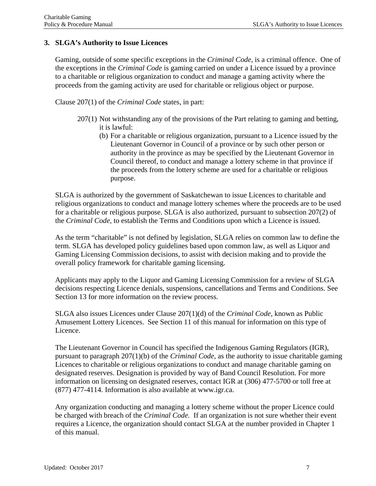# <span id="page-7-0"></span>**3. SLGA's Authority to Issue Licences**

Gaming, outside of some specific exceptions in the *Criminal Code,* is a criminal offence. One of the exceptions in the *Criminal Code* is gaming carried on under a Licence issued by a province to a charitable or religious organization to conduct and manage a gaming activity where the proceeds from the gaming activity are used for charitable or religious object or purpose.

Clause 207(1) of the *Criminal Code* states, in part:

- 207(1) Not withstanding any of the provisions of the Part relating to gaming and betting, it is lawful:
	- (b) For a charitable or religious organization, pursuant to a Licence issued by the Lieutenant Governor in Council of a province or by such other person or authority in the province as may be specified by the Lieutenant Governor in Council thereof, to conduct and manage a lottery scheme in that province if the proceeds from the lottery scheme are used for a charitable or religious purpose.

SLGA is authorized by the government of Saskatchewan to issue Licences to charitable and religious organizations to conduct and manage lottery schemes where the proceeds are to be used for a charitable or religious purpose. SLGA is also authorized, pursuant to subsection 207(2) of the *Criminal Code,* to establish the Terms and Conditions upon which a Licence is issued.

As the term "charitable" is not defined by legislation, SLGA relies on common law to define the term. SLGA has developed policy guidelines based upon common law, as well as Liquor and Gaming Licensing Commission decisions, to assist with decision making and to provide the overall policy framework for charitable gaming licensing.

Applicants may apply to the Liquor and Gaming Licensing Commission for a review of SLGA decisions respecting Licence denials, suspensions, cancellations and Terms and Conditions. See Section 13 for more information on the review process.

SLGA also issues Licences under Clause 207(1)(d) of the *Criminal Code*, known as Public Amusement Lottery Licences. See Section 11 of this manual for information on this type of Licence.

The Lieutenant Governor in Council has specified the Indigenous Gaming Regulators (IGR), pursuant to paragraph 207(1)(b) of the *Criminal Code,* as the authority to issue charitable gaming Licences to charitable or religious organizations to conduct and manage charitable gaming on designated reserves. Designation is provided by way of Band Council Resolution. For more information on licensing on designated reserves, contact IGR at (306) 477-5700 or toll free at (877) 477-4114. Information is also available at [www.igr.ca.](http://www.igr.ca/)

Any organization conducting and managing a lottery scheme without the proper Licence could be charged with breach of the *Criminal Code.* If an organization is not sure whether their event requires a Licence, the organization should contact SLGA at the number provided in Chapter 1 of this manual.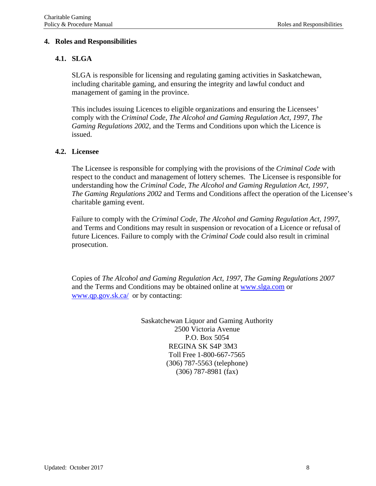#### <span id="page-8-0"></span>**4. Roles and Responsibilities**

#### <span id="page-8-1"></span>**4.1. SLGA**

SLGA is responsible for licensing and regulating gaming activities in Saskatchewan, including charitable gaming, and ensuring the integrity and lawful conduct and management of gaming in the province.

This includes issuing Licences to eligible organizations and ensuring the Licensees' comply with the *Criminal Code*, *The Alcohol and Gaming Regulation Act, 1997*, *The Gaming Regulations 2002*, and the Terms and Conditions upon which the Licence is issued.

#### <span id="page-8-2"></span>**4.2. Licensee**

The Licensee is responsible for complying with the provisions of the *Criminal Code* with respect to the conduct and management of lottery schemes. The Licensee is responsible for understanding how the *Criminal Code*, *The Alcohol and Gaming Regulation Act, 1997, The Gaming Regulations 2002* and Terms and Conditions affect the operation of the Licensee's charitable gaming event.

Failure to comply with the *Criminal Code*, *The Alcohol and Gaming Regulation Act, 1997,* and Terms and Conditions may result in suspension or revocation of a Licence or refusal of future Licences. Failure to comply with the *Criminal Code* could also result in criminal prosecution.

Copies of *The Alcohol and Gaming Regulation Act, 1997*, *The Gaming Regulations 2007* and the Terms and Conditions may be obtained online at [www.slga.com](http://www.slga.com/) or [www.qp.gov.sk.ca/](http://www.qp.gov.sk.ca/) or by contacting:

> Saskatchewan Liquor and Gaming Authority 2500 Victoria Avenue P.O. Box 5054 REGINA SK S4P 3M3 Toll Free 1-800-667-7565 (306) 787-5563 (telephone) (306) 787-8981 (fax)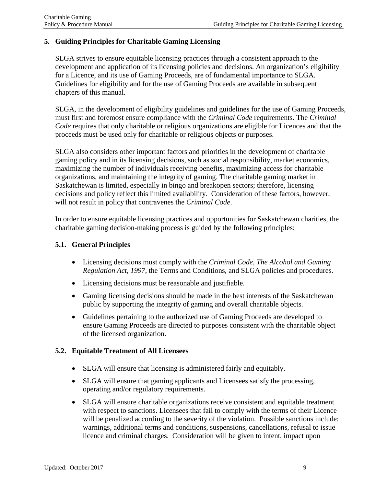# <span id="page-9-0"></span>**5. Guiding Principles for Charitable Gaming Licensing**

SLGA strives to ensure equitable licensing practices through a consistent approach to the development and application of its licensing policies and decisions. An organization's eligibility for a Licence, and its use of Gaming Proceeds, are of fundamental importance to SLGA. Guidelines for eligibility and for the use of Gaming Proceeds are available in subsequent chapters of this manual.

SLGA, in the development of eligibility guidelines and guidelines for the use of Gaming Proceeds, must first and foremost ensure compliance with the *Criminal Code* requirements. The *Criminal Code* requires that only charitable or religious organizations are eligible for Licences and that the proceeds must be used only for charitable or religious objects or purposes.

SLGA also considers other important factors and priorities in the development of charitable gaming policy and in its licensing decisions, such as social responsibility, market economics, maximizing the number of individuals receiving benefits, maximizing access for charitable organizations, and maintaining the integrity of gaming. The charitable gaming market in Saskatchewan is limited, especially in bingo and breakopen sectors; therefore, licensing decisions and policy reflect this limited availability. Consideration of these factors, however, will not result in policy that contravenes the *Criminal Code*.

In order to ensure equitable licensing practices and opportunities for Saskatchewan charities, the charitable gaming decision-making process is guided by the following principles:

#### <span id="page-9-1"></span>**5.1. General Principles**

- Licensing decisions must comply with the *Criminal Code, The Alcohol and Gaming Regulation Act, 1997*, the Terms and Conditions, and SLGA policies and procedures.
- Licensing decisions must be reasonable and justifiable.
- Gaming licensing decisions should be made in the best interests of the Saskatchewan public by supporting the integrity of gaming and overall charitable objects.
- Guidelines pertaining to the authorized use of Gaming Proceeds are developed to ensure Gaming Proceeds are directed to purposes consistent with the charitable object of the licensed organization.

#### <span id="page-9-2"></span>**5.2. Equitable Treatment of All Licensees**

- SLGA will ensure that licensing is administered fairly and equitably.
- SLGA will ensure that gaming applicants and Licensees satisfy the processing, operating and/or regulatory requirements.
- SLGA will ensure charitable organizations receive consistent and equitable treatment with respect to sanctions. Licensees that fail to comply with the terms of their Licence will be penalized according to the severity of the violation. Possible sanctions include: warnings, additional terms and conditions, suspensions, cancellations, refusal to issue licence and criminal charges. Consideration will be given to intent, impact upon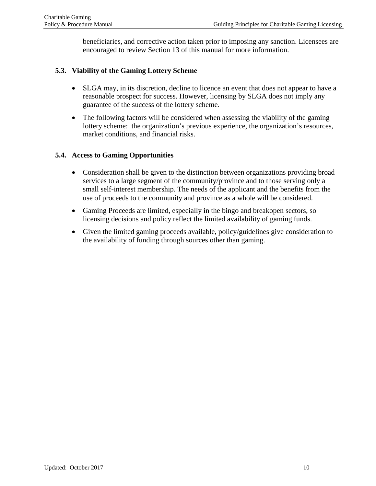beneficiaries, and corrective action taken prior to imposing any sanction. Licensees are encouraged to review Section 13 of this manual for more information.

# <span id="page-10-0"></span>**5.3. Viability of the Gaming Lottery Scheme**

- SLGA may, in its discretion, decline to licence an event that does not appear to have a reasonable prospect for success. However, licensing by SLGA does not imply any guarantee of the success of the lottery scheme.
- The following factors will be considered when assessing the viability of the gaming lottery scheme: the organization's previous experience, the organization's resources, market conditions, and financial risks.

# <span id="page-10-1"></span>**5.4. Access to Gaming Opportunities**

- Consideration shall be given to the distinction between organizations providing broad services to a large segment of the community/province and to those serving only a small self-interest membership. The needs of the applicant and the benefits from the use of proceeds to the community and province as a whole will be considered.
- Gaming Proceeds are limited, especially in the bingo and breakopen sectors, so licensing decisions and policy reflect the limited availability of gaming funds.
- Given the limited gaming proceeds available, policy/guidelines give consideration to the availability of funding through sources other than gaming.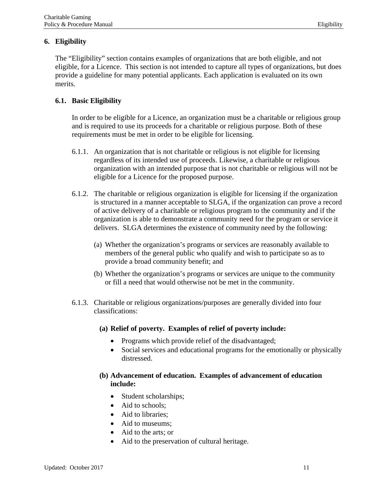# <span id="page-11-0"></span>**6. Eligibility**

The "Eligibility" section contains examples of organizations that are both eligible, and not eligible, for a Licence. This section is not intended to capture all types of organizations, but does provide a guideline for many potential applicants. Each application is evaluated on its own merits.

# <span id="page-11-1"></span>**6.1. Basic Eligibility**

In order to be eligible for a Licence, an organization must be a charitable or religious group and is required to use its proceeds for a charitable or religious purpose. Both of these requirements must be met in order to be eligible for licensing.

- 6.1.1. An organization that is not charitable or religious is not eligible for licensing regardless of its intended use of proceeds. Likewise, a charitable or religious organization with an intended purpose that is not charitable or religious will not be eligible for a Licence for the proposed purpose.
- 6.1.2. The charitable or religious organization is eligible for licensing if the organization is structured in a manner acceptable to SLGA, if the organization can prove a record of active delivery of a charitable or religious program to the community and if the organization is able to demonstrate a community need for the program or service it delivers. SLGA determines the existence of community need by the following:
	- (a) Whether the organization's programs or services are reasonably available to members of the general public who qualify and wish to participate so as to provide a broad community benefit; and
	- (b) Whether the organization's programs or services are unique to the community or fill a need that would otherwise not be met in the community.
- 6.1.3. Charitable or religious organizations/purposes are generally divided into four classifications:
	- **(a) Relief of poverty. Examples of relief of poverty include:**
		- Programs which provide relief of the disadvantaged;
		- Social services and educational programs for the emotionally or physically distressed.

# **(b) Advancement of education. Examples of advancement of education include:**

- Student scholarships;
- Aid to schools;
- Aid to libraries;
- Aid to museums:
- Aid to the arts; or
- Aid to the preservation of cultural heritage.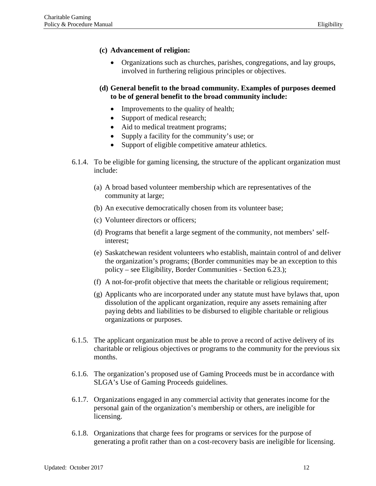#### **(c) Advancement of religion:**

- Organizations such as churches, parishes, congregations, and lay groups, involved in furthering religious principles or objectives.
- **(d) General benefit to the broad community. Examples of purposes deemed to be of general benefit to the broad community include:**
	- Improvements to the quality of health;
	- Support of medical research;
	- Aid to medical treatment programs;
	- Supply a facility for the community's use; or
	- Support of eligible competitive amateur athletics.
- 6.1.4. To be eligible for gaming licensing, the structure of the applicant organization must include:
	- (a) A broad based volunteer membership which are representatives of the community at large;
	- (b) An executive democratically chosen from its volunteer base;
	- (c) Volunteer directors or officers;
	- (d) Programs that benefit a large segment of the community, not members' selfinterest;
	- (e) Saskatchewan resident volunteers who establish, maintain control of and deliver the organization's programs; (Border communities may be an exception to this policy – see Eligibility, Border Communities - Section 6.23.);
	- (f) A not-for-profit objective that meets the charitable or religious requirement;
	- (g) Applicants who are incorporated under any statute must have bylaws that, upon dissolution of the applicant organization, require any assets remaining after paying debts and liabilities to be disbursed to eligible charitable or religious organizations or purposes.
- 6.1.5. The applicant organization must be able to prove a record of active delivery of its charitable or religious objectives or programs to the community for the previous six months.
- 6.1.6. The organization's proposed use of Gaming Proceeds must be in accordance with SLGA's Use of Gaming Proceeds guidelines.
- 6.1.7. Organizations engaged in any commercial activity that generates income for the personal gain of the organization's membership or others, are ineligible for licensing.
- 6.1.8. Organizations that charge fees for programs or services for the purpose of generating a profit rather than on a cost-recovery basis are ineligible for licensing.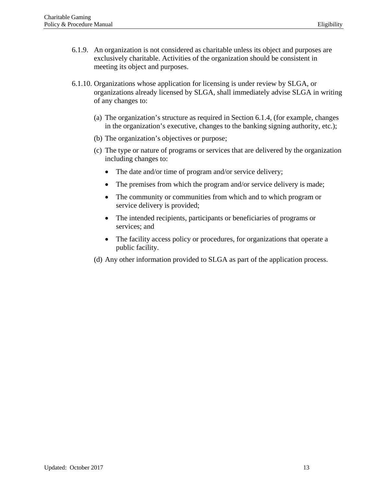- 6.1.9. An organization is not considered as charitable unless its object and purposes are exclusively charitable. Activities of the organization should be consistent in meeting its object and purposes.
- 6.1.10. Organizations whose application for licensing is under review by SLGA, or organizations already licensed by SLGA, shall immediately advise SLGA in writing of any changes to:
	- (a) The organization's structure as required in Section 6.1.4, (for example, changes in the organization's executive, changes to the banking signing authority, etc.);
	- (b) The organization's objectives or purpose;
	- (c) The type or nature of programs or services that are delivered by the organization including changes to:
		- The date and/or time of program and/or service delivery;
		- The premises from which the program and/or service delivery is made;
		- The community or communities from which and to which program or service delivery is provided;
		- The intended recipients, participants or beneficiaries of programs or services; and
		- The facility access policy or procedures, for organizations that operate a public facility.
	- (d) Any other information provided to SLGA as part of the application process.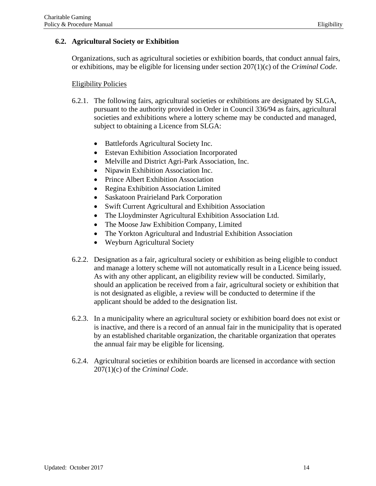# <span id="page-14-0"></span>**6.2. Agricultural Society or Exhibition**

Organizations, such as agricultural societies or exhibition boards, that conduct annual fairs, or exhibitions, may be eligible for licensing under section 207(1)(c) of the *Criminal Code*.

#### Eligibility Policies

- 6.2.1. The following fairs, agricultural societies or exhibitions are designated by SLGA, pursuant to the authority provided in Order in Council 336/94 as fairs, agricultural societies and exhibitions where a lottery scheme may be conducted and managed, subject to obtaining a Licence from SLGA:
	- Battlefords Agricultural Society Inc.
	- Estevan Exhibition Association Incorporated
	- Melville and District Agri-Park Association, Inc.
	- Nipawin Exhibition Association Inc.
	- Prince Albert Exhibition Association
	- Regina Exhibition Association Limited
	- Saskatoon Prairieland Park Corporation
	- Swift Current Agricultural and Exhibition Association
	- The Lloydminster Agricultural Exhibition Association Ltd.
	- The Moose Jaw Exhibition Company, Limited
	- The Yorkton Agricultural and Industrial Exhibition Association
	- Weyburn Agricultural Society
- 6.2.2. Designation as a fair, agricultural society or exhibition as being eligible to conduct and manage a lottery scheme will not automatically result in a Licence being issued. As with any other applicant, an eligibility review will be conducted. Similarly, should an application be received from a fair, agricultural society or exhibition that is not designated as eligible, a review will be conducted to determine if the applicant should be added to the designation list.
- 6.2.3. In a municipality where an agricultural society or exhibition board does not exist or is inactive, and there is a record of an annual fair in the municipality that is operated by an established charitable organization, the charitable organization that operates the annual fair may be eligible for licensing.
- 6.2.4. Agricultural societies or exhibition boards are licensed in accordance with section 207(1)(c) of the *Criminal Code*.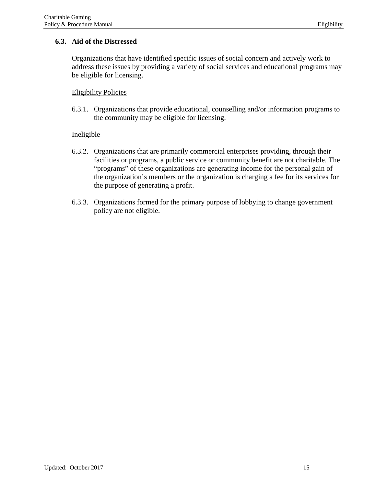# <span id="page-15-0"></span>**6.3. Aid of the Distressed**

Organizations that have identified specific issues of social concern and actively work to address these issues by providing a variety of social services and educational programs may be eligible for licensing.

#### Eligibility Policies

6.3.1. Organizations that provide educational, counselling and/or information programs to the community may be eligible for licensing.

- 6.3.2. Organizations that are primarily commercial enterprises providing, through their facilities or programs, a public service or community benefit are not charitable. The "programs" of these organizations are generating income for the personal gain of the organization's members or the organization is charging a fee for its services for the purpose of generating a profit.
- 6.3.3. Organizations formed for the primary purpose of lobbying to change government policy are not eligible.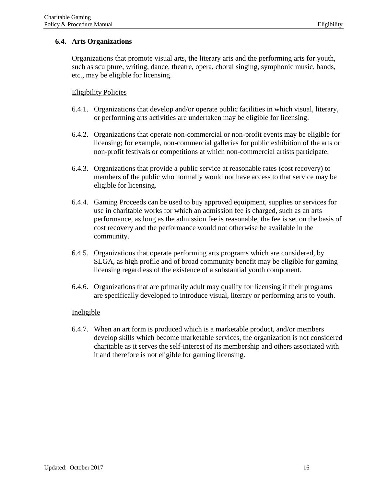# <span id="page-16-0"></span>**6.4. Arts Organizations**

Organizations that promote visual arts, the literary arts and the performing arts for youth, such as sculpture, writing, dance, theatre, opera, choral singing, symphonic music, bands, etc., may be eligible for licensing.

# Eligibility Policies

- 6.4.1. Organizations that develop and/or operate public facilities in which visual, literary, or performing arts activities are undertaken may be eligible for licensing.
- 6.4.2. Organizations that operate non-commercial or non-profit events may be eligible for licensing; for example, non-commercial galleries for public exhibition of the arts or non-profit festivals or competitions at which non-commercial artists participate.
- 6.4.3. Organizations that provide a public service at reasonable rates (cost recovery) to members of the public who normally would not have access to that service may be eligible for licensing.
- 6.4.4. Gaming Proceeds can be used to buy approved equipment, supplies or services for use in charitable works for which an admission fee is charged, such as an arts performance, as long as the admission fee is reasonable, the fee is set on the basis of cost recovery and the performance would not otherwise be available in the community.
- 6.4.5. Organizations that operate performing arts programs which are considered, by SLGA, as high profile and of broad community benefit may be eligible for gaming licensing regardless of the existence of a substantial youth component.
- 6.4.6. Organizations that are primarily adult may qualify for licensing if their programs are specifically developed to introduce visual, literary or performing arts to youth.

#### Ineligible

6.4.7. When an art form is produced which is a marketable product, and/or members develop skills which become marketable services, the organization is not considered charitable as it serves the self-interest of its membership and others associated with it and therefore is not eligible for gaming licensing.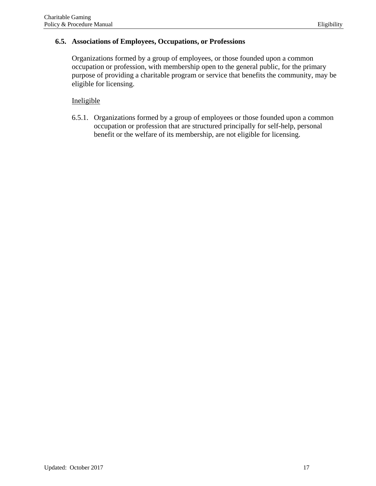#### <span id="page-17-0"></span>**6.5. Associations of Employees, Occupations, or Professions**

Organizations formed by a group of employees, or those founded upon a common occupation or profession, with membership open to the general public, for the primary purpose of providing a charitable program or service that benefits the community, may be eligible for licensing.

# Ineligible

6.5.1. Organizations formed by a group of employees or those founded upon a common occupation or profession that are structured principally for self-help, personal benefit or the welfare of its membership, are not eligible for licensing.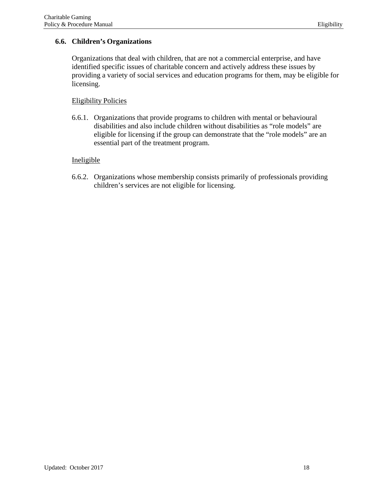# <span id="page-18-0"></span>**6.6. Children's Organizations**

Organizations that deal with children, that are not a commercial enterprise, and have identified specific issues of charitable concern and actively address these issues by providing a variety of social services and education programs for them, may be eligible for licensing.

# Eligibility Policies

6.6.1. Organizations that provide programs to children with mental or behavioural disabilities and also include children without disabilities as "role models" are eligible for licensing if the group can demonstrate that the "role models" are an essential part of the treatment program.

# Ineligible

6.6.2. Organizations whose membership consists primarily of professionals providing children's services are not eligible for licensing.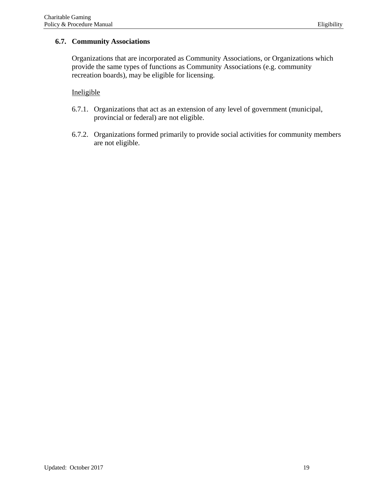# <span id="page-19-0"></span>**6.7. Community Associations**

Organizations that are incorporated as Community Associations, or Organizations which provide the same types of functions as Community Associations (e.g. community recreation boards), may be eligible for licensing.

- 6.7.1. Organizations that act as an extension of any level of government (municipal, provincial or federal) are not eligible.
- 6.7.2. Organizations formed primarily to provide social activities for community members are not eligible.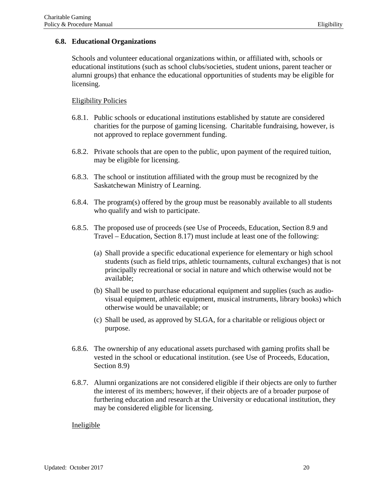#### <span id="page-20-0"></span>**6.8. Educational Organizations**

Schools and volunteer educational organizations within, or affiliated with, schools or educational institutions (such as school clubs/societies, student unions, parent teacher or alumni groups) that enhance the educational opportunities of students may be eligible for licensing.

#### Eligibility Policies

- 6.8.1. Public schools or educational institutions established by statute are considered charities for the purpose of gaming licensing. Charitable fundraising, however, is not approved to replace government funding.
- 6.8.2. Private schools that are open to the public, upon payment of the required tuition, may be eligible for licensing.
- 6.8.3. The school or institution affiliated with the group must be recognized by the Saskatchewan Ministry of Learning.
- 6.8.4. The program(s) offered by the group must be reasonably available to all students who qualify and wish to participate.
- 6.8.5. The proposed use of proceeds (see Use of Proceeds, Education, Section 8.9 and Travel – Education, Section 8.17) must include at least one of the following:
	- (a) Shall provide a specific educational experience for elementary or high school students (such as field trips, athletic tournaments, cultural exchanges) that is not principally recreational or social in nature and which otherwise would not be available;
	- (b) Shall be used to purchase educational equipment and supplies (such as audiovisual equipment, athletic equipment, musical instruments, library books) which otherwise would be unavailable; or
	- (c) Shall be used, as approved by SLGA, for a charitable or religious object or purpose.
- 6.8.6. The ownership of any educational assets purchased with gaming profits shall be vested in the school or educational institution. (see Use of Proceeds, Education, Section 8.9)
- 6.8.7. Alumni organizations are not considered eligible if their objects are only to further the interest of its members; however, if their objects are of a broader purpose of furthering education and research at the University or educational institution, they may be considered eligible for licensing.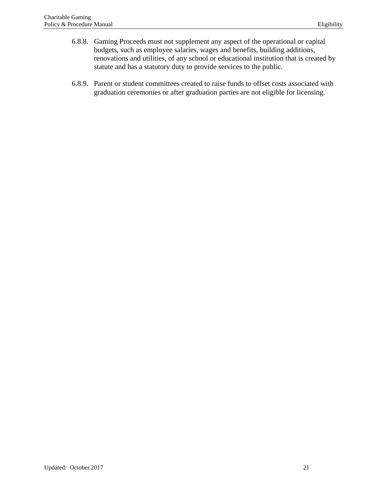- 6.8.8. Gaming Proceeds must not supplement any aspect of the operational or capital budgets, such as employee salaries, wages and benefits, building additions, renovations and utilities, of any school or educational institution that is created by statute and has a statutory duty to provide services to the public.
- 6.8.9. Parent or student committees created to raise funds to offset costs associated with graduation ceremonies or after graduation parties are not eligible for licensing.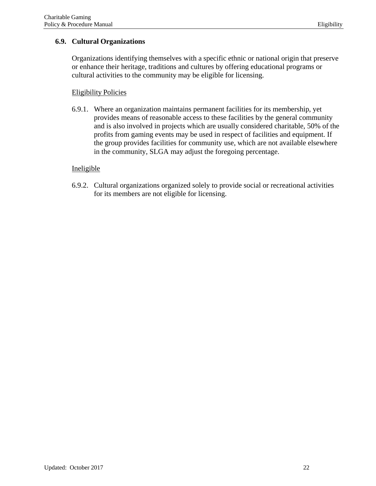# <span id="page-22-0"></span>**6.9. Cultural Organizations**

Organizations identifying themselves with a specific ethnic or national origin that preserve or enhance their heritage, traditions and cultures by offering educational programs or cultural activities to the community may be eligible for licensing.

# Eligibility Policies

6.9.1. Where an organization maintains permanent facilities for its membership, yet provides means of reasonable access to these facilities by the general community and is also involved in projects which are usually considered charitable, 50% of the profits from gaming events may be used in respect of facilities and equipment. If the group provides facilities for community use, which are not available elsewhere in the community, SLGA may adjust the foregoing percentage.

# Ineligible

6.9.2. Cultural organizations organized solely to provide social or recreational activities for its members are not eligible for licensing.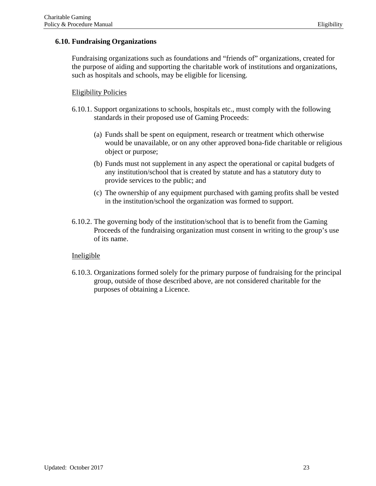# <span id="page-23-0"></span>**6.10. Fundraising Organizations**

Fundraising organizations such as foundations and "friends of" organizations, created for the purpose of aiding and supporting the charitable work of institutions and organizations, such as hospitals and schools, may be eligible for licensing.

#### Eligibility Policies

- 6.10.1. Support organizations to schools, hospitals etc., must comply with the following standards in their proposed use of Gaming Proceeds:
	- (a) Funds shall be spent on equipment, research or treatment which otherwise would be unavailable, or on any other approved bona-fide charitable or religious object or purpose;
	- (b) Funds must not supplement in any aspect the operational or capital budgets of any institution/school that is created by statute and has a statutory duty to provide services to the public; and
	- (c) The ownership of any equipment purchased with gaming profits shall be vested in the institution/school the organization was formed to support.
- 6.10.2. The governing body of the institution/school that is to benefit from the Gaming Proceeds of the fundraising organization must consent in writing to the group's use of its name.

#### Ineligible

6.10.3. Organizations formed solely for the primary purpose of fundraising for the principal group, outside of those described above, are not considered charitable for the purposes of obtaining a Licence.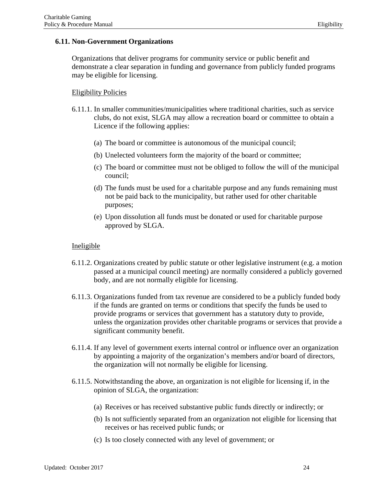#### <span id="page-24-0"></span>**6.11. Non-Government Organizations**

Organizations that deliver programs for community service or public benefit and demonstrate a clear separation in funding and governance from publicly funded programs may be eligible for licensing.

# Eligibility Policies

- 6.11.1. In smaller communities/municipalities where traditional charities, such as service clubs, do not exist, SLGA may allow a recreation board or committee to obtain a Licence if the following applies:
	- (a) The board or committee is autonomous of the municipal council;
	- (b) Unelected volunteers form the majority of the board or committee;
	- (c) The board or committee must not be obliged to follow the will of the municipal council;
	- (d) The funds must be used for a charitable purpose and any funds remaining must not be paid back to the municipality, but rather used for other charitable purposes;
	- (e) Upon dissolution all funds must be donated or used for charitable purpose approved by SLGA.

- 6.11.2. Organizations created by public statute or other legislative instrument (e.g. a motion passed at a municipal council meeting) are normally considered a publicly governed body, and are not normally eligible for licensing.
- 6.11.3. Organizations funded from tax revenue are considered to be a publicly funded body if the funds are granted on terms or conditions that specify the funds be used to provide programs or services that government has a statutory duty to provide, unless the organization provides other charitable programs or services that provide a significant community benefit.
- 6.11.4. If any level of government exerts internal control or influence over an organization by appointing a majority of the organization's members and/or board of directors, the organization will not normally be eligible for licensing.
- 6.11.5. Notwithstanding the above, an organization is not eligible for licensing if, in the opinion of SLGA, the organization:
	- (a) Receives or has received substantive public funds directly or indirectly; or
	- (b) Is not sufficiently separated from an organization not eligible for licensing that receives or has received public funds; or
	- (c) Is too closely connected with any level of government; or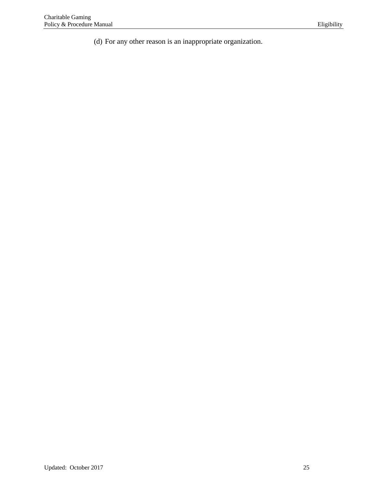(d) For any other reason is an inappropriate organization.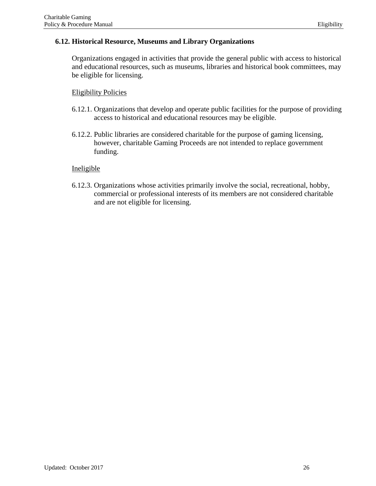# <span id="page-26-0"></span>**6.12. Historical Resource, Museums and Library Organizations**

Organizations engaged in activities that provide the general public with access to historical and educational resources, such as museums, libraries and historical book committees, may be eligible for licensing.

# Eligibility Policies

- 6.12.1. Organizations that develop and operate public facilities for the purpose of providing access to historical and educational resources may be eligible.
- 6.12.2. Public libraries are considered charitable for the purpose of gaming licensing, however, charitable Gaming Proceeds are not intended to replace government funding.

#### Ineligible

6.12.3. Organizations whose activities primarily involve the social, recreational, hobby, commercial or professional interests of its members are not considered charitable and are not eligible for licensing.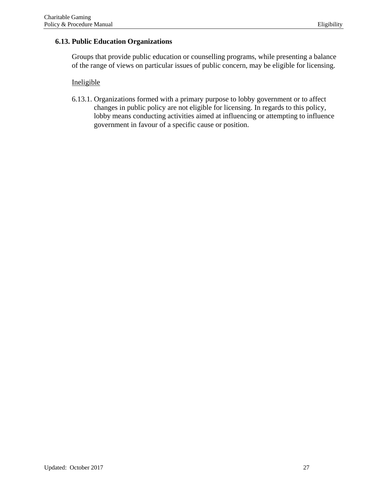# <span id="page-27-0"></span>**6.13. Public Education Organizations**

Groups that provide public education or counselling programs, while presenting a balance of the range of views on particular issues of public concern, may be eligible for licensing.

#### Ineligible

6.13.1. Organizations formed with a primary purpose to lobby government or to affect changes in public policy are not eligible for licensing. In regards to this policy, lobby means conducting activities aimed at influencing or attempting to influence government in favour of a specific cause or position.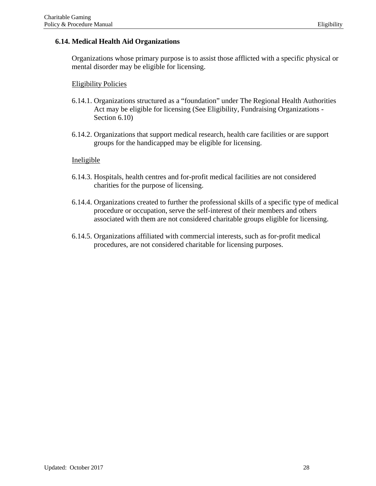# <span id="page-28-0"></span>**6.14. Medical Health Aid Organizations**

Organizations whose primary purpose is to assist those afflicted with a specific physical or mental disorder may be eligible for licensing.

# Eligibility Policies

- 6.14.1. Organizations structured as a "foundation" under The Regional Health Authorities Act may be eligible for licensing (See Eligibility, Fundraising Organizations - Section 6.10)
- 6.14.2. Organizations that support medical research, health care facilities or are support groups for the handicapped may be eligible for licensing.

- 6.14.3. Hospitals, health centres and for-profit medical facilities are not considered charities for the purpose of licensing.
- 6.14.4. Organizations created to further the professional skills of a specific type of medical procedure or occupation, serve the self-interest of their members and others associated with them are not considered charitable groups eligible for licensing.
- 6.14.5. Organizations affiliated with commercial interests, such as for-profit medical procedures, are not considered charitable for licensing purposes.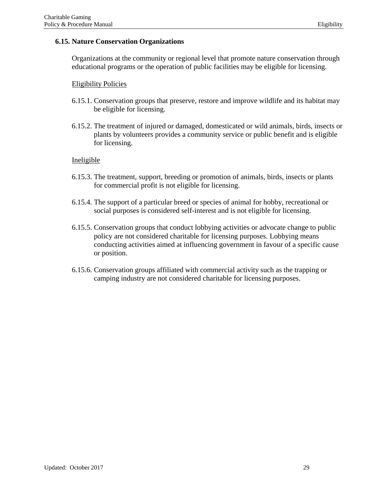# <span id="page-29-0"></span>**6.15. Nature Conservation Organizations**

Organizations at the community or regional level that promote nature conservation through educational programs or the operation of public facilities may be eligible for licensing.

# Eligibility Policies

- 6.15.1. Conservation groups that preserve, restore and improve wildlife and its habitat may be eligible for licensing.
- 6.15.2. The treatment of injured or damaged, domesticated or wild animals, birds, insects or plants by volunteers provides a community service or public benefit and is eligible for licensing.

- 6.15.3. The treatment, support, breeding or promotion of animals, birds, insects or plants for commercial profit is not eligible for licensing.
- 6.15.4. The support of a particular breed or species of animal for hobby, recreational or social purposes is considered self-interest and is not eligible for licensing.
- 6.15.5. Conservation groups that conduct lobbying activities or advocate change to public policy are not considered charitable for licensing purposes. Lobbying means conducting activities aimed at influencing government in favour of a specific cause or position.
- 6.15.6. Conservation groups affiliated with commercial activity such as the trapping or camping industry are not considered charitable for licensing purposes.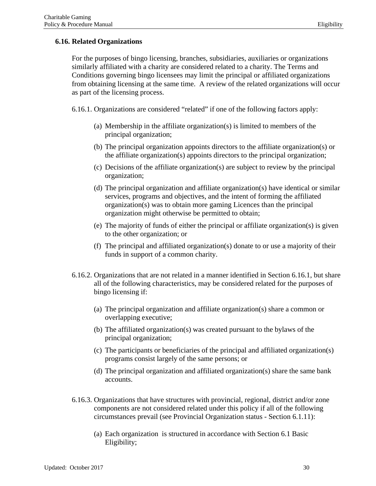# <span id="page-30-0"></span>**6.16. Related Organizations**

For the purposes of bingo licensing, branches, subsidiaries, auxiliaries or organizations similarly affiliated with a charity are considered related to a charity. The Terms and Conditions governing bingo licensees may limit the principal or affiliated organizations from obtaining licensing at the same time. A review of the related organizations will occur as part of the licensing process.

6.16.1. Organizations are considered "related" if one of the following factors apply:

- (a) Membership in the affiliate organization(s) is limited to members of the principal organization;
- (b) The principal organization appoints directors to the affiliate organization(s) or the affiliate organization(s) appoints directors to the principal organization;
- (c) Decisions of the affiliate organization(s) are subject to review by the principal organization;
- (d) The principal organization and affiliate organization(s) have identical or similar services, programs and objectives, and the intent of forming the affiliated organization(s) was to obtain more gaming Licences than the principal organization might otherwise be permitted to obtain;
- (e) The majority of funds of either the principal or affiliate organization(s) is given to the other organization; or
- (f) The principal and affiliated organization(s) donate to or use a majority of their funds in support of a common charity.
- 6.16.2. Organizations that are not related in a manner identified in Section 6.16.1, but share all of the following characteristics, may be considered related for the purposes of bingo licensing if:
	- (a) The principal organization and affiliate organization(s) share a common or overlapping executive;
	- (b) The affiliated organization(s) was created pursuant to the bylaws of the principal organization;
	- (c) The participants or beneficiaries of the principal and affiliated organization(s) programs consist largely of the same persons; or
	- (d) The principal organization and affiliated organization(s) share the same bank accounts.
- 6.16.3. Organizations that have structures with provincial, regional, district and/or zone components are not considered related under this policy if all of the following circumstances prevail (see Provincial Organization status - Section 6.1.11):
	- (a) Each organization is structured in accordance with Section 6.1 Basic Eligibility;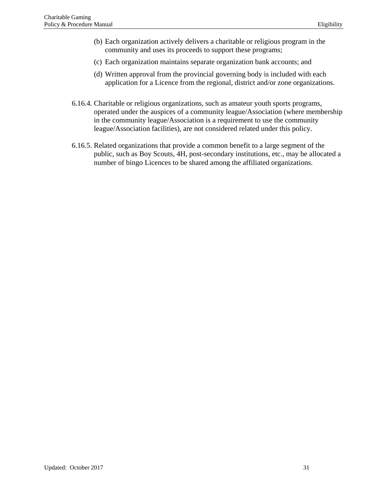- (b) Each organization actively delivers a charitable or religious program in the community and uses its proceeds to support these programs;
- (c) Each organization maintains separate organization bank accounts; and
- (d) Written approval from the provincial governing body is included with each application for a Licence from the regional, district and/or zone organizations.
- 6.16.4. Charitable or religious organizations, such as amateur youth sports programs, operated under the auspices of a community league/Association (where membership in the community league/Association is a requirement to use the community league/Association facilities), are not considered related under this policy.
- 6.16.5. Related organizations that provide a common benefit to a large segment of the public, such as Boy Scouts, 4H, post-secondary institutions, etc., may be allocated a number of bingo Licences to be shared among the affiliated organizations.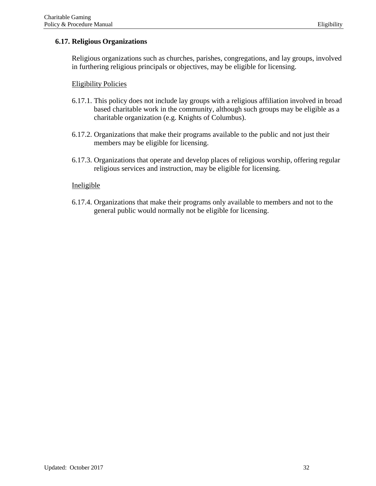# <span id="page-32-0"></span>**6.17. Religious Organizations**

Religious organizations such as churches, parishes, congregations, and lay groups, involved in furthering religious principals or objectives, may be eligible for licensing.

#### Eligibility Policies

- 6.17.1. This policy does not include lay groups with a religious affiliation involved in broad based charitable work in the community, although such groups may be eligible as a charitable organization (e.g. Knights of Columbus).
- 6.17.2. Organizations that make their programs available to the public and not just their members may be eligible for licensing.
- 6.17.3. Organizations that operate and develop places of religious worship, offering regular religious services and instruction, may be eligible for licensing.

#### Ineligible

6.17.4. Organizations that make their programs only available to members and not to the general public would normally not be eligible for licensing.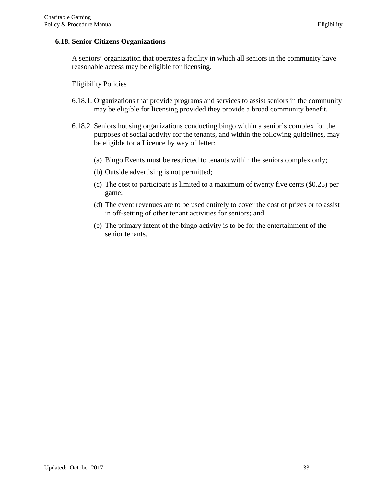#### <span id="page-33-0"></span>**6.18. Senior Citizens Organizations**

A seniors' organization that operates a facility in which all seniors in the community have reasonable access may be eligible for licensing.

# Eligibility Policies

- 6.18.1. Organizations that provide programs and services to assist seniors in the community may be eligible for licensing provided they provide a broad community benefit.
- 6.18.2. Seniors housing organizations conducting bingo within a senior's complex for the purposes of social activity for the tenants, and within the following guidelines, may be eligible for a Licence by way of letter:
	- (a) Bingo Events must be restricted to tenants within the seniors complex only;
	- (b) Outside advertising is not permitted;
	- (c) The cost to participate is limited to a maximum of twenty five cents (\$0.25) per game;
	- (d) The event revenues are to be used entirely to cover the cost of prizes or to assist in off-setting of other tenant activities for seniors; and
	- (e) The primary intent of the bingo activity is to be for the entertainment of the senior tenants.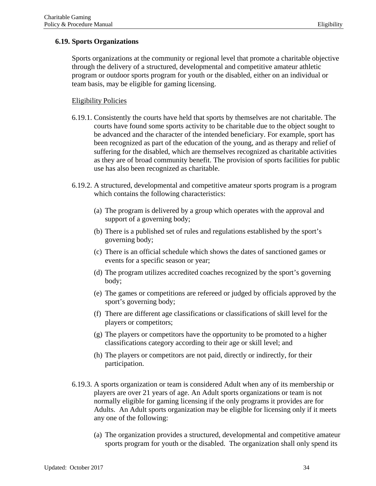# <span id="page-34-0"></span>**6.19. Sports Organizations**

Sports organizations at the community or regional level that promote a charitable objective through the delivery of a structured, developmental and competitive amateur athletic program or outdoor sports program for youth or the disabled, either on an individual or team basis, may be eligible for gaming licensing.

#### Eligibility Policies

- 6.19.1. Consistently the courts have held that sports by themselves are not charitable. The courts have found some sports activity to be charitable due to the object sought to be advanced and the character of the intended beneficiary. For example, sport has been recognized as part of the education of the young, and as therapy and relief of suffering for the disabled, which are themselves recognized as charitable activities as they are of broad community benefit. The provision of sports facilities for public use has also been recognized as charitable.
- 6.19.2. A structured, developmental and competitive amateur sports program is a program which contains the following characteristics:
	- (a) The program is delivered by a group which operates with the approval and support of a governing body;
	- (b) There is a published set of rules and regulations established by the sport's governing body;
	- (c) There is an official schedule which shows the dates of sanctioned games or events for a specific season or year;
	- (d) The program utilizes accredited coaches recognized by the sport's governing body;
	- (e) The games or competitions are refereed or judged by officials approved by the sport's governing body;
	- (f) There are different age classifications or classifications of skill level for the players or competitors;
	- (g) The players or competitors have the opportunity to be promoted to a higher classifications category according to their age or skill level; and
	- (h) The players or competitors are not paid, directly or indirectly, for their participation.
- 6.19.3. A sports organization or team is considered Adult when any of its membership or players are over 21 years of age. An Adult sports organizations or team is not normally eligible for gaming licensing if the only programs it provides are for Adults. An Adult sports organization may be eligible for licensing only if it meets any one of the following:
	- (a) The organization provides a structured, developmental and competitive amateur sports program for youth or the disabled. The organization shall only spend its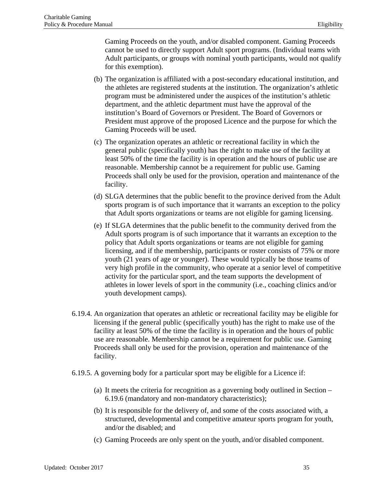Gaming Proceeds on the youth, and/or disabled component. Gaming Proceeds cannot be used to directly support Adult sport programs. (Individual teams with Adult participants, or groups with nominal youth participants, would not qualify for this exemption).

- (b) The organization is affiliated with a post-secondary educational institution, and the athletes are registered students at the institution. The organization's athletic program must be administered under the auspices of the institution's athletic department, and the athletic department must have the approval of the institution's Board of Governors or President. The Board of Governors or President must approve of the proposed Licence and the purpose for which the Gaming Proceeds will be used.
- (c) The organization operates an athletic or recreational facility in which the general public (specifically youth) has the right to make use of the facility at least 50% of the time the facility is in operation and the hours of public use are reasonable. Membership cannot be a requirement for public use. Gaming Proceeds shall only be used for the provision, operation and maintenance of the facility.
- (d) SLGA determines that the public benefit to the province derived from the Adult sports program is of such importance that it warrants an exception to the policy that Adult sports organizations or teams are not eligible for gaming licensing.
- (e) If SLGA determines that the public benefit to the community derived from the Adult sports program is of such importance that it warrants an exception to the policy that Adult sports organizations or teams are not eligible for gaming licensing, and if the membership, participants or roster consists of 75% or more youth (21 years of age or younger). These would typically be those teams of very high profile in the community, who operate at a senior level of competitive activity for the particular sport, and the team supports the development of athletes in lower levels of sport in the community (i.e., coaching clinics and/or youth development camps).
- 6.19.4. An organization that operates an athletic or recreational facility may be eligible for licensing if the general public (specifically youth) has the right to make use of the facility at least 50% of the time the facility is in operation and the hours of public use are reasonable. Membership cannot be a requirement for public use. Gaming Proceeds shall only be used for the provision, operation and maintenance of the facility.
- 6.19.5. A governing body for a particular sport may be eligible for a Licence if:
	- (a) It meets the criteria for recognition as a governing body outlined in Section 6.19.6 (mandatory and non-mandatory characteristics);
	- (b) It is responsible for the delivery of, and some of the costs associated with, a structured, developmental and competitive amateur sports program for youth, and/or the disabled; and
	- (c) Gaming Proceeds are only spent on the youth, and/or disabled component.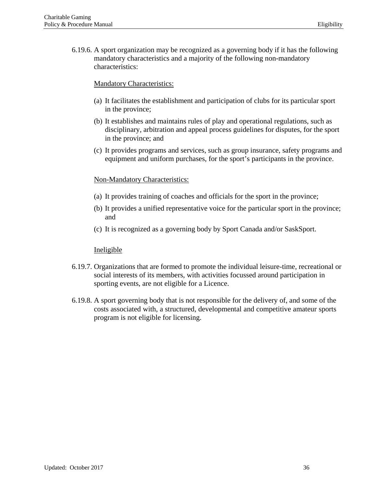6.19.6. A sport organization may be recognized as a governing body if it has the following mandatory characteristics and a majority of the following non-mandatory characteristics:

### Mandatory Characteristics:

- (a) It facilitates the establishment and participation of clubs for its particular sport in the province;
- (b) It establishes and maintains rules of play and operational regulations, such as disciplinary, arbitration and appeal process guidelines for disputes, for the sport in the province; and
- (c) It provides programs and services, such as group insurance, safety programs and equipment and uniform purchases, for the sport's participants in the province.

## Non-Mandatory Characteristics:

- (a) It provides training of coaches and officials for the sport in the province;
- (b) It provides a unified representative voice for the particular sport in the province; and
- (c) It is recognized as a governing body by Sport Canada and/or SaskSport.

- 6.19.7. Organizations that are formed to promote the individual leisure-time, recreational or social interests of its members, with activities focussed around participation in sporting events, are not eligible for a Licence.
- 6.19.8. A sport governing body that is not responsible for the delivery of, and some of the costs associated with, a structured, developmental and competitive amateur sports program is not eligible for licensing.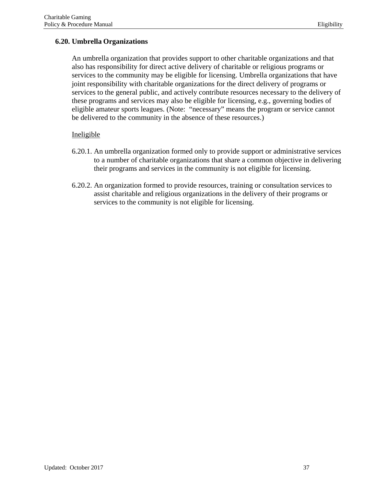# **6.20. Umbrella Organizations**

An umbrella organization that provides support to other charitable organizations and that also has responsibility for direct active delivery of charitable or religious programs or services to the community may be eligible for licensing. Umbrella organizations that have joint responsibility with charitable organizations for the direct delivery of programs or services to the general public, and actively contribute resources necessary to the delivery of these programs and services may also be eligible for licensing, e.g., governing bodies of eligible amateur sports leagues. (Note: "necessary" means the program or service cannot be delivered to the community in the absence of these resources.)

- 6.20.1. An umbrella organization formed only to provide support or administrative services to a number of charitable organizations that share a common objective in delivering their programs and services in the community is not eligible for licensing.
- 6.20.2. An organization formed to provide resources, training or consultation services to assist charitable and religious organizations in the delivery of their programs or services to the community is not eligible for licensing.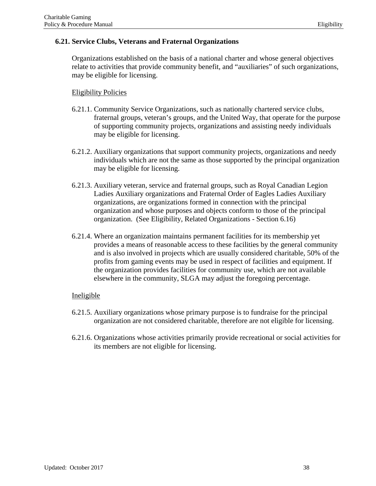## **6.21. Service Clubs, Veterans and Fraternal Organizations**

Organizations established on the basis of a national charter and whose general objectives relate to activities that provide community benefit, and "auxiliaries" of such organizations, may be eligible for licensing.

## Eligibility Policies

- 6.21.1. Community Service Organizations, such as nationally chartered service clubs, fraternal groups, veteran's groups, and the United Way, that operate for the purpose of supporting community projects, organizations and assisting needy individuals may be eligible for licensing.
- 6.21.2. Auxiliary organizations that support community projects, organizations and needy individuals which are not the same as those supported by the principal organization may be eligible for licensing.
- 6.21.3. Auxiliary veteran, service and fraternal groups, such as Royal Canadian Legion Ladies Auxiliary organizations and Fraternal Order of Eagles Ladies Auxiliary organizations, are organizations formed in connection with the principal organization and whose purposes and objects conform to those of the principal organization. (See Eligibility, Related Organizations - Section 6.16)
- 6.21.4. Where an organization maintains permanent facilities for its membership yet provides a means of reasonable access to these facilities by the general community and is also involved in projects which are usually considered charitable, 50% of the profits from gaming events may be used in respect of facilities and equipment. If the organization provides facilities for community use, which are not available elsewhere in the community, SLGA may adjust the foregoing percentage.

- 6.21.5. Auxiliary organizations whose primary purpose is to fundraise for the principal organization are not considered charitable, therefore are not eligible for licensing.
- 6.21.6. Organizations whose activities primarily provide recreational or social activities for its members are not eligible for licensing.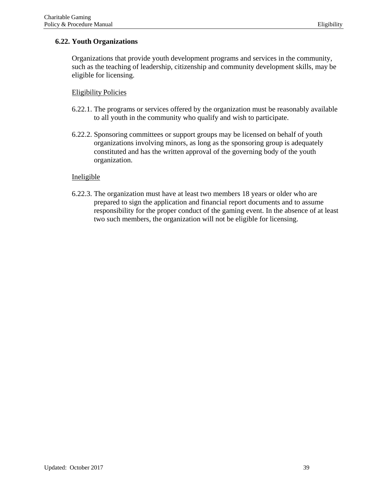## **6.22. Youth Organizations**

Organizations that provide youth development programs and services in the community, such as the teaching of leadership, citizenship and community development skills, may be eligible for licensing.

### Eligibility Policies

- 6.22.1. The programs or services offered by the organization must be reasonably available to all youth in the community who qualify and wish to participate.
- 6.22.2. Sponsoring committees or support groups may be licensed on behalf of youth organizations involving minors, as long as the sponsoring group is adequately constituted and has the written approval of the governing body of the youth organization.

### Ineligible

6.22.3. The organization must have at least two members 18 years or older who are prepared to sign the application and financial report documents and to assume responsibility for the proper conduct of the gaming event. In the absence of at least two such members, the organization will not be eligible for licensing.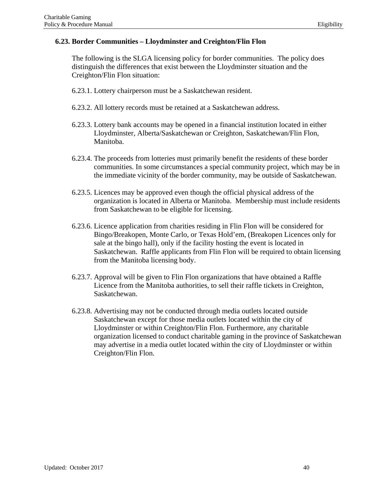## **6.23. Border Communities – Lloydminster and Creighton/Flin Flon**

The following is the SLGA licensing policy for border communities. The policy does distinguish the differences that exist between the Lloydminster situation and the Creighton/Flin Flon situation:

- 6.23.1. Lottery chairperson must be a Saskatchewan resident.
- 6.23.2. All lottery records must be retained at a Saskatchewan address.
- 6.23.3. Lottery bank accounts may be opened in a financial institution located in either Lloydminster, Alberta/Saskatchewan or Creighton, Saskatchewan/Flin Flon, Manitoba.
- 6.23.4. The proceeds from lotteries must primarily benefit the residents of these border communities. In some circumstances a special community project, which may be in the immediate vicinity of the border community, may be outside of Saskatchewan.
- 6.23.5. Licences may be approved even though the official physical address of the organization is located in Alberta or Manitoba. Membership must include residents from Saskatchewan to be eligible for licensing.
- 6.23.6. Licence application from charities residing in Flin Flon will be considered for Bingo/Breakopen, Monte Carlo, or Texas Hold'em, (Breakopen Licences only for sale at the bingo hall), only if the facility hosting the event is located in Saskatchewan. Raffle applicants from Flin Flon will be required to obtain licensing from the Manitoba licensing body.
- 6.23.7. Approval will be given to Flin Flon organizations that have obtained a Raffle Licence from the Manitoba authorities, to sell their raffle tickets in Creighton, Saskatchewan.
- 6.23.8. Advertising may not be conducted through media outlets located outside Saskatchewan except for those media outlets located within the city of Lloydminster or within Creighton/Flin Flon. Furthermore, any charitable organization licensed to conduct charitable gaming in the province of Saskatchewan may advertise in a media outlet located within the city of Lloydminster or within Creighton/Flin Flon.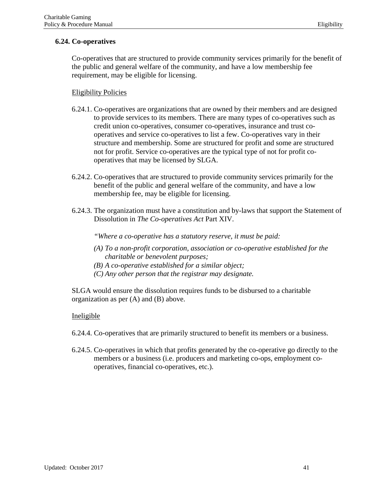# **6.24. Co-operatives**

Co-operatives that are structured to provide community services primarily for the benefit of the public and general welfare of the community, and have a low membership fee requirement, may be eligible for licensing.

# Eligibility Policies

- 6.24.1. Co-operatives are organizations that are owned by their members and are designed to provide services to its members. There are many types of co-operatives such as credit union co-operatives, consumer co-operatives, insurance and trust cooperatives and service co-operatives to list a few. Co-operatives vary in their structure and membership. Some are structured for profit and some are structured not for profit. Service co-operatives are the typical type of not for profit cooperatives that may be licensed by SLGA.
- 6.24.2. Co-operatives that are structured to provide community services primarily for the benefit of the public and general welfare of the community, and have a low membership fee, may be eligible for licensing.
- 6.24.3. The organization must have a constitution and by-laws that support the Statement of Dissolution in *The Co-operatives Act* Part XIV.

*"Where a co-operative has a statutory reserve, it must be paid:*

- *(A) To a non-profit corporation, association or co-operative established for the charitable or benevolent purposes;*
- *(B) A co-operative established for a similar object;*
- *(C) Any other person that the registrar may designate.*

SLGA would ensure the dissolution requires funds to be disbursed to a charitable organization as per (A) and (B) above.

- 6.24.4. Co-operatives that are primarily structured to benefit its members or a business.
- 6.24.5. Co-operatives in which that profits generated by the co-operative go directly to the members or a business (i.e. producers and marketing co-ops, employment cooperatives, financial co-operatives, etc.).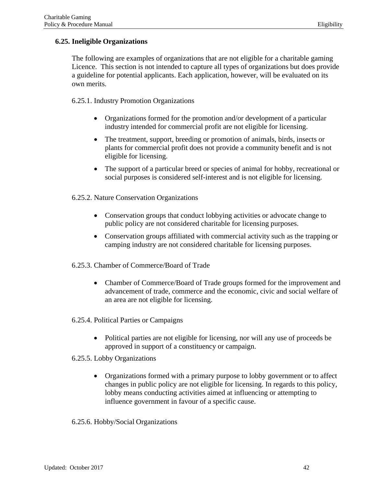# **6.25. Ineligible Organizations**

The following are examples of organizations that are not eligible for a charitable gaming Licence. This section is not intended to capture all types of organizations but does provide a guideline for potential applicants. Each application, however, will be evaluated on its own merits.

## 6.25.1. Industry Promotion Organizations

- Organizations formed for the promotion and/or development of a particular industry intended for commercial profit are not eligible for licensing.
- The treatment, support, breeding or promotion of animals, birds, insects or plants for commercial profit does not provide a community benefit and is not eligible for licensing.
- The support of a particular breed or species of animal for hobby, recreational or social purposes is considered self-interest and is not eligible for licensing.

## 6.25.2. Nature Conservation Organizations

- Conservation groups that conduct lobbying activities or advocate change to public policy are not considered charitable for licensing purposes.
- Conservation groups affiliated with commercial activity such as the trapping or camping industry are not considered charitable for licensing purposes.

# 6.25.3. Chamber of Commerce/Board of Trade

- Chamber of Commerce/Board of Trade groups formed for the improvement and advancement of trade, commerce and the economic, civic and social welfare of an area are not eligible for licensing.
- 6.25.4. Political Parties or Campaigns
	- Political parties are not eligible for licensing, nor will any use of proceeds be approved in support of a constituency or campaign.

# 6.25.5. Lobby Organizations

• Organizations formed with a primary purpose to lobby government or to affect changes in public policy are not eligible for licensing. In regards to this policy, lobby means conducting activities aimed at influencing or attempting to influence government in favour of a specific cause.

6.25.6. Hobby/Social Organizations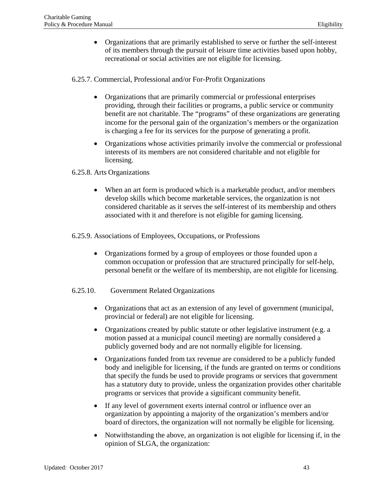• Organizations that are primarily established to serve or further the self-interest of its members through the pursuit of leisure time activities based upon hobby, recreational or social activities are not eligible for licensing.

6.25.7. Commercial, Professional and/or For-Profit Organizations

- Organizations that are primarily commercial or professional enterprises providing, through their facilities or programs, a public service or community benefit are not charitable. The "programs" of these organizations are generating income for the personal gain of the organization's members or the organization is charging a fee for its services for the purpose of generating a profit.
- Organizations whose activities primarily involve the commercial or professional interests of its members are not considered charitable and not eligible for licensing.

## 6.25.8. Arts Organizations

When an art form is produced which is a marketable product, and/or members develop skills which become marketable services, the organization is not considered charitable as it serves the self-interest of its membership and others associated with it and therefore is not eligible for gaming licensing.

6.25.9. Associations of Employees, Occupations, or Professions

- Organizations formed by a group of employees or those founded upon a common occupation or profession that are structured principally for self-help, personal benefit or the welfare of its membership, are not eligible for licensing.
- 6.25.10. Government Related Organizations
	- Organizations that act as an extension of any level of government (municipal, provincial or federal) are not eligible for licensing.
	- Organizations created by public statute or other legislative instrument (e.g. a motion passed at a municipal council meeting) are normally considered a publicly governed body and are not normally eligible for licensing.
	- Organizations funded from tax revenue are considered to be a publicly funded body and ineligible for licensing, if the funds are granted on terms or conditions that specify the funds be used to provide programs or services that government has a statutory duty to provide, unless the organization provides other charitable programs or services that provide a significant community benefit.
	- If any level of government exerts internal control or influence over an organization by appointing a majority of the organization's members and/or board of directors, the organization will not normally be eligible for licensing.
	- Notwithstanding the above, an organization is not eligible for licensing if, in the opinion of SLGA, the organization: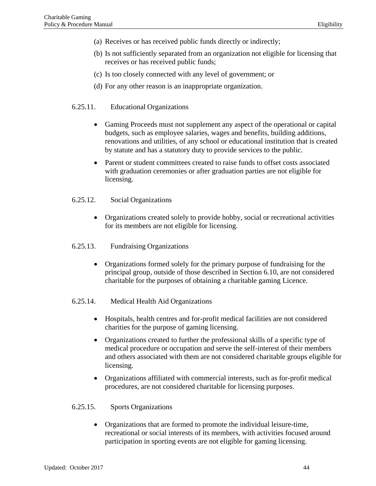- (a) Receives or has received public funds directly or indirectly;
- (b) Is not sufficiently separated from an organization not eligible for licensing that receives or has received public funds;
- (c) Is too closely connected with any level of government; or
- (d) For any other reason is an inappropriate organization.

### 6.25.11. Educational Organizations

- Gaming Proceeds must not supplement any aspect of the operational or capital budgets, such as employee salaries, wages and benefits, building additions, renovations and utilities, of any school or educational institution that is created by statute and has a statutory duty to provide services to the public.
- Parent or student committees created to raise funds to offset costs associated with graduation ceremonies or after graduation parties are not eligible for licensing.
- 6.25.12. Social Organizations
	- Organizations created solely to provide hobby, social or recreational activities for its members are not eligible for licensing.
- 6.25.13. Fundraising Organizations
	- Organizations formed solely for the primary purpose of fundraising for the principal group, outside of those described in Section 6.10, are not considered charitable for the purposes of obtaining a charitable gaming Licence.
- 6.25.14. Medical Health Aid Organizations
	- Hospitals, health centres and for-profit medical facilities are not considered charities for the purpose of gaming licensing.
	- Organizations created to further the professional skills of a specific type of medical procedure or occupation and serve the self-interest of their members and others associated with them are not considered charitable groups eligible for licensing.
	- Organizations affiliated with commercial interests, such as for-profit medical procedures, are not considered charitable for licensing purposes.

### 6.25.15. Sports Organizations

• Organizations that are formed to promote the individual leisure-time, recreational or social interests of its members, with activities focused around participation in sporting events are not eligible for gaming licensing.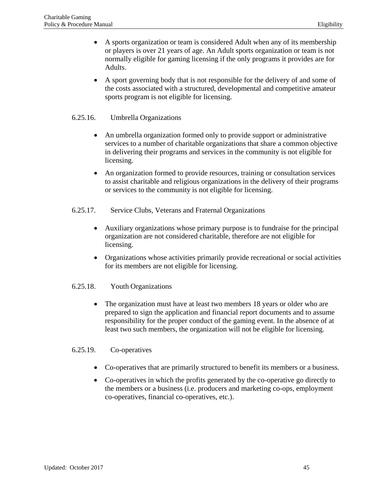- A sports organization or team is considered Adult when any of its membership or players is over 21 years of age. An Adult sports organization or team is not normally eligible for gaming licensing if the only programs it provides are for Adults.
- A sport governing body that is not responsible for the delivery of and some of the costs associated with a structured, developmental and competitive amateur sports program is not eligible for licensing.

## 6.25.16. Umbrella Organizations

- An umbrella organization formed only to provide support or administrative services to a number of charitable organizations that share a common objective in delivering their programs and services in the community is not eligible for licensing.
- An organization formed to provide resources, training or consultation services to assist charitable and religious organizations in the delivery of their programs or services to the community is not eligible for licensing.
- 6.25.17. Service Clubs, Veterans and Fraternal Organizations
	- Auxiliary organizations whose primary purpose is to fundraise for the principal organization are not considered charitable, therefore are not eligible for licensing.
	- Organizations whose activities primarily provide recreational or social activities for its members are not eligible for licensing.

# 6.25.18. Youth Organizations

• The organization must have at least two members 18 years or older who are prepared to sign the application and financial report documents and to assume responsibility for the proper conduct of the gaming event. In the absence of at least two such members, the organization will not be eligible for licensing.

### 6.25.19. Co-operatives

- Co-operatives that are primarily structured to benefit its members or a business.
- Co-operatives in which the profits generated by the co-operative go directly to the members or a business (i.e. producers and marketing co-ops, employment co-operatives, financial co-operatives, etc.).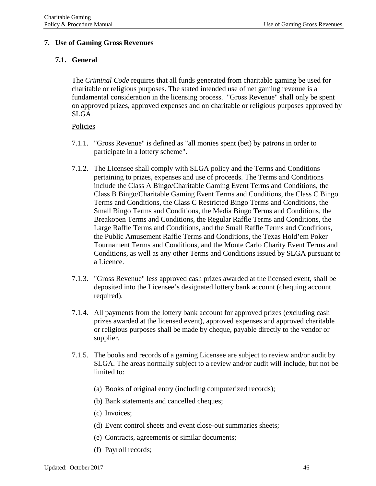## **7. Use of Gaming Gross Revenues**

## **7.1. General**

The *Criminal Code* requires that all funds generated from charitable gaming be used for charitable or religious purposes. The stated intended use of net gaming revenue is a fundamental consideration in the licensing process. "Gross Revenue" shall only be spent on approved prizes, approved expenses and on charitable or religious purposes approved by SLGA.

### Policies

- 7.1.1. "Gross Revenue" is defined as "all monies spent (bet) by patrons in order to participate in a lottery scheme".
- 7.1.2. The Licensee shall comply with SLGA policy and the Terms and Conditions pertaining to prizes, expenses and use of proceeds. The Terms and Conditions include the Class A Bingo/Charitable Gaming Event Terms and Conditions, the Class B Bingo/Charitable Gaming Event Terms and Conditions, the Class C Bingo Terms and Conditions, the Class C Restricted Bingo Terms and Conditions, the Small Bingo Terms and Conditions, the Media Bingo Terms and Conditions, the Breakopen Terms and Conditions, the Regular Raffle Terms and Conditions, the Large Raffle Terms and Conditions, and the Small Raffle Terms and Conditions, the Public Amusement Raffle Terms and Conditions, the Texas Hold'em Poker Tournament Terms and Conditions, and the Monte Carlo Charity Event Terms and Conditions, as well as any other Terms and Conditions issued by SLGA pursuant to a Licence.
- 7.1.3. "Gross Revenue" less approved cash prizes awarded at the licensed event, shall be deposited into the Licensee's designated lottery bank account (chequing account required).
- 7.1.4. All payments from the lottery bank account for approved prizes (excluding cash prizes awarded at the licensed event), approved expenses and approved charitable or religious purposes shall be made by cheque, payable directly to the vendor or supplier.
- 7.1.5. The books and records of a gaming Licensee are subject to review and/or audit by SLGA. The areas normally subject to a review and/or audit will include, but not be limited to:
	- (a) Books of original entry (including computerized records);
	- (b) Bank statements and cancelled cheques;
	- (c) Invoices;
	- (d) Event control sheets and event close-out summaries sheets;
	- (e) Contracts, agreements or similar documents;
	- (f) Payroll records;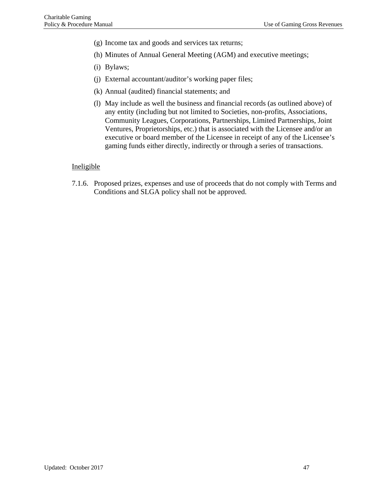- (g) Income tax and goods and services tax returns;
- (h) Minutes of Annual General Meeting (AGM) and executive meetings;
- (i) Bylaws;
- (j) External accountant/auditor's working paper files;
- (k) Annual (audited) financial statements; and
- (l) May include as well the business and financial records (as outlined above) of any entity (including but not limited to Societies, non-profits, Associations, Community Leagues, Corporations, Partnerships, Limited Partnerships, Joint Ventures, Proprietorships, etc.) that is associated with the Licensee and/or an executive or board member of the Licensee in receipt of any of the Licensee's gaming funds either directly, indirectly or through a series of transactions.

#### Ineligible

7.1.6. Proposed prizes, expenses and use of proceeds that do not comply with Terms and Conditions and SLGA policy shall not be approved.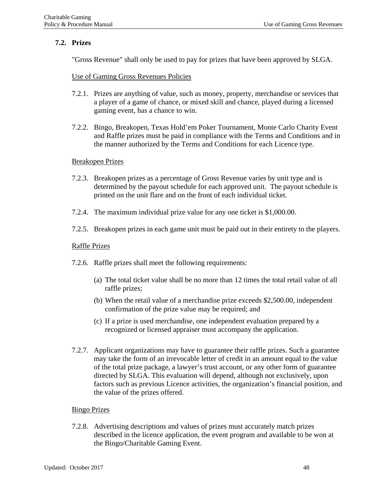### **7.2. Prizes**

"Gross Revenue" shall only be used to pay for prizes that have been approved by SLGA.

### Use of Gaming Gross Revenues Policies

- 7.2.1. Prizes are anything of value, such as money, property, merchandise or services that a player of a game of chance, or mixed skill and chance, played during a licensed gaming event, has a chance to win.
- 7.2.2. Bingo, Breakopen, Texas Hold'em Poker Tournament, Monte Carlo Charity Event and Raffle prizes must be paid in compliance with the Terms and Conditions and in the manner authorized by the Terms and Conditions for each Licence type.

### Breakopen Prizes

- 7.2.3. Breakopen prizes as a percentage of Gross Revenue varies by unit type and is determined by the payout schedule for each approved unit. The payout schedule is printed on the unit flare and on the front of each individual ticket.
- 7.2.4. The maximum individual prize value for any one ticket is \$1,000.00.
- 7.2.5. Breakopen prizes in each game unit must be paid out in their entirety to the players.

### Raffle Prizes

- 7.2.6. Raffle prizes shall meet the following requirements:
	- (a) The total ticket value shall be no more than 12 times the total retail value of all raffle prizes;
	- (b) When the retail value of a merchandise prize exceeds \$2,500.00, independent confirmation of the prize value may be required; and
	- (c) If a prize is used merchandise, one independent evaluation prepared by a recognized or licensed appraiser must accompany the application.
- 7.2.7. Applicant organizations may have to guarantee their raffle prizes. Such a guarantee may take the form of an irrevocable letter of credit in an amount equal to the value of the total prize package, a lawyer's trust account, or any other form of guarantee directed by SLGA. This evaluation will depend, although not exclusively, upon factors such as previous Licence activities, the organization's financial position, and the value of the prizes offered.

### Bingo Prizes

7.2.8. Advertising descriptions and values of prizes must accurately match prizes described in the licence application, the event program and available to be won at the Bingo/Charitable Gaming Event.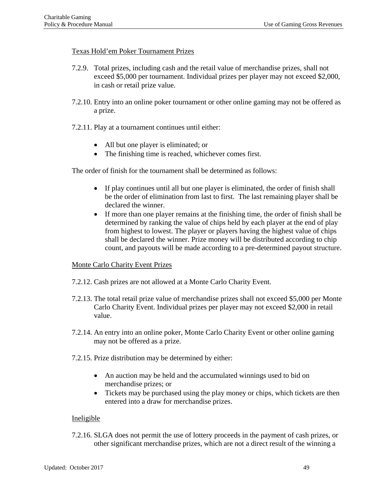### Texas Hold'em Poker Tournament Prizes

- 7.2.9. Total prizes, including cash and the retail value of merchandise prizes, shall not exceed \$5,000 per tournament. Individual prizes per player may not exceed \$2,000, in cash or retail prize value.
- 7.2.10. Entry into an online poker tournament or other online gaming may not be offered as a prize.
- 7.2.11. Play at a tournament continues until either:
	- All but one player is eliminated; or
	- The finishing time is reached, whichever comes first.

The order of finish for the tournament shall be determined as follows:

- If play continues until all but one player is eliminated, the order of finish shall be the order of elimination from last to first. The last remaining player shall be declared the winner.
- If more than one player remains at the finishing time, the order of finish shall be determined by ranking the value of chips held by each player at the end of play from highest to lowest. The player or players having the highest value of chips shall be declared the winner. Prize money will be distributed according to chip count, and payouts will be made according to a pre-determined payout structure.

### Monte Carlo Charity Event Prizes

- 7.2.12. Cash prizes are not allowed at a Monte Carlo Charity Event.
- 7.2.13. The total retail prize value of merchandise prizes shall not exceed \$5,000 per Monte Carlo Charity Event. Individual prizes per player may not exceed \$2,000 in retail value.
- 7.2.14. An entry into an online poker, Monte Carlo Charity Event or other online gaming may not be offered as a prize.
- 7.2.15. Prize distribution may be determined by either:
	- An auction may be held and the accumulated winnings used to bid on merchandise prizes; or
	- Tickets may be purchased using the play money or chips, which tickets are then entered into a draw for merchandise prizes.

### Ineligible

7.2.16. SLGA does not permit the use of lottery proceeds in the payment of cash prizes, or other significant merchandise prizes, which are not a direct result of the winning a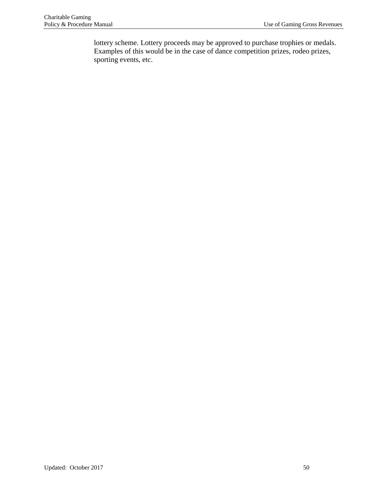lottery scheme. Lottery proceeds may be approved to purchase trophies or medals. Examples of this would be in the case of dance competition prizes, rodeo prizes, sporting events, etc.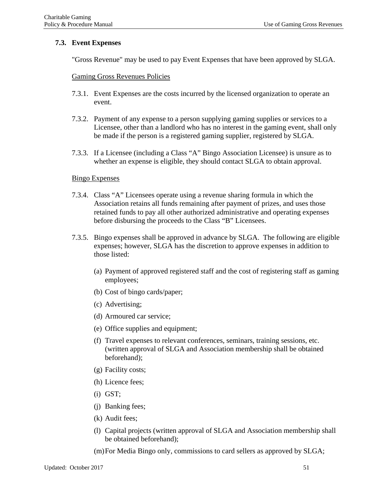### **7.3. Event Expenses**

"Gross Revenue" may be used to pay Event Expenses that have been approved by SLGA.

### Gaming Gross Revenues Policies

- 7.3.1. Event Expenses are the costs incurred by the licensed organization to operate an event.
- 7.3.2. Payment of any expense to a person supplying gaming supplies or services to a Licensee, other than a landlord who has no interest in the gaming event, shall only be made if the person is a registered gaming supplier, registered by SLGA.
- 7.3.3. If a Licensee (including a Class "A" Bingo Association Licensee) is unsure as to whether an expense is eligible, they should contact SLGA to obtain approval.

### Bingo Expenses

- 7.3.4. Class "A" Licensees operate using a revenue sharing formula in which the Association retains all funds remaining after payment of prizes, and uses those retained funds to pay all other authorized administrative and operating expenses before disbursing the proceeds to the Class "B" Licensees.
- 7.3.5. Bingo expenses shall be approved in advance by SLGA. The following are eligible expenses; however, SLGA has the discretion to approve expenses in addition to those listed:
	- (a) Payment of approved registered staff and the cost of registering staff as gaming employees;
	- (b) Cost of bingo cards/paper;
	- (c) Advertising;
	- (d) Armoured car service;
	- (e) Office supplies and equipment;
	- (f) Travel expenses to relevant conferences, seminars, training sessions, etc. (written approval of SLGA and Association membership shall be obtained beforehand);
	- (g) Facility costs;
	- (h) Licence fees;
	- (i) GST;
	- (j) Banking fees;
	- (k) Audit fees;
	- (l) Capital projects (written approval of SLGA and Association membership shall be obtained beforehand);
	- (m)For Media Bingo only, commissions to card sellers as approved by SLGA;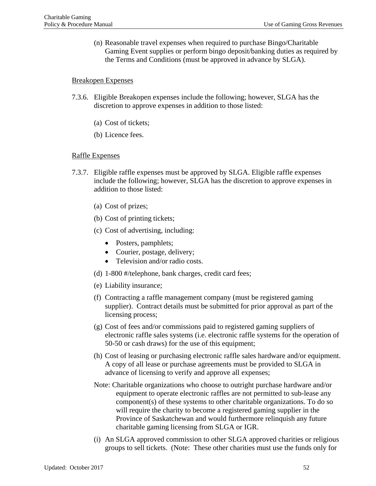(n) Reasonable travel expenses when required to purchase Bingo/Charitable Gaming Event supplies or perform bingo deposit/banking duties as required by the Terms and Conditions (must be approved in advance by SLGA).

#### Breakopen Expenses

- 7.3.6. Eligible Breakopen expenses include the following; however, SLGA has the discretion to approve expenses in addition to those listed:
	- (a) Cost of tickets;
	- (b) Licence fees.

#### Raffle Expenses

- 7.3.7. Eligible raffle expenses must be approved by SLGA. Eligible raffle expenses include the following; however, SLGA has the discretion to approve expenses in addition to those listed:
	- (a) Cost of prizes;
	- (b) Cost of printing tickets;
	- (c) Cost of advertising, including:
		- Posters, pamphlets;
		- Courier, postage, delivery;
		- Television and/or radio costs.
	- (d) 1-800 #/telephone, bank charges, credit card fees;
	- (e) Liability insurance;
	- (f) Contracting a raffle management company (must be registered gaming supplier). Contract details must be submitted for prior approval as part of the licensing process;
	- (g) Cost of fees and/or commissions paid to registered gaming suppliers of electronic raffle sales systems (i.e. electronic raffle systems for the operation of 50-50 or cash draws) for the use of this equipment;
	- (h) Cost of leasing or purchasing electronic raffle sales hardware and/or equipment. A copy of all lease or purchase agreements must be provided to SLGA in advance of licensing to verify and approve all expenses;
	- Note: Charitable organizations who choose to outright purchase hardware and/or equipment to operate electronic raffles are not permitted to sub-lease any component(s) of these systems to other charitable organizations. To do so will require the charity to become a registered gaming supplier in the Province of Saskatchewan and would furthermore relinquish any future charitable gaming licensing from SLGA or IGR.
	- (i) An SLGA approved commission to other SLGA approved charities or religious groups to sell tickets. (Note: These other charities must use the funds only for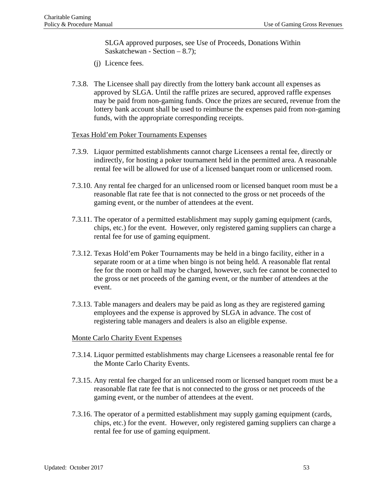SLGA approved purposes, see Use of Proceeds, Donations Within Saskatchewan - Section – 8.7);

- (j) Licence fees.
- 7.3.8. The Licensee shall pay directly from the lottery bank account all expenses as approved by SLGA. Until the raffle prizes are secured, approved raffle expenses may be paid from non-gaming funds. Once the prizes are secured, revenue from the lottery bank account shall be used to reimburse the expenses paid from non-gaming funds, with the appropriate corresponding receipts.

### Texas Hold'em Poker Tournaments Expenses

- 7.3.9. Liquor permitted establishments cannot charge Licensees a rental fee, directly or indirectly, for hosting a poker tournament held in the permitted area. A reasonable rental fee will be allowed for use of a licensed banquet room or unlicensed room.
- 7.3.10. Any rental fee charged for an unlicensed room or licensed banquet room must be a reasonable flat rate fee that is not connected to the gross or net proceeds of the gaming event, or the number of attendees at the event.
- 7.3.11. The operator of a permitted establishment may supply gaming equipment (cards, chips, etc.) for the event. However, only registered gaming suppliers can charge a rental fee for use of gaming equipment.
- 7.3.12. Texas Hold'em Poker Tournaments may be held in a bingo facility, either in a separate room or at a time when bingo is not being held. A reasonable flat rental fee for the room or hall may be charged, however, such fee cannot be connected to the gross or net proceeds of the gaming event, or the number of attendees at the event.
- 7.3.13. Table managers and dealers may be paid as long as they are registered gaming employees and the expense is approved by SLGA in advance. The cost of registering table managers and dealers is also an eligible expense.

#### Monte Carlo Charity Event Expenses

- 7.3.14. Liquor permitted establishments may charge Licensees a reasonable rental fee for the Monte Carlo Charity Events.
- 7.3.15. Any rental fee charged for an unlicensed room or licensed banquet room must be a reasonable flat rate fee that is not connected to the gross or net proceeds of the gaming event, or the number of attendees at the event.
- 7.3.16. The operator of a permitted establishment may supply gaming equipment (cards, chips, etc.) for the event. However, only registered gaming suppliers can charge a rental fee for use of gaming equipment.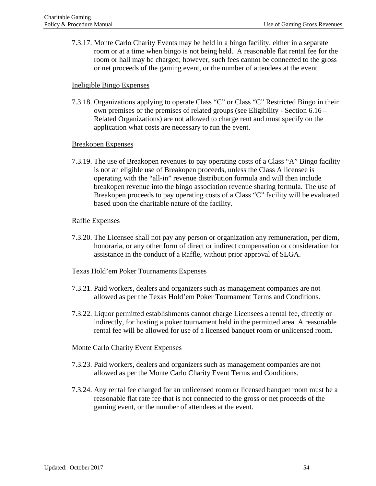7.3.17. Monte Carlo Charity Events may be held in a bingo facility, either in a separate room or at a time when bingo is not being held. A reasonable flat rental fee for the room or hall may be charged; however, such fees cannot be connected to the gross or net proceeds of the gaming event, or the number of attendees at the event.

### Ineligible Bingo Expenses

7.3.18. Organizations applying to operate Class "C" or Class "C" Restricted Bingo in their own premises or the premises of related groups (see Eligibility - Section 6.16 – Related Organizations) are not allowed to charge rent and must specify on the application what costs are necessary to run the event.

### Breakopen Expenses

7.3.19. The use of Breakopen revenues to pay operating costs of a Class "A" Bingo facility is not an eligible use of Breakopen proceeds, unless the Class A licensee is operating with the "all-in" revenue distribution formula and will then include breakopen revenue into the bingo association revenue sharing formula. The use of Breakopen proceeds to pay operating costs of a Class "C" facility will be evaluated based upon the charitable nature of the facility.

### Raffle Expenses

7.3.20. The Licensee shall not pay any person or organization any remuneration, per diem, honoraria, or any other form of direct or indirect compensation or consideration for assistance in the conduct of a Raffle, without prior approval of SLGA.

### Texas Hold'em Poker Tournaments Expenses

- 7.3.21. Paid workers, dealers and organizers such as management companies are not allowed as per the Texas Hold'em Poker Tournament Terms and Conditions.
- 7.3.22. Liquor permitted establishments cannot charge Licensees a rental fee, directly or indirectly, for hosting a poker tournament held in the permitted area. A reasonable rental fee will be allowed for use of a licensed banquet room or unlicensed room.

### Monte Carlo Charity Event Expenses

- 7.3.23. Paid workers, dealers and organizers such as management companies are not allowed as per the Monte Carlo Charity Event Terms and Conditions.
- 7.3.24. Any rental fee charged for an unlicensed room or licensed banquet room must be a reasonable flat rate fee that is not connected to the gross or net proceeds of the gaming event, or the number of attendees at the event.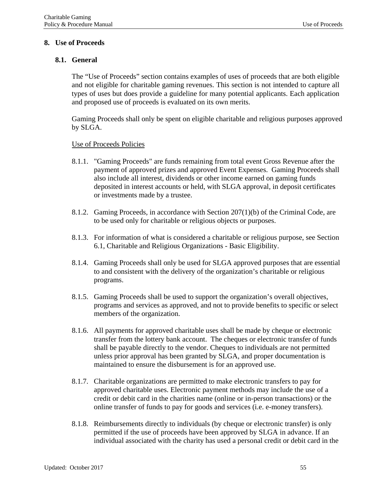## **8. Use of Proceeds**

## **8.1. General**

The "Use of Proceeds" section contains examples of uses of proceeds that are both eligible and not eligible for charitable gaming revenues. This section is not intended to capture all types of uses but does provide a guideline for many potential applicants. Each application and proposed use of proceeds is evaluated on its own merits.

Gaming Proceeds shall only be spent on eligible charitable and religious purposes approved by SLGA.

### Use of Proceeds Policies

- 8.1.1. "Gaming Proceeds" are funds remaining from total event Gross Revenue after the payment of approved prizes and approved Event Expenses. Gaming Proceeds shall also include all interest, dividends or other income earned on gaming funds deposited in interest accounts or held, with SLGA approval, in deposit certificates or investments made by a trustee.
- 8.1.2. Gaming Proceeds, in accordance with Section 207(1)(b) of the Criminal Code, are to be used only for charitable or religious objects or purposes.
- 8.1.3. For information of what is considered a charitable or religious purpose, see Section 6.1, Charitable and Religious Organizations - Basic Eligibility.
- 8.1.4. Gaming Proceeds shall only be used for SLGA approved purposes that are essential to and consistent with the delivery of the organization's charitable or religious programs.
- 8.1.5. Gaming Proceeds shall be used to support the organization's overall objectives, programs and services as approved, and not to provide benefits to specific or select members of the organization.
- 8.1.6. All payments for approved charitable uses shall be made by cheque or electronic transfer from the lottery bank account. The cheques or electronic transfer of funds shall be payable directly to the vendor. Cheques to individuals are not permitted unless prior approval has been granted by SLGA, and proper documentation is maintained to ensure the disbursement is for an approved use.
- 8.1.7. Charitable organizations are permitted to make electronic transfers to pay for approved charitable uses. Electronic payment methods may include the use of a credit or debit card in the charities name (online or in-person transactions) or the online transfer of funds to pay for goods and services (i.e. e-money transfers).
- 8.1.8. Reimbursements directly to individuals (by cheque or electronic transfer) is only permitted if the use of proceeds have been approved by SLGA in advance. If an individual associated with the charity has used a personal credit or debit card in the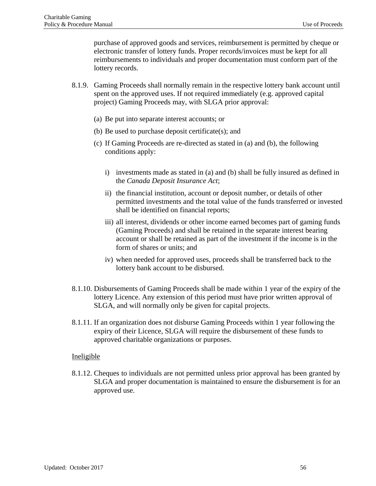purchase of approved goods and services, reimbursement is permitted by cheque or electronic transfer of lottery funds. Proper records/invoices must be kept for all reimbursements to individuals and proper documentation must conform part of the lottery records.

- 8.1.9. Gaming Proceeds shall normally remain in the respective lottery bank account until spent on the approved uses. If not required immediately (e.g. approved capital project) Gaming Proceeds may, with SLGA prior approval:
	- (a) Be put into separate interest accounts; or
	- (b) Be used to purchase deposit certificate(s); and
	- (c) If Gaming Proceeds are re-directed as stated in (a) and (b), the following conditions apply:
		- i) investments made as stated in (a) and (b) shall be fully insured as defined in the *Canada Deposit Insurance Act*;
		- ii) the financial institution, account or deposit number, or details of other permitted investments and the total value of the funds transferred or invested shall be identified on financial reports;
		- iii) all interest, dividends or other income earned becomes part of gaming funds (Gaming Proceeds) and shall be retained in the separate interest bearing account or shall be retained as part of the investment if the income is in the form of shares or units; and
		- iv) when needed for approved uses, proceeds shall be transferred back to the lottery bank account to be disbursed.
- 8.1.10. Disbursements of Gaming Proceeds shall be made within 1 year of the expiry of the lottery Licence. Any extension of this period must have prior written approval of SLGA, and will normally only be given for capital projects.
- 8.1.11. If an organization does not disburse Gaming Proceeds within 1 year following the expiry of their Licence, SLGA will require the disbursement of these funds to approved charitable organizations or purposes.

### Ineligible

8.1.12. Cheques to individuals are not permitted unless prior approval has been granted by SLGA and proper documentation is maintained to ensure the disbursement is for an approved use.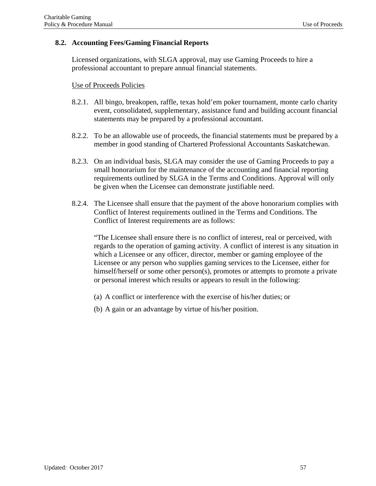# **8.2. Accounting Fees/Gaming Financial Reports**

Licensed organizations, with SLGA approval, may use Gaming Proceeds to hire a professional accountant to prepare annual financial statements.

### Use of Proceeds Policies

- 8.2.1. All bingo, breakopen, raffle, texas hold'em poker tournament, monte carlo charity event, consolidated, supplementary, assistance fund and building account financial statements may be prepared by a professional accountant.
- 8.2.2. To be an allowable use of proceeds, the financial statements must be prepared by a member in good standing of Chartered Professional Accountants Saskatchewan.
- 8.2.3. On an individual basis, SLGA may consider the use of Gaming Proceeds to pay a small honorarium for the maintenance of the accounting and financial reporting requirements outlined by SLGA in the Terms and Conditions. Approval will only be given when the Licensee can demonstrate justifiable need.
- 8.2.4. The Licensee shall ensure that the payment of the above honorarium complies with Conflict of Interest requirements outlined in the Terms and Conditions. The Conflict of Interest requirements are as follows:

"The Licensee shall ensure there is no conflict of interest, real or perceived, with regards to the operation of gaming activity. A conflict of interest is any situation in which a Licensee or any officer, director, member or gaming employee of the Licensee or any person who supplies gaming services to the Licensee, either for himself/herself or some other person(s), promotes or attempts to promote a private or personal interest which results or appears to result in the following:

- (a) A conflict or interference with the exercise of his/her duties; or
- (b) A gain or an advantage by virtue of his/her position.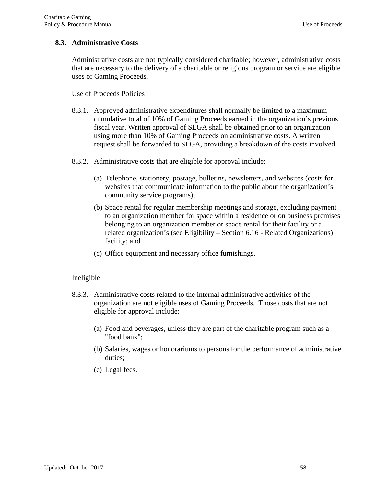## **8.3. Administrative Costs**

Administrative costs are not typically considered charitable; however, administrative costs that are necessary to the delivery of a charitable or religious program or service are eligible uses of Gaming Proceeds.

### Use of Proceeds Policies

- 8.3.1. Approved administrative expenditures shall normally be limited to a maximum cumulative total of 10% of Gaming Proceeds earned in the organization's previous fiscal year. Written approval of SLGA shall be obtained prior to an organization using more than 10% of Gaming Proceeds on administrative costs. A written request shall be forwarded to SLGA, providing a breakdown of the costs involved.
- 8.3.2. Administrative costs that are eligible for approval include:
	- (a) Telephone, stationery, postage, bulletins, newsletters, and websites (costs for websites that communicate information to the public about the organization's community service programs);
	- (b) Space rental for regular membership meetings and storage, excluding payment to an organization member for space within a residence or on business premises belonging to an organization member or space rental for their facility or a related organization's (see Eligibility – Section 6.16 - Related Organizations) facility; and
	- (c) Office equipment and necessary office furnishings.

- 8.3.3. Administrative costs related to the internal administrative activities of the organization are not eligible uses of Gaming Proceeds. Those costs that are not eligible for approval include:
	- (a) Food and beverages, unless they are part of the charitable program such as a "food bank";
	- (b) Salaries, wages or honorariums to persons for the performance of administrative duties;
	- (c) Legal fees.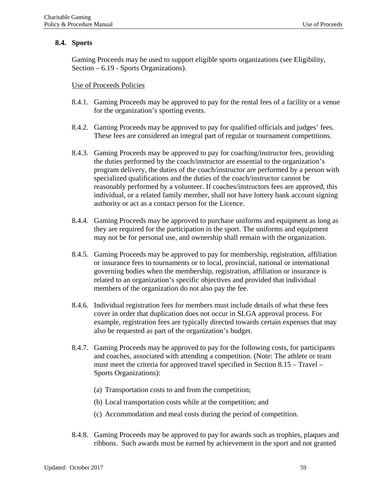# **8.4. Sports**

Gaming Proceeds may be used to support eligible sports organizations (see Eligibility, Section – 6.19 - Sports Organizations).

## Use of Proceeds Policies

- 8.4.1. Gaming Proceeds may be approved to pay for the rental fees of a facility or a venue for the organization's sporting events.
- 8.4.2. Gaming Proceeds may be approved to pay for qualified officials and judges' fees. These fees are considered an integral part of regular or tournament competitions.
- 8.4.3. Gaming Proceeds may be approved to pay for coaching/instructor fees, providing the duties performed by the coach/instructor are essential to the organization's program delivery, the duties of the coach/instructor are performed by a person with specialized qualifications and the duties of the coach/instructor cannot be reasonably performed by a volunteer. If coaches/instructors fees are approved, this individual, or a related family member, shall not have lottery bank account signing authority or act as a contact person for the Licence.
- 8.4.4. Gaming Proceeds may be approved to purchase uniforms and equipment as long as they are required for the participation in the sport. The uniforms and equipment may not be for personal use, and ownership shall remain with the organization.
- 8.4.5. Gaming Proceeds may be approved to pay for membership, registration, affiliation or insurance fees to tournaments or to local, provincial, national or international governing bodies when the membership, registration, affiliation or insurance is related to an organization's specific objectives and provided that individual members of the organization do not also pay the fee.
- 8.4.6. Individual registration fees for members must include details of what these fees cover in order that duplication does not occur in SLGA approval process. For example, registration fees are typically directed towards certain expenses that may also be requested as part of the organization's budget.
- 8.4.7. Gaming Proceeds may be approved to pay for the following costs, for participants and coaches, associated with attending a competition. (Note: The athlete or team must meet the criteria for approved travel specified in Section 8.15 – Travel – Sports Organizations):
	- (a) Transportation costs to and from the competition;
	- (b) Local transportation costs while at the competition; and
	- (c) Accommodation and meal costs during the period of competition.
- 8.4.8. Gaming Proceeds may be approved to pay for awards such as trophies, plaques and ribbons. Such awards must be earned by achievement in the sport and not granted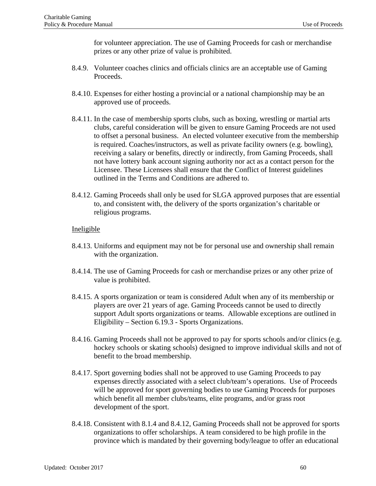for volunteer appreciation. The use of Gaming Proceeds for cash or merchandise prizes or any other prize of value is prohibited.

- 8.4.9. Volunteer coaches clinics and officials clinics are an acceptable use of Gaming Proceeds.
- 8.4.10. Expenses for either hosting a provincial or a national championship may be an approved use of proceeds.
- 8.4.11. In the case of membership sports clubs, such as boxing, wrestling or martial arts clubs, careful consideration will be given to ensure Gaming Proceeds are not used to offset a personal business. An elected volunteer executive from the membership is required. Coaches/instructors, as well as private facility owners (e.g. bowling), receiving a salary or benefits, directly or indirectly, from Gaming Proceeds, shall not have lottery bank account signing authority nor act as a contact person for the Licensee. These Licensees shall ensure that the Conflict of Interest guidelines outlined in the Terms and Conditions are adhered to.
- 8.4.12. Gaming Proceeds shall only be used for SLGA approved purposes that are essential to, and consistent with, the delivery of the sports organization's charitable or religious programs.

- 8.4.13. Uniforms and equipment may not be for personal use and ownership shall remain with the organization.
- 8.4.14. The use of Gaming Proceeds for cash or merchandise prizes or any other prize of value is prohibited.
- 8.4.15. A sports organization or team is considered Adult when any of its membership or players are over 21 years of age. Gaming Proceeds cannot be used to directly support Adult sports organizations or teams. Allowable exceptions are outlined in Eligibility – Section 6.19.3 - Sports Organizations.
- 8.4.16. Gaming Proceeds shall not be approved to pay for sports schools and/or clinics (e.g. hockey schools or skating schools) designed to improve individual skills and not of benefit to the broad membership.
- 8.4.17. Sport governing bodies shall not be approved to use Gaming Proceeds to pay expenses directly associated with a select club/team's operations. Use of Proceeds will be approved for sport governing bodies to use Gaming Proceeds for purposes which benefit all member clubs/teams, elite programs, and/or grass root development of the sport.
- 8.4.18. Consistent with 8.1.4 and 8.4.12, Gaming Proceeds shall not be approved for sports organizations to offer scholarships. A team considered to be high profile in the province which is mandated by their governing body/league to offer an educational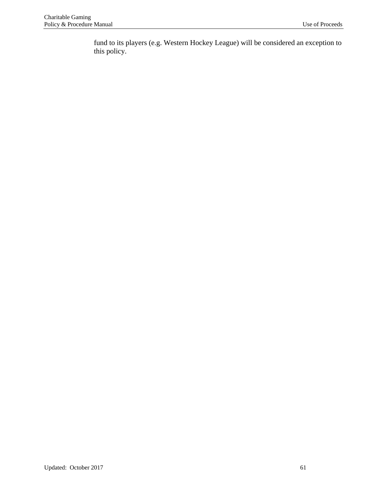fund to its players (e.g. Western Hockey League) will be considered an exception to this policy.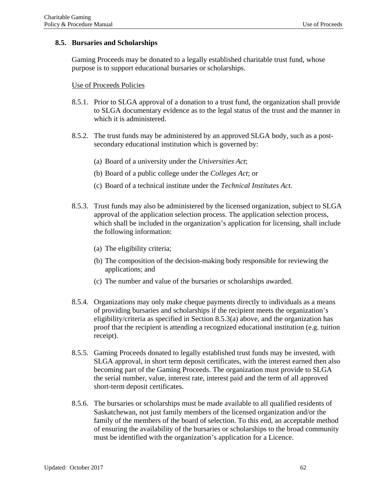## **8.5. Bursaries and Scholarships**

Gaming Proceeds may be donated to a legally established charitable trust fund, whose purpose is to support educational bursaries or scholarships.

### Use of Proceeds Policies

- 8.5.1. Prior to SLGA approval of a donation to a trust fund, the organization shall provide to SLGA documentary evidence as to the legal status of the trust and the manner in which it is administered.
- 8.5.2. The trust funds may be administered by an approved SLGA body, such as a postsecondary educational institution which is governed by:
	- (a) Board of a university under the *Universities Act*;
	- (b) Board of a public college under the *Colleges Act*; or
	- (c) Board of a technical institute under the *Technical Institutes Act*.
- 8.5.3. Trust funds may also be administered by the licensed organization, subject to SLGA approval of the application selection process. The application selection process, which shall be included in the organization's application for licensing, shall include the following information:
	- (a) The eligibility criteria;
	- (b) The composition of the decision-making body responsible for reviewing the applications; and
	- (c) The number and value of the bursaries or scholarships awarded.
- 8.5.4. Organizations may only make cheque payments directly to individuals as a means of providing bursaries and scholarships if the recipient meets the organization's eligibility/criteria as specified in Section 8.5.3(a) above, and the organization has proof that the recipient is attending a recognized educational institution (e.g. tuition receipt).
- 8.5.5. Gaming Proceeds donated to legally established trust funds may be invested, with SLGA approval, in short term deposit certificates, with the interest earned then also becoming part of the Gaming Proceeds. The organization must provide to SLGA the serial number, value, interest rate, interest paid and the term of all approved short-term deposit certificates.
- 8.5.6. The bursaries or scholarships must be made available to all qualified residents of Saskatchewan, not just family members of the licensed organization and/or the family of the members of the board of selection. To this end, an acceptable method of ensuring the availability of the bursaries or scholarships to the broad community must be identified with the organization's application for a Licence.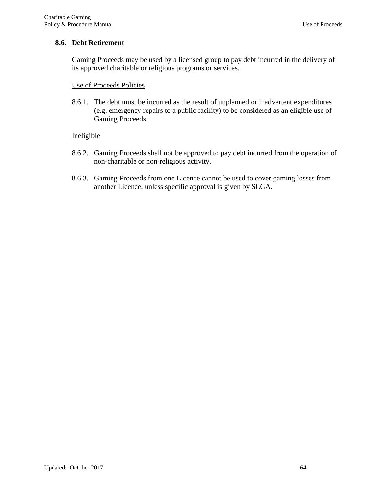# **8.6. Debt Retirement**

Gaming Proceeds may be used by a licensed group to pay debt incurred in the delivery of its approved charitable or religious programs or services.

## Use of Proceeds Policies

8.6.1. The debt must be incurred as the result of unplanned or inadvertent expenditures (e.g. emergency repairs to a public facility) to be considered as an eligible use of Gaming Proceeds.

- 8.6.2. Gaming Proceeds shall not be approved to pay debt incurred from the operation of non-charitable or non-religious activity.
- 8.6.3. Gaming Proceeds from one Licence cannot be used to cover gaming losses from another Licence, unless specific approval is given by SLGA.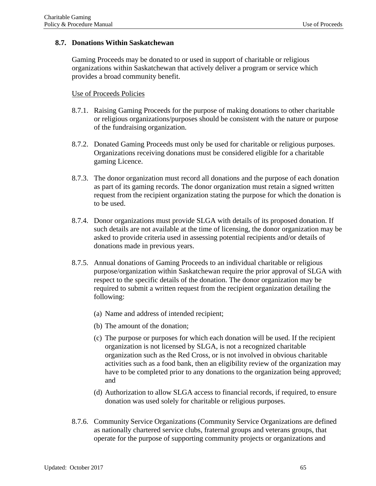### **8.7. Donations Within Saskatchewan**

Gaming Proceeds may be donated to or used in support of charitable or religious organizations within Saskatchewan that actively deliver a program or service which provides a broad community benefit.

### Use of Proceeds Policies

- 8.7.1. Raising Gaming Proceeds for the purpose of making donations to other charitable or religious organizations/purposes should be consistent with the nature or purpose of the fundraising organization.
- 8.7.2. Donated Gaming Proceeds must only be used for charitable or religious purposes. Organizations receiving donations must be considered eligible for a charitable gaming Licence.
- 8.7.3. The donor organization must record all donations and the purpose of each donation as part of its gaming records. The donor organization must retain a signed written request from the recipient organization stating the purpose for which the donation is to be used.
- 8.7.4. Donor organizations must provide SLGA with details of its proposed donation. If such details are not available at the time of licensing, the donor organization may be asked to provide criteria used in assessing potential recipients and/or details of donations made in previous years.
- 8.7.5. Annual donations of Gaming Proceeds to an individual charitable or religious purpose/organization within Saskatchewan require the prior approval of SLGA with respect to the specific details of the donation. The donor organization may be required to submit a written request from the recipient organization detailing the following:
	- (a) Name and address of intended recipient;
	- (b) The amount of the donation;
	- (c) The purpose or purposes for which each donation will be used. If the recipient organization is not licensed by SLGA, is not a recognized charitable organization such as the Red Cross, or is not involved in obvious charitable activities such as a food bank, then an eligibility review of the organization may have to be completed prior to any donations to the organization being approved; and
	- (d) Authorization to allow SLGA access to financial records, if required, to ensure donation was used solely for charitable or religious purposes.
- 8.7.6. Community Service Organizations (Community Service Organizations are defined as nationally chartered service clubs, fraternal groups and veterans groups, that operate for the purpose of supporting community projects or organizations and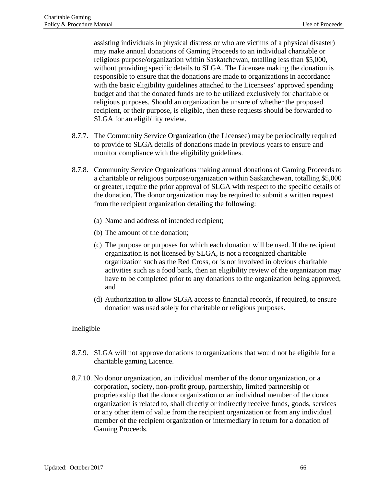assisting individuals in physical distress or who are victims of a physical disaster) may make annual donations of Gaming Proceeds to an individual charitable or religious purpose/organization within Saskatchewan, totalling less than \$5,000, without providing specific details to SLGA. The Licensee making the donation is responsible to ensure that the donations are made to organizations in accordance with the basic eligibility guidelines attached to the Licensees' approved spending budget and that the donated funds are to be utilized exclusively for charitable or religious purposes. Should an organization be unsure of whether the proposed recipient, or their purpose, is eligible, then these requests should be forwarded to SLGA for an eligibility review.

- 8.7.7. The Community Service Organization (the Licensee) may be periodically required to provide to SLGA details of donations made in previous years to ensure and monitor compliance with the eligibility guidelines.
- 8.7.8. Community Service Organizations making annual donations of Gaming Proceeds to a charitable or religious purpose/organization within Saskatchewan, totalling \$5,000 or greater, require the prior approval of SLGA with respect to the specific details of the donation. The donor organization may be required to submit a written request from the recipient organization detailing the following:
	- (a) Name and address of intended recipient;
	- (b) The amount of the donation;
	- (c) The purpose or purposes for which each donation will be used. If the recipient organization is not licensed by SLGA, is not a recognized charitable organization such as the Red Cross, or is not involved in obvious charitable activities such as a food bank, then an eligibility review of the organization may have to be completed prior to any donations to the organization being approved; and
	- (d) Authorization to allow SLGA access to financial records, if required, to ensure donation was used solely for charitable or religious purposes.

- 8.7.9. SLGA will not approve donations to organizations that would not be eligible for a charitable gaming Licence.
- 8.7.10. No donor organization, an individual member of the donor organization, or a corporation, society, non-profit group, partnership, limited partnership or proprietorship that the donor organization or an individual member of the donor organization is related to, shall directly or indirectly receive funds, goods, services or any other item of value from the recipient organization or from any individual member of the recipient organization or intermediary in return for a donation of Gaming Proceeds.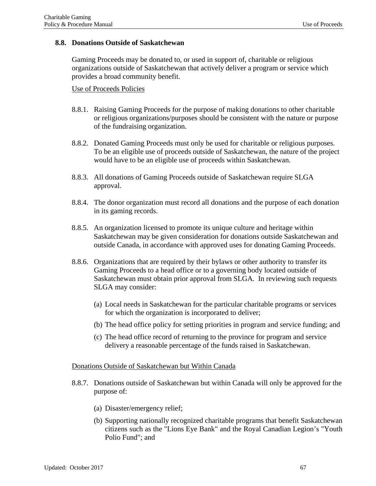### **8.8. Donations Outside of Saskatchewan**

Gaming Proceeds may be donated to, or used in support of, charitable or religious organizations outside of Saskatchewan that actively deliver a program or service which provides a broad community benefit.

### Use of Proceeds Policies

- 8.8.1. Raising Gaming Proceeds for the purpose of making donations to other charitable or religious organizations/purposes should be consistent with the nature or purpose of the fundraising organization.
- 8.8.2. Donated Gaming Proceeds must only be used for charitable or religious purposes. To be an eligible use of proceeds outside of Saskatchewan, the nature of the project would have to be an eligible use of proceeds within Saskatchewan.
- 8.8.3. All donations of Gaming Proceeds outside of Saskatchewan require SLGA approval.
- 8.8.4. The donor organization must record all donations and the purpose of each donation in its gaming records.
- 8.8.5. An organization licensed to promote its unique culture and heritage within Saskatchewan may be given consideration for donations outside Saskatchewan and outside Canada, in accordance with approved uses for donating Gaming Proceeds.
- 8.8.6. Organizations that are required by their bylaws or other authority to transfer its Gaming Proceeds to a head office or to a governing body located outside of Saskatchewan must obtain prior approval from SLGA. In reviewing such requests SLGA may consider:
	- (a) Local needs in Saskatchewan for the particular charitable programs or services for which the organization is incorporated to deliver;
	- (b) The head office policy for setting priorities in program and service funding; and
	- (c) The head office record of returning to the province for program and service delivery a reasonable percentage of the funds raised in Saskatchewan.

### Donations Outside of Saskatchewan but Within Canada

- 8.8.7. Donations outside of Saskatchewan but within Canada will only be approved for the purpose of:
	- (a) Disaster/emergency relief;
	- (b) Supporting nationally recognized charitable programs that benefit Saskatchewan citizens such as the "Lions Eye Bank" and the Royal Canadian Legion's "Youth Polio Fund"; and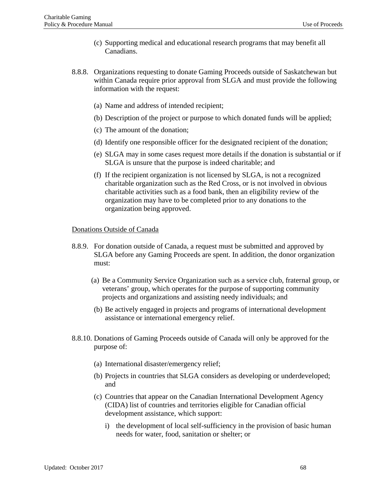- (c) Supporting medical and educational research programs that may benefit all Canadians.
- 8.8.8. Organizations requesting to donate Gaming Proceeds outside of Saskatchewan but within Canada require prior approval from SLGA and must provide the following information with the request:
	- (a) Name and address of intended recipient;
	- (b) Description of the project or purpose to which donated funds will be applied;
	- (c) The amount of the donation;
	- (d) Identify one responsible officer for the designated recipient of the donation;
	- (e) SLGA may in some cases request more details if the donation is substantial or if SLGA is unsure that the purpose is indeed charitable; and
	- (f) If the recipient organization is not licensed by SLGA, is not a recognized charitable organization such as the Red Cross, or is not involved in obvious charitable activities such as a food bank, then an eligibility review of the organization may have to be completed prior to any donations to the organization being approved.

## Donations Outside of Canada

- 8.8.9. For donation outside of Canada, a request must be submitted and approved by SLGA before any Gaming Proceeds are spent. In addition, the donor organization must:
	- (a) Be a Community Service Organization such as a service club, fraternal group, or veterans' group, which operates for the purpose of supporting community projects and organizations and assisting needy individuals; and
	- (b) Be actively engaged in projects and programs of international development assistance or international emergency relief.
- 8.8.10. Donations of Gaming Proceeds outside of Canada will only be approved for the purpose of:
	- (a) International disaster/emergency relief;
	- (b) Projects in countries that SLGA considers as developing or underdeveloped; and
	- (c) Countries that appear on the Canadian International Development Agency (CIDA) list of countries and territories eligible for Canadian official development assistance, which support:
		- i) the development of local self-sufficiency in the provision of basic human needs for water, food, sanitation or shelter; or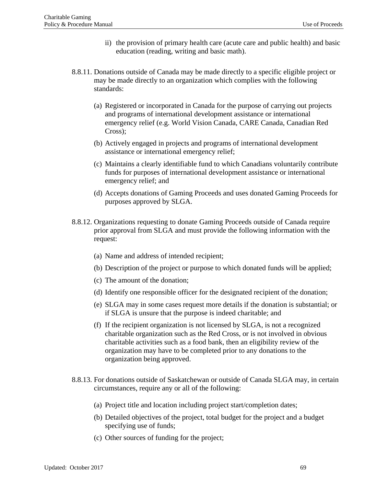- ii) the provision of primary health care (acute care and public health) and basic education (reading, writing and basic math).
- 8.8.11. Donations outside of Canada may be made directly to a specific eligible project or may be made directly to an organization which complies with the following standards:
	- (a) Registered or incorporated in Canada for the purpose of carrying out projects and programs of international development assistance or international emergency relief (e.g. World Vision Canada, CARE Canada, Canadian Red Cross);
	- (b) Actively engaged in projects and programs of international development assistance or international emergency relief;
	- (c) Maintains a clearly identifiable fund to which Canadians voluntarily contribute funds for purposes of international development assistance or international emergency relief; and
	- (d) Accepts donations of Gaming Proceeds and uses donated Gaming Proceeds for purposes approved by SLGA.
- 8.8.12. Organizations requesting to donate Gaming Proceeds outside of Canada require prior approval from SLGA and must provide the following information with the request:
	- (a) Name and address of intended recipient;
	- (b) Description of the project or purpose to which donated funds will be applied;
	- (c) The amount of the donation;
	- (d) Identify one responsible officer for the designated recipient of the donation;
	- (e) SLGA may in some cases request more details if the donation is substantial; or if SLGA is unsure that the purpose is indeed charitable; and
	- (f) If the recipient organization is not licensed by SLGA, is not a recognized charitable organization such as the Red Cross, or is not involved in obvious charitable activities such as a food bank, then an eligibility review of the organization may have to be completed prior to any donations to the organization being approved.
- 8.8.13. For donations outside of Saskatchewan or outside of Canada SLGA may, in certain circumstances, require any or all of the following:
	- (a) Project title and location including project start/completion dates;
	- (b) Detailed objectives of the project, total budget for the project and a budget specifying use of funds;
	- (c) Other sources of funding for the project;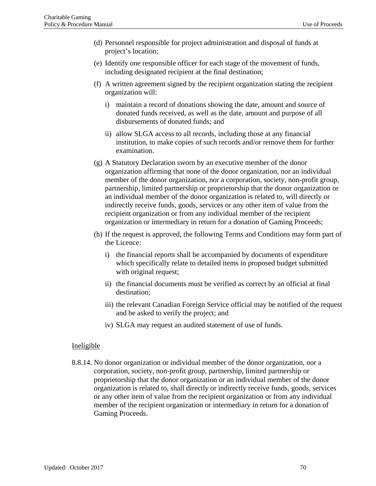- (d) Personnel responsible for project administration and disposal of funds at project's location;
- (e) Identify one responsible officer for each stage of the movement of funds, including designated recipient at the final destination;
- (f) A written agreement signed by the recipient organization stating the recipient organization will:
	- i) maintain a record of donations showing the date, amount and source of donated funds received, as well as the date, amount and purpose of all disbursements of donated funds; and
	- ii) allow SLGA access to all records, including those at any financial institution, to make copies of such records and/or remove them for further examination.
- (g) A Statutory Declaration sworn by an executive member of the donor organization affirming that none of the donor organization, nor an individual member of the donor organization, nor a corporation, society, non-profit group, partnership, limited partnership or proprietorship that the donor organization or an individual member of the donor organization is related to, will directly or indirectly receive funds, goods, services or any other item of value from the recipient organization or from any individual member of the recipient organization or intermediary in return for a donation of Gaming Proceeds;
- (h) If the request is approved, the following Terms and Conditions may form part of the Licence:
	- i) the financial reports shall be accompanied by documents of expenditure which specifically relate to detailed items in proposed budget submitted with original request;
	- ii) the financial documents must be verified as correct by an official at final destination;
	- iii) the relevant Canadian Foreign Service official may be notified of the request and be asked to verify the project; and
	- iv) SLGA may request an audited statement of use of funds.

#### Ineligible

8.8.14. No donor organization or individual member of the donor organization, nor a corporation, society, non-profit group, partnership, limited partnership or proprietorship that the donor organization or an individual member of the donor organization is related to, shall directly or indirectly receive funds, goods, services or any other item of value from the recipient organization or from any individual member of the recipient organization or intermediary in return for a donation of Gaming Proceeds.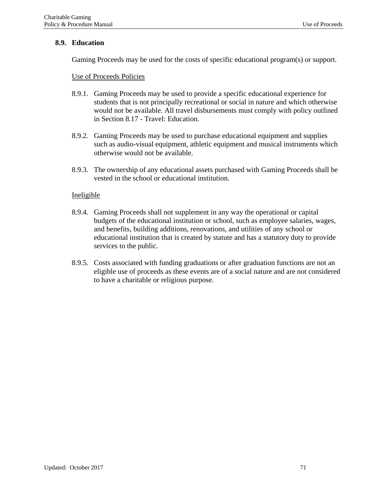## **8.9. Education**

Gaming Proceeds may be used for the costs of specific educational program(s) or support.

Use of Proceeds Policies

- 8.9.1. Gaming Proceeds may be used to provide a specific educational experience for students that is not principally recreational or social in nature and which otherwise would not be available. All travel disbursements must comply with policy outlined in Section 8.17 - Travel: Education.
- 8.9.2. Gaming Proceeds may be used to purchase educational equipment and supplies such as audio-visual equipment, athletic equipment and musical instruments which otherwise would not be available.
- 8.9.3. The ownership of any educational assets purchased with Gaming Proceeds shall be vested in the school or educational institution.

- 8.9.4. Gaming Proceeds shall not supplement in any way the operational or capital budgets of the educational institution or school, such as employee salaries, wages, and benefits, building additions, renovations, and utilities of any school or educational institution that is created by statute and has a statutory duty to provide services to the public.
- 8.9.5. Costs associated with funding graduations or after graduation functions are not an eligible use of proceeds as these events are of a social nature and are not considered to have a charitable or religious purpose.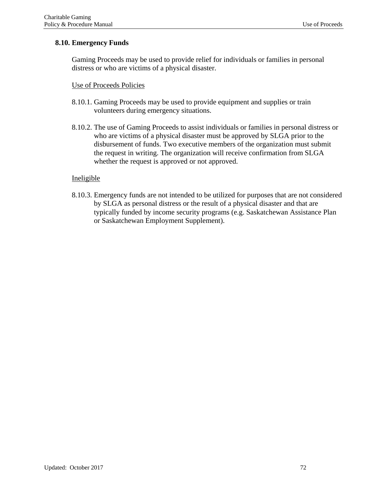# **8.10. Emergency Funds**

Gaming Proceeds may be used to provide relief for individuals or families in personal distress or who are victims of a physical disaster.

### Use of Proceeds Policies

- 8.10.1. Gaming Proceeds may be used to provide equipment and supplies or train volunteers during emergency situations.
- 8.10.2. The use of Gaming Proceeds to assist individuals or families in personal distress or who are victims of a physical disaster must be approved by SLGA prior to the disbursement of funds. Two executive members of the organization must submit the request in writing. The organization will receive confirmation from SLGA whether the request is approved or not approved.

# Ineligible

8.10.3. Emergency funds are not intended to be utilized for purposes that are not considered by SLGA as personal distress or the result of a physical disaster and that are typically funded by income security programs (e.g. Saskatchewan Assistance Plan or Saskatchewan Employment Supplement).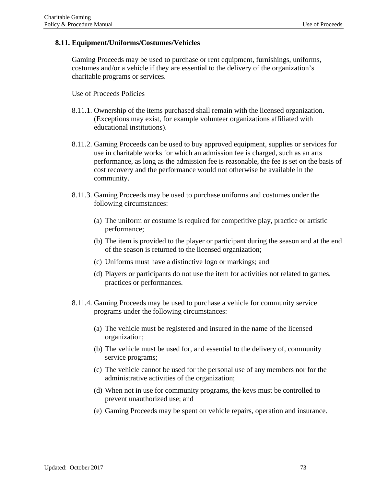# **8.11. Equipment/Uniforms/Costumes/Vehicles**

Gaming Proceeds may be used to purchase or rent equipment, furnishings, uniforms, costumes and/or a vehicle if they are essential to the delivery of the organization's charitable programs or services.

### Use of Proceeds Policies

- 8.11.1. Ownership of the items purchased shall remain with the licensed organization. (Exceptions may exist, for example volunteer organizations affiliated with educational institutions).
- 8.11.2. Gaming Proceeds can be used to buy approved equipment, supplies or services for use in charitable works for which an admission fee is charged, such as an arts performance, as long as the admission fee is reasonable, the fee is set on the basis of cost recovery and the performance would not otherwise be available in the community.
- 8.11.3. Gaming Proceeds may be used to purchase uniforms and costumes under the following circumstances:
	- (a) The uniform or costume is required for competitive play, practice or artistic performance;
	- (b) The item is provided to the player or participant during the season and at the end of the season is returned to the licensed organization;
	- (c) Uniforms must have a distinctive logo or markings; and
	- (d) Players or participants do not use the item for activities not related to games, practices or performances.
- 8.11.4. Gaming Proceeds may be used to purchase a vehicle for community service programs under the following circumstances:
	- (a) The vehicle must be registered and insured in the name of the licensed organization;
	- (b) The vehicle must be used for, and essential to the delivery of, community service programs;
	- (c) The vehicle cannot be used for the personal use of any members nor for the administrative activities of the organization;
	- (d) When not in use for community programs, the keys must be controlled to prevent unauthorized use; and
	- (e) Gaming Proceeds may be spent on vehicle repairs, operation and insurance.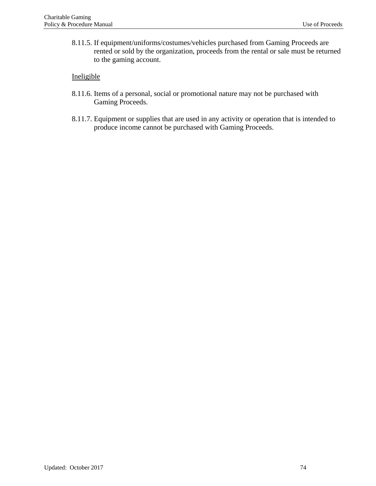8.11.5. If equipment/uniforms/costumes/vehicles purchased from Gaming Proceeds are rented or sold by the organization, proceeds from the rental or sale must be returned to the gaming account.

- 8.11.6. Items of a personal, social or promotional nature may not be purchased with Gaming Proceeds.
- 8.11.7. Equipment or supplies that are used in any activity or operation that is intended to produce income cannot be purchased with Gaming Proceeds.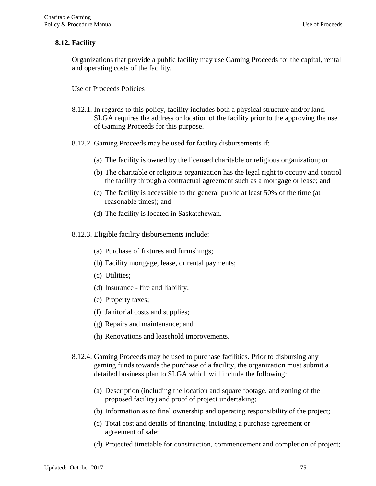# **8.12. Facility**

Organizations that provide a public facility may use Gaming Proceeds for the capital, rental and operating costs of the facility.

# Use of Proceeds Policies

- 8.12.1. In regards to this policy, facility includes both a physical structure and/or land. SLGA requires the address or location of the facility prior to the approving the use of Gaming Proceeds for this purpose.
- 8.12.2. Gaming Proceeds may be used for facility disbursements if:
	- (a) The facility is owned by the licensed charitable or religious organization; or
	- (b) The charitable or religious organization has the legal right to occupy and control the facility through a contractual agreement such as a mortgage or lease; and
	- (c) The facility is accessible to the general public at least 50% of the time (at reasonable times); and
	- (d) The facility is located in Saskatchewan.
- 8.12.3. Eligible facility disbursements include:
	- (a) Purchase of fixtures and furnishings;
	- (b) Facility mortgage, lease, or rental payments;
	- (c) Utilities;
	- (d) Insurance fire and liability;
	- (e) Property taxes;
	- (f) Janitorial costs and supplies;
	- (g) Repairs and maintenance; and
	- (h) Renovations and leasehold improvements.
- 8.12.4. Gaming Proceeds may be used to purchase facilities. Prior to disbursing any gaming funds towards the purchase of a facility, the organization must submit a detailed business plan to SLGA which will include the following:
	- (a) Description (including the location and square footage, and zoning of the proposed facility) and proof of project undertaking;
	- (b) Information as to final ownership and operating responsibility of the project;
	- (c) Total cost and details of financing, including a purchase agreement or agreement of sale;
	- (d) Projected timetable for construction, commencement and completion of project;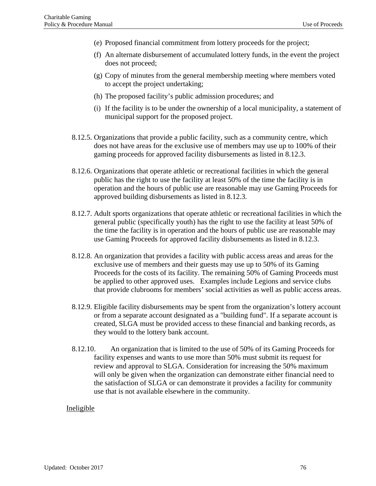- (e) Proposed financial commitment from lottery proceeds for the project;
- (f) An alternate disbursement of accumulated lottery funds, in the event the project does not proceed;
- (g) Copy of minutes from the general membership meeting where members voted to accept the project undertaking;
- (h) The proposed facility's public admission procedures; and
- (i) If the facility is to be under the ownership of a local municipality, a statement of municipal support for the proposed project.
- 8.12.5. Organizations that provide a public facility, such as a community centre, which does not have areas for the exclusive use of members may use up to 100% of their gaming proceeds for approved facility disbursements as listed in 8.12.3.
- 8.12.6. Organizations that operate athletic or recreational facilities in which the general public has the right to use the facility at least 50% of the time the facility is in operation and the hours of public use are reasonable may use Gaming Proceeds for approved building disbursements as listed in 8.12.3.
- 8.12.7. Adult sports organizations that operate athletic or recreational facilities in which the general public (specifically youth) has the right to use the facility at least 50% of the time the facility is in operation and the hours of public use are reasonable may use Gaming Proceeds for approved facility disbursements as listed in 8.12.3.
- 8.12.8. An organization that provides a facility with public access areas and areas for the exclusive use of members and their guests may use up to 50% of its Gaming Proceeds for the costs of its facility. The remaining 50% of Gaming Proceeds must be applied to other approved uses. Examples include Legions and service clubs that provide clubrooms for members' social activities as well as public access areas.
- 8.12.9. Eligible facility disbursements may be spent from the organization's lottery account or from a separate account designated as a "building fund". If a separate account is created, SLGA must be provided access to these financial and banking records, as they would to the lottery bank account.
- 8.12.10. An organization that is limited to the use of 50% of its Gaming Proceeds for facility expenses and wants to use more than 50% must submit its request for review and approval to SLGA. Consideration for increasing the 50% maximum will only be given when the organization can demonstrate either financial need to the satisfaction of SLGA or can demonstrate it provides a facility for community use that is not available elsewhere in the community.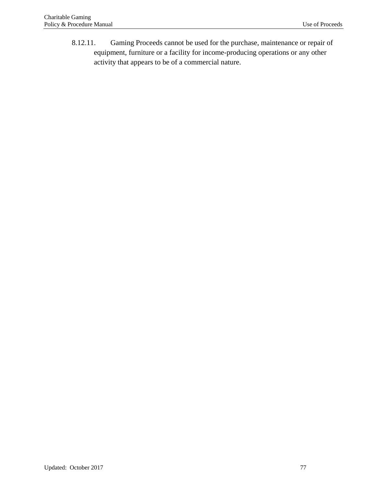8.12.11. Gaming Proceeds cannot be used for the purchase, maintenance or repair of equipment, furniture or a facility for income-producing operations or any other activity that appears to be of a commercial nature.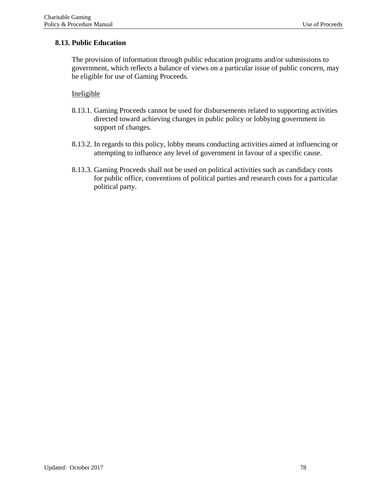# **8.13. Public Education**

The provision of information through public education programs and/or submissions to government, which reflects a balance of views on a particular issue of public concern, may be eligible for use of Gaming Proceeds.

- 8.13.1. Gaming Proceeds cannot be used for disbursements related to supporting activities directed toward achieving changes in public policy or lobbying government in support of changes.
- 8.13.2. In regards to this policy, lobby means conducting activities aimed at influencing or attempting to influence any level of government in favour of a specific cause.
- 8.13.3. Gaming Proceeds shall not be used on political activities such as candidacy costs for public office, conventions of political parties and research costs for a particular political party.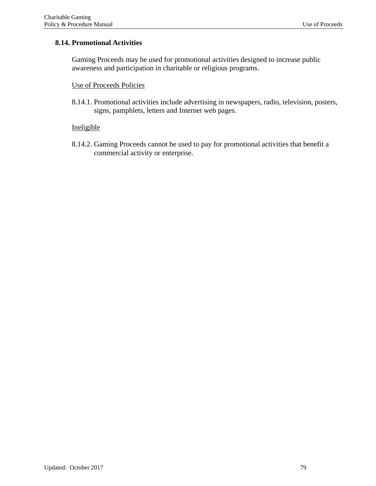# **8.14. Promotional Activities**

Gaming Proceeds may be used for promotional activities designed to increase public awareness and participation in charitable or religious programs.

# Use of Proceeds Policies

8.14.1. Promotional activities include advertising in newspapers, radio, television, posters, signs, pamphlets, letters and Internet web pages.

#### Ineligible

8.14.2. Gaming Proceeds cannot be used to pay for promotional activities that benefit a commercial activity or enterprise.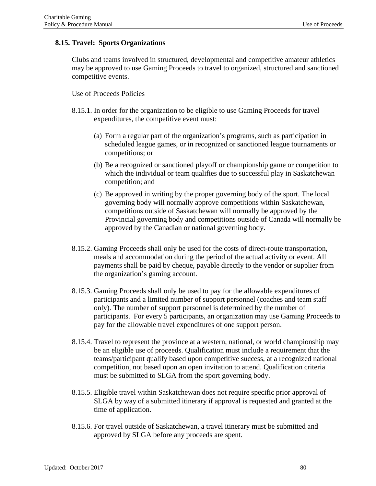# **8.15. Travel: Sports Organizations**

Clubs and teams involved in structured, developmental and competitive amateur athletics may be approved to use Gaming Proceeds to travel to organized, structured and sanctioned competitive events.

### Use of Proceeds Policies

- 8.15.1. In order for the organization to be eligible to use Gaming Proceeds for travel expenditures, the competitive event must:
	- (a) Form a regular part of the organization's programs, such as participation in scheduled league games, or in recognized or sanctioned league tournaments or competitions; or
	- (b) Be a recognized or sanctioned playoff or championship game or competition to which the individual or team qualifies due to successful play in Saskatchewan competition; and
	- (c) Be approved in writing by the proper governing body of the sport. The local governing body will normally approve competitions within Saskatchewan, competitions outside of Saskatchewan will normally be approved by the Provincial governing body and competitions outside of Canada will normally be approved by the Canadian or national governing body.
- 8.15.2. Gaming Proceeds shall only be used for the costs of direct-route transportation, meals and accommodation during the period of the actual activity or event. All payments shall be paid by cheque, payable directly to the vendor or supplier from the organization's gaming account.
- 8.15.3. Gaming Proceeds shall only be used to pay for the allowable expenditures of participants and a limited number of support personnel (coaches and team staff only). The number of support personnel is determined by the number of participants. For every 5 participants, an organization may use Gaming Proceeds to pay for the allowable travel expenditures of one support person.
- 8.15.4. Travel to represent the province at a western, national, or world championship may be an eligible use of proceeds. Qualification must include a requirement that the teams/participant qualify based upon competitive success, at a recognized national competition, not based upon an open invitation to attend. Qualification criteria must be submitted to SLGA from the sport governing body.
- 8.15.5. Eligible travel within Saskatchewan does not require specific prior approval of SLGA by way of a submitted itinerary if approval is requested and granted at the time of application.
- 8.15.6. For travel outside of Saskatchewan, a travel itinerary must be submitted and approved by SLGA before any proceeds are spent.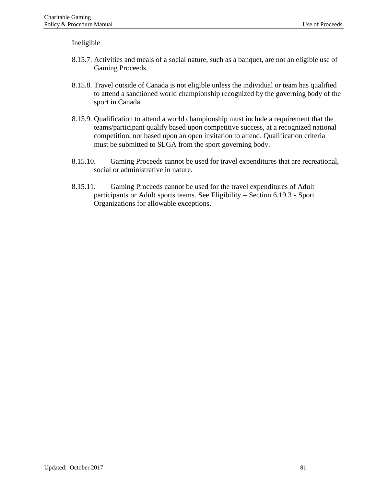- 8.15.7. Activities and meals of a social nature, such as a banquet, are not an eligible use of Gaming Proceeds.
- 8.15.8. Travel outside of Canada is not eligible unless the individual or team has qualified to attend a sanctioned world championship recognized by the governing body of the sport in Canada.
- 8.15.9. Qualification to attend a world championship must include a requirement that the teams/participant qualify based upon competitive success, at a recognized national competition, not based upon an open invitation to attend. Qualification criteria must be submitted to SLGA from the sport governing body.
- 8.15.10. Gaming Proceeds cannot be used for travel expenditures that are recreational, social or administrative in nature.
- 8.15.11. Gaming Proceeds cannot be used for the travel expenditures of Adult participants or Adult sports teams. See Eligibility – Section 6.19.3 - Sport Organizations for allowable exceptions.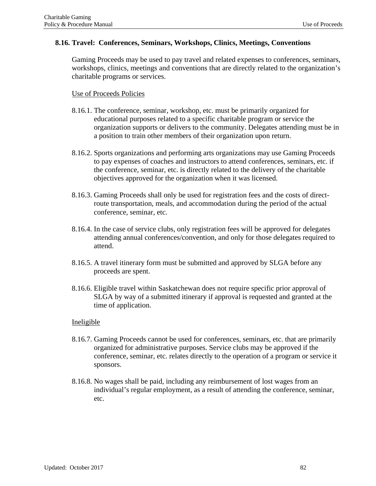### **8.16. Travel: Conferences, Seminars, Workshops, Clinics, Meetings, Conventions**

Gaming Proceeds may be used to pay travel and related expenses to conferences, seminars, workshops, clinics, meetings and conventions that are directly related to the organization's charitable programs or services.

### Use of Proceeds Policies

- 8.16.1. The conference, seminar, workshop, etc. must be primarily organized for educational purposes related to a specific charitable program or service the organization supports or delivers to the community. Delegates attending must be in a position to train other members of their organization upon return.
- 8.16.2. Sports organizations and performing arts organizations may use Gaming Proceeds to pay expenses of coaches and instructors to attend conferences, seminars, etc. if the conference, seminar, etc. is directly related to the delivery of the charitable objectives approved for the organization when it was licensed.
- 8.16.3. Gaming Proceeds shall only be used for registration fees and the costs of directroute transportation, meals, and accommodation during the period of the actual conference, seminar, etc.
- 8.16.4. In the case of service clubs, only registration fees will be approved for delegates attending annual conferences/convention, and only for those delegates required to attend.
- 8.16.5. A travel itinerary form must be submitted and approved by SLGA before any proceeds are spent.
- 8.16.6. Eligible travel within Saskatchewan does not require specific prior approval of SLGA by way of a submitted itinerary if approval is requested and granted at the time of application.

- 8.16.7. Gaming Proceeds cannot be used for conferences, seminars, etc. that are primarily organized for administrative purposes. Service clubs may be approved if the conference, seminar, etc. relates directly to the operation of a program or service it sponsors.
- 8.16.8. No wages shall be paid, including any reimbursement of lost wages from an individual's regular employment, as a result of attending the conference, seminar, etc.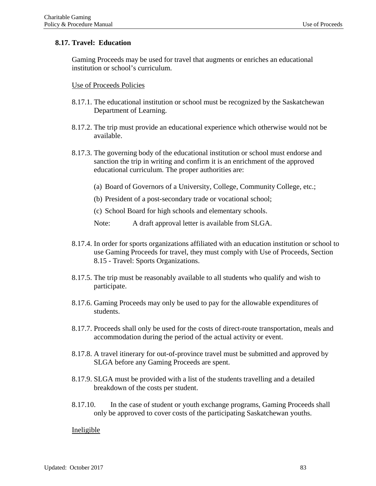# **8.17. Travel: Education**

Gaming Proceeds may be used for travel that augments or enriches an educational institution or school's curriculum.

Use of Proceeds Policies

- 8.17.1. The educational institution or school must be recognized by the Saskatchewan Department of Learning.
- 8.17.2. The trip must provide an educational experience which otherwise would not be available.
- 8.17.3. The governing body of the educational institution or school must endorse and sanction the trip in writing and confirm it is an enrichment of the approved educational curriculum. The proper authorities are:
	- (a) Board of Governors of a University, College, Community College, etc.;
	- (b) President of a post-secondary trade or vocational school;
	- (c) School Board for high schools and elementary schools.
	- Note: A draft approval letter is available from SLGA.
- 8.17.4. In order for sports organizations affiliated with an education institution or school to use Gaming Proceeds for travel, they must comply with Use of Proceeds, Section 8.15 - Travel: Sports Organizations.
- 8.17.5. The trip must be reasonably available to all students who qualify and wish to participate.
- 8.17.6. Gaming Proceeds may only be used to pay for the allowable expenditures of students.
- 8.17.7. Proceeds shall only be used for the costs of direct-route transportation, meals and accommodation during the period of the actual activity or event.
- 8.17.8. A travel itinerary for out-of-province travel must be submitted and approved by SLGA before any Gaming Proceeds are spent.
- 8.17.9. SLGA must be provided with a list of the students travelling and a detailed breakdown of the costs per student.
- 8.17.10. In the case of student or youth exchange programs, Gaming Proceeds shall only be approved to cover costs of the participating Saskatchewan youths.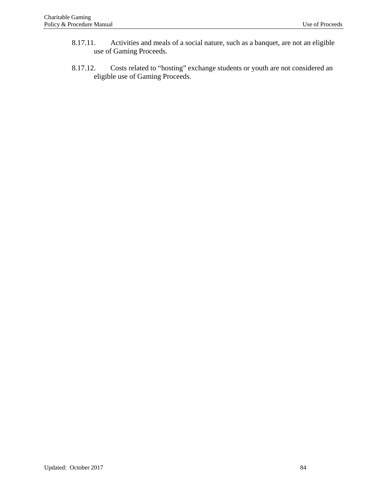- 8.17.11. Activities and meals of a social nature, such as a banquet, are not an eligible use of Gaming Proceeds.
- 8.17.12. Costs related to "hosting" exchange students or youth are not considered an eligible use of Gaming Proceeds.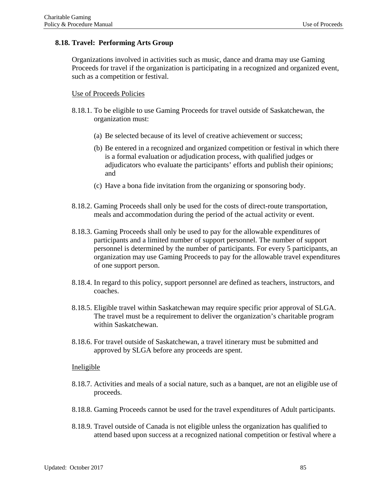# **8.18. Travel: Performing Arts Group**

Organizations involved in activities such as music, dance and drama may use Gaming Proceeds for travel if the organization is participating in a recognized and organized event, such as a competition or festival.

#### Use of Proceeds Policies

- 8.18.1. To be eligible to use Gaming Proceeds for travel outside of Saskatchewan, the organization must:
	- (a) Be selected because of its level of creative achievement or success;
	- (b) Be entered in a recognized and organized competition or festival in which there is a formal evaluation or adjudication process, with qualified judges or adjudicators who evaluate the participants' efforts and publish their opinions; and
	- (c) Have a bona fide invitation from the organizing or sponsoring body.
- 8.18.2. Gaming Proceeds shall only be used for the costs of direct-route transportation, meals and accommodation during the period of the actual activity or event.
- 8.18.3. Gaming Proceeds shall only be used to pay for the allowable expenditures of participants and a limited number of support personnel. The number of support personnel is determined by the number of participants. For every 5 participants, an organization may use Gaming Proceeds to pay for the allowable travel expenditures of one support person.
- 8.18.4. In regard to this policy, support personnel are defined as teachers, instructors, and coaches.
- 8.18.5. Eligible travel within Saskatchewan may require specific prior approval of SLGA. The travel must be a requirement to deliver the organization's charitable program within Saskatchewan.
- 8.18.6. For travel outside of Saskatchewan, a travel itinerary must be submitted and approved by SLGA before any proceeds are spent.

- 8.18.7. Activities and meals of a social nature, such as a banquet, are not an eligible use of proceeds.
- 8.18.8. Gaming Proceeds cannot be used for the travel expenditures of Adult participants.
- 8.18.9. Travel outside of Canada is not eligible unless the organization has qualified to attend based upon success at a recognized national competition or festival where a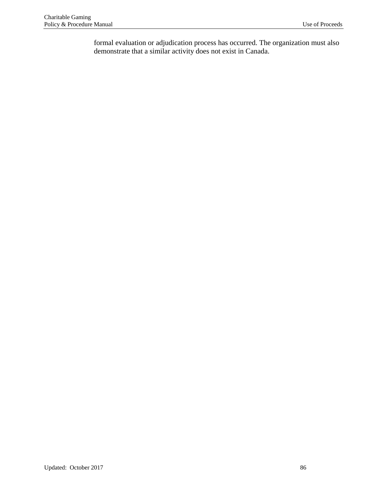formal evaluation or adjudication process has occurred. The organization must also demonstrate that a similar activity does not exist in Canada.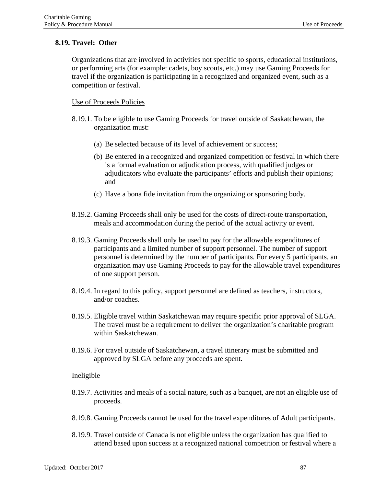# **8.19. Travel: Other**

Organizations that are involved in activities not specific to sports, educational institutions, or performing arts (for example: cadets, boy scouts, etc.) may use Gaming Proceeds for travel if the organization is participating in a recognized and organized event, such as a competition or festival.

#### Use of Proceeds Policies

- 8.19.1. To be eligible to use Gaming Proceeds for travel outside of Saskatchewan, the organization must:
	- (a) Be selected because of its level of achievement or success;
	- (b) Be entered in a recognized and organized competition or festival in which there is a formal evaluation or adjudication process, with qualified judges or adjudicators who evaluate the participants' efforts and publish their opinions; and
	- (c) Have a bona fide invitation from the organizing or sponsoring body.
- 8.19.2. Gaming Proceeds shall only be used for the costs of direct-route transportation, meals and accommodation during the period of the actual activity or event.
- 8.19.3. Gaming Proceeds shall only be used to pay for the allowable expenditures of participants and a limited number of support personnel. The number of support personnel is determined by the number of participants. For every 5 participants, an organization may use Gaming Proceeds to pay for the allowable travel expenditures of one support person.
- 8.19.4. In regard to this policy, support personnel are defined as teachers, instructors, and/or coaches.
- 8.19.5. Eligible travel within Saskatchewan may require specific prior approval of SLGA. The travel must be a requirement to deliver the organization's charitable program within Saskatchewan.
- 8.19.6. For travel outside of Saskatchewan, a travel itinerary must be submitted and approved by SLGA before any proceeds are spent.

- 8.19.7. Activities and meals of a social nature, such as a banquet, are not an eligible use of proceeds.
- 8.19.8. Gaming Proceeds cannot be used for the travel expenditures of Adult participants.
- 8.19.9. Travel outside of Canada is not eligible unless the organization has qualified to attend based upon success at a recognized national competition or festival where a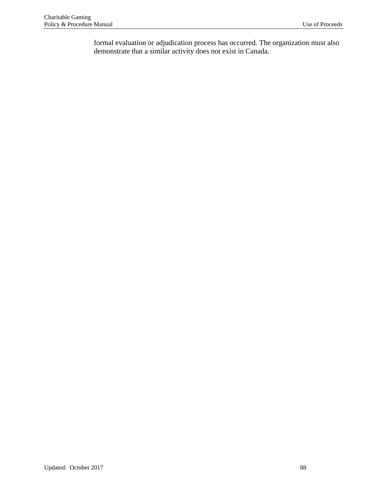formal evaluation or adjudication process has occurred. The organization must also demonstrate that a similar activity does not exist in Canada.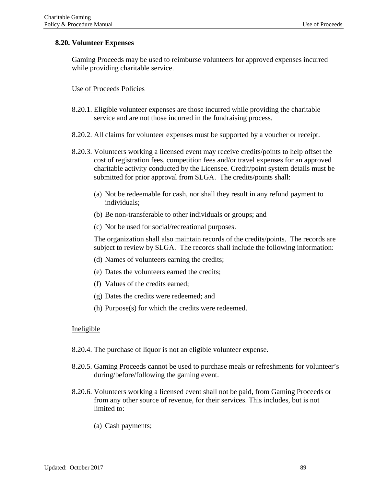### **8.20. Volunteer Expenses**

Gaming Proceeds may be used to reimburse volunteers for approved expenses incurred while providing charitable service.

### Use of Proceeds Policies

- 8.20.1. Eligible volunteer expenses are those incurred while providing the charitable service and are not those incurred in the fundraising process.
- 8.20.2. All claims for volunteer expenses must be supported by a voucher or receipt.
- 8.20.3. Volunteers working a licensed event may receive credits/points to help offset the cost of registration fees, competition fees and/or travel expenses for an approved charitable activity conducted by the Licensee. Credit/point system details must be submitted for prior approval from SLGA. The credits/points shall:
	- (a) Not be redeemable for cash, nor shall they result in any refund payment to individuals;
	- (b) Be non-transferable to other individuals or groups; and
	- (c) Not be used for social/recreational purposes.

The organization shall also maintain records of the credits/points. The records are subject to review by SLGA. The records shall include the following information:

- (d) Names of volunteers earning the credits;
- (e) Dates the volunteers earned the credits;
- (f) Values of the credits earned;
- (g) Dates the credits were redeemed; and
- (h) Purpose(s) for which the credits were redeemed.

- 8.20.4. The purchase of liquor is not an eligible volunteer expense.
- 8.20.5. Gaming Proceeds cannot be used to purchase meals or refreshments for volunteer's during/before/following the gaming event.
- 8.20.6. Volunteers working a licensed event shall not be paid, from Gaming Proceeds or from any other source of revenue, for their services. This includes, but is not limited to:
	- (a) Cash payments;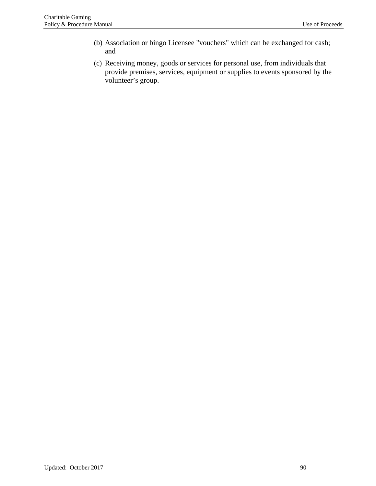- (b) Association or bingo Licensee "vouchers" which can be exchanged for cash; and
- (c) Receiving money, goods or services for personal use, from individuals that provide premises, services, equipment or supplies to events sponsored by the volunteer's group.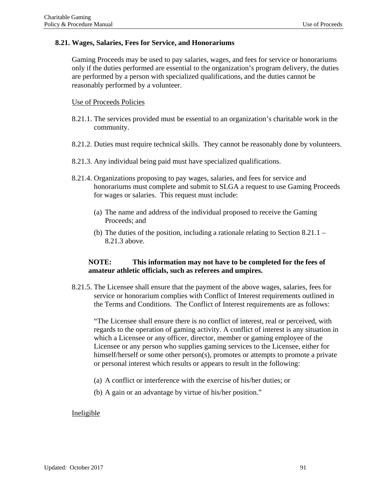#### **8.21. Wages, Salaries, Fees for Service, and Honorariums**

Gaming Proceeds may be used to pay salaries, wages, and fees for service or honorariums only if the duties performed are essential to the organization's program delivery, the duties are performed by a person with specialized qualifications, and the duties cannot be reasonably performed by a volunteer.

#### Use of Proceeds Policies

- 8.21.1. The services provided must be essential to an organization's charitable work in the community.
- 8.21.2. Duties must require technical skills. They cannot be reasonably done by volunteers.
- 8.21.3. Any individual being paid must have specialized qualifications.
- 8.21.4. Organizations proposing to pay wages, salaries, and fees for service and honorariums must complete and submit to SLGA a request to use Gaming Proceeds for wages or salaries. This request must include:
	- (a) The name and address of the individual proposed to receive the Gaming Proceeds; and
	- (b) The duties of the position, including a rationale relating to Section  $8.21.1 -$ 8.21.3 above.

### **NOTE: This information may not have to be completed for the fees of amateur athletic officials, such as referees and umpires.**

8.21.5. The Licensee shall ensure that the payment of the above wages, salaries, fees for service or honorarium complies with Conflict of Interest requirements outlined in the Terms and Conditions. The Conflict of Interest requirements are as follows:

"The Licensee shall ensure there is no conflict of interest, real or perceived, with regards to the operation of gaming activity. A conflict of interest is any situation in which a Licensee or any officer, director, member or gaming employee of the Licensee or any person who supplies gaming services to the Licensee, either for himself/herself or some other person(s), promotes or attempts to promote a private or personal interest which results or appears to result in the following:

- (a) A conflict or interference with the exercise of his/her duties; or
- (b) A gain or an advantage by virtue of his/her position."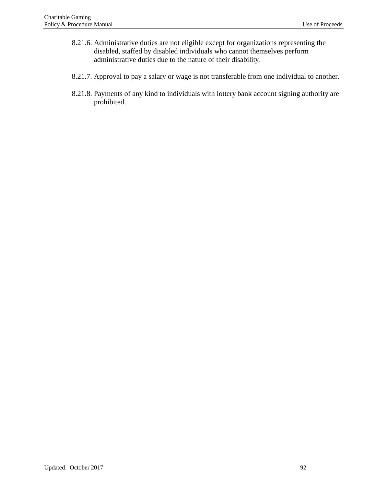- 8.21.6. Administrative duties are not eligible except for organizations representing the disabled, staffed by disabled individuals who cannot themselves perform administrative duties due to the nature of their disability.
- 8.21.7. Approval to pay a salary or wage is not transferable from one individual to another.
- 8.21.8. Payments of any kind to individuals with lottery bank account signing authority are prohibited.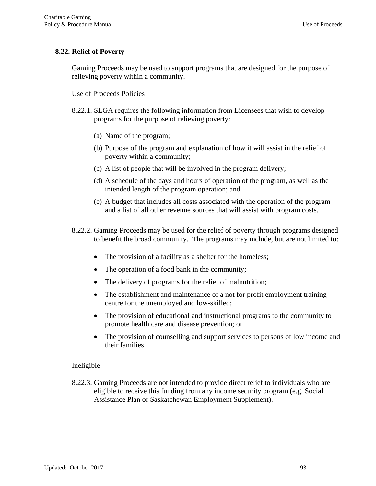# **8.22. Relief of Poverty**

Gaming Proceeds may be used to support programs that are designed for the purpose of relieving poverty within a community.

### Use of Proceeds Policies

- 8.22.1. SLGA requires the following information from Licensees that wish to develop programs for the purpose of relieving poverty:
	- (a) Name of the program;
	- (b) Purpose of the program and explanation of how it will assist in the relief of poverty within a community;
	- (c) A list of people that will be involved in the program delivery;
	- (d) A schedule of the days and hours of operation of the program, as well as the intended length of the program operation; and
	- (e) A budget that includes all costs associated with the operation of the program and a list of all other revenue sources that will assist with program costs.
- 8.22.2. Gaming Proceeds may be used for the relief of poverty through programs designed to benefit the broad community. The programs may include, but are not limited to:
	- The provision of a facility as a shelter for the homeless;
	- The operation of a food bank in the community;
	- The delivery of programs for the relief of malnutrition;
	- The establishment and maintenance of a not for profit employment training centre for the unemployed and low-skilled;
	- The provision of educational and instructional programs to the community to promote health care and disease prevention; or
	- The provision of counselling and support services to persons of low income and their families.

### **Ineligible**

8.22.3. Gaming Proceeds are not intended to provide direct relief to individuals who are eligible to receive this funding from any income security program (e.g. Social Assistance Plan or Saskatchewan Employment Supplement).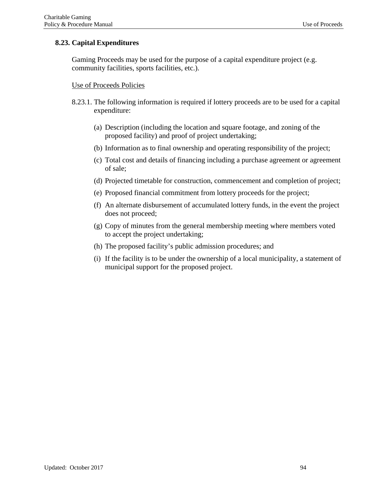# **8.23. Capital Expenditures**

Gaming Proceeds may be used for the purpose of a capital expenditure project (e.g. community facilities, sports facilities, etc.).

# Use of Proceeds Policies

- 8.23.1. The following information is required if lottery proceeds are to be used for a capital expenditure:
	- (a) Description (including the location and square footage, and zoning of the proposed facility) and proof of project undertaking;
	- (b) Information as to final ownership and operating responsibility of the project;
	- (c) Total cost and details of financing including a purchase agreement or agreement of sale;
	- (d) Projected timetable for construction, commencement and completion of project;
	- (e) Proposed financial commitment from lottery proceeds for the project;
	- (f) An alternate disbursement of accumulated lottery funds, in the event the project does not proceed;
	- (g) Copy of minutes from the general membership meeting where members voted to accept the project undertaking;
	- (h) The proposed facility's public admission procedures; and
	- (i) If the facility is to be under the ownership of a local municipality, a statement of municipal support for the proposed project.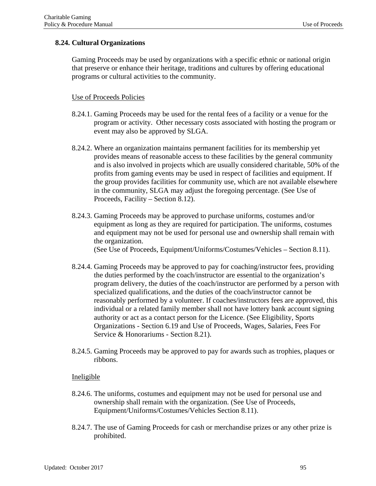# **8.24. Cultural Organizations**

Gaming Proceeds may be used by organizations with a specific ethnic or national origin that preserve or enhance their heritage, traditions and cultures by offering educational programs or cultural activities to the community.

### Use of Proceeds Policies

- 8.24.1. Gaming Proceeds may be used for the rental fees of a facility or a venue for the program or activity. Other necessary costs associated with hosting the program or event may also be approved by SLGA.
- 8.24.2. Where an organization maintains permanent facilities for its membership yet provides means of reasonable access to these facilities by the general community and is also involved in projects which are usually considered charitable, 50% of the profits from gaming events may be used in respect of facilities and equipment. If the group provides facilities for community use, which are not available elsewhere in the community, SLGA may adjust the foregoing percentage. (See Use of Proceeds, Facility – Section 8.12).
- 8.24.3. Gaming Proceeds may be approved to purchase uniforms, costumes and/or equipment as long as they are required for participation. The uniforms, costumes and equipment may not be used for personal use and ownership shall remain with the organization.

(See Use of Proceeds, Equipment/Uniforms/Costumes/Vehicles – Section 8.11).

- 8.24.4. Gaming Proceeds may be approved to pay for coaching/instructor fees, providing the duties performed by the coach/instructor are essential to the organization's program delivery, the duties of the coach/instructor are performed by a person with specialized qualifications, and the duties of the coach/instructor cannot be reasonably performed by a volunteer. If coaches/instructors fees are approved, this individual or a related family member shall not have lottery bank account signing authority or act as a contact person for the Licence. (See Eligibility, Sports Organizations - Section 6.19 and Use of Proceeds, Wages, Salaries, Fees For Service & Honorariums - Section 8.21).
- 8.24.5. Gaming Proceeds may be approved to pay for awards such as trophies, plaques or ribbons.

- 8.24.6. The uniforms, costumes and equipment may not be used for personal use and ownership shall remain with the organization. (See Use of Proceeds, Equipment/Uniforms/Costumes/Vehicles Section 8.11).
- 8.24.7. The use of Gaming Proceeds for cash or merchandise prizes or any other prize is prohibited.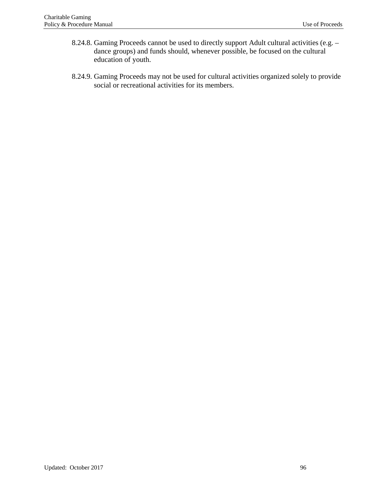- 8.24.8. Gaming Proceeds cannot be used to directly support Adult cultural activities (e.g. dance groups) and funds should, whenever possible, be focused on the cultural education of youth.
- 8.24.9. Gaming Proceeds may not be used for cultural activities organized solely to provide social or recreational activities for its members.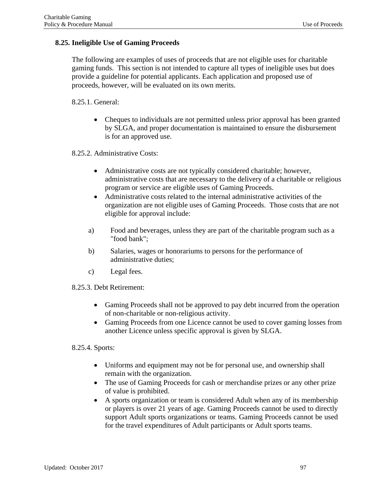# **8.25. Ineligible Use of Gaming Proceeds**

The following are examples of uses of proceeds that are not eligible uses for charitable gaming funds. This section is not intended to capture all types of ineligible uses but does provide a guideline for potential applicants. Each application and proposed use of proceeds, however, will be evaluated on its own merits.

8.25.1. General:

• Cheques to individuals are not permitted unless prior approval has been granted by SLGA, and proper documentation is maintained to ensure the disbursement is for an approved use.

8.25.2. Administrative Costs:

- Administrative costs are not typically considered charitable; however, administrative costs that are necessary to the delivery of a charitable or religious program or service are eligible uses of Gaming Proceeds.
- Administrative costs related to the internal administrative activities of the organization are not eligible uses of Gaming Proceeds. Those costs that are not eligible for approval include:
- a) Food and beverages, unless they are part of the charitable program such as a "food bank";
- b) Salaries, wages or honorariums to persons for the performance of administrative duties;
- c) Legal fees.
- 8.25.3. Debt Retirement:
	- Gaming Proceeds shall not be approved to pay debt incurred from the operation of non-charitable or non-religious activity.
	- Gaming Proceeds from one Licence cannot be used to cover gaming losses from another Licence unless specific approval is given by SLGA.

8.25.4. Sports:

- Uniforms and equipment may not be for personal use, and ownership shall remain with the organization.
- The use of Gaming Proceeds for cash or merchandise prizes or any other prize of value is prohibited.
- A sports organization or team is considered Adult when any of its membership or players is over 21 years of age. Gaming Proceeds cannot be used to directly support Adult sports organizations or teams. Gaming Proceeds cannot be used for the travel expenditures of Adult participants or Adult sports teams.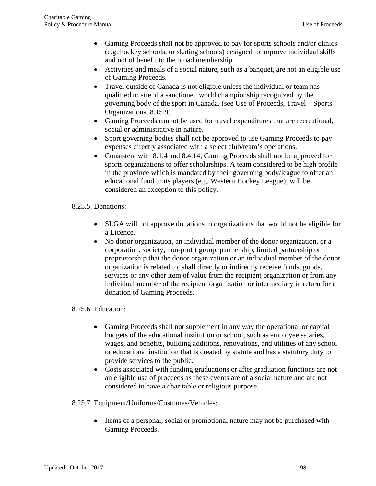- Gaming Proceeds shall not be approved to pay for sports schools and/or clinics (e.g. hockey schools, or skating schools) designed to improve individual skills and not of benefit to the broad membership.
- Activities and meals of a social nature, such as a banquet, are not an eligible use of Gaming Proceeds.
- Travel outside of Canada is not eligible unless the individual or team has qualified to attend a sanctioned world championship recognized by the governing body of the sport in Canada. (see Use of Proceeds, Travel – Sports Organizations, 8.15.9)
- Gaming Proceeds cannot be used for travel expenditures that are recreational, social or administrative in nature.
- Sport governing bodies shall not be approved to use Gaming Proceeds to pay expenses directly associated with a select club/team's operations.
- Consistent with 8.1.4 and 8.4.14, Gaming Proceeds shall not be approved for sports organizations to offer scholarships. A team considered to be high profile in the province which is mandated by their governing body/league to offer an educational fund to its players (e.g. Western Hockey League); will be considered an exception to this policy.

# 8.25.5. Donations:

- SLGA will not approve donations to organizations that would not be eligible for a Licence.
- No donor organization, an individual member of the donor organization, or a corporation, society, non-profit group, partnership, limited partnership or proprietorship that the donor organization or an individual member of the donor organization is related to, shall directly or indirectly receive funds, goods, services or any other item of value from the recipient organization or from any individual member of the recipient organization or intermediary in return for a donation of Gaming Proceeds.

# 8.25.6. Education:

- Gaming Proceeds shall not supplement in any way the operational or capital budgets of the educational institution or school, such as employee salaries, wages, and benefits, building additions, renovations, and utilities of any school or educational institution that is created by statute and has a statutory duty to provide services to the public.
- Costs associated with funding graduations or after graduation functions are not an eligible use of proceeds as these events are of a social nature and are not considered to have a charitable or religious purpose.

# 8.25.7. Equipment/Uniforms/Costumes/Vehicles:

• Items of a personal, social or promotional nature may not be purchased with Gaming Proceeds.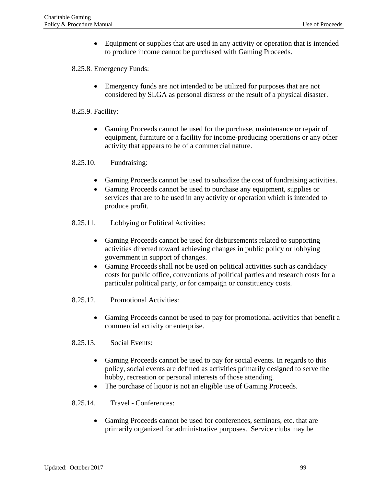• Equipment or supplies that are used in any activity or operation that is intended to produce income cannot be purchased with Gaming Proceeds.

# 8.25.8. Emergency Funds:

• Emergency funds are not intended to be utilized for purposes that are not considered by SLGA as personal distress or the result of a physical disaster.

# 8.25.9. Facility:

• Gaming Proceeds cannot be used for the purchase, maintenance or repair of equipment, furniture or a facility for income-producing operations or any other activity that appears to be of a commercial nature.

# 8.25.10. Fundraising:

- Gaming Proceeds cannot be used to subsidize the cost of fundraising activities.
- Gaming Proceeds cannot be used to purchase any equipment, supplies or services that are to be used in any activity or operation which is intended to produce profit.
- 8.25.11. Lobbying or Political Activities:
	- Gaming Proceeds cannot be used for disbursements related to supporting activities directed toward achieving changes in public policy or lobbying government in support of changes.
	- Gaming Proceeds shall not be used on political activities such as candidacy costs for public office, conventions of political parties and research costs for a particular political party, or for campaign or constituency costs.
- 8.25.12. Promotional Activities:
	- Gaming Proceeds cannot be used to pay for promotional activities that benefit a commercial activity or enterprise.
- 8.25.13. Social Events:
	- Gaming Proceeds cannot be used to pay for social events. In regards to this policy, social events are defined as activities primarily designed to serve the hobby, recreation or personal interests of those attending.
	- The purchase of liquor is not an eligible use of Gaming Proceeds.
- 8.25.14. Travel Conferences:
	- Gaming Proceeds cannot be used for conferences, seminars, etc. that are primarily organized for administrative purposes. Service clubs may be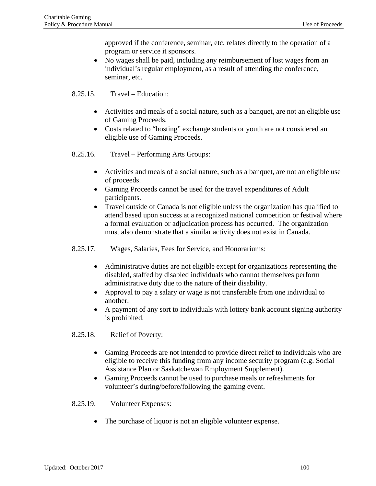approved if the conference, seminar, etc. relates directly to the operation of a program or service it sponsors.

- No wages shall be paid, including any reimbursement of lost wages from an individual's regular employment, as a result of attending the conference, seminar, etc.
- 8.25.15. Travel Education:
	- Activities and meals of a social nature, such as a banquet, are not an eligible use of Gaming Proceeds.
	- Costs related to "hosting" exchange students or youth are not considered an eligible use of Gaming Proceeds.
- 8.25.16. Travel Performing Arts Groups:
	- Activities and meals of a social nature, such as a banquet, are not an eligible use of proceeds.
	- Gaming Proceeds cannot be used for the travel expenditures of Adult participants.
	- Travel outside of Canada is not eligible unless the organization has qualified to attend based upon success at a recognized national competition or festival where a formal evaluation or adjudication process has occurred. The organization must also demonstrate that a similar activity does not exist in Canada.
- 8.25.17. Wages, Salaries, Fees for Service, and Honorariums:
	- Administrative duties are not eligible except for organizations representing the disabled, staffed by disabled individuals who cannot themselves perform administrative duty due to the nature of their disability.
	- Approval to pay a salary or wage is not transferable from one individual to another.
	- A payment of any sort to individuals with lottery bank account signing authority is prohibited.
- 8.25.18. Relief of Poverty:
	- Gaming Proceeds are not intended to provide direct relief to individuals who are eligible to receive this funding from any income security program (e.g. Social Assistance Plan or Saskatchewan Employment Supplement).
	- Gaming Proceeds cannot be used to purchase meals or refreshments for volunteer's during/before/following the gaming event.
- 8.25.19. Volunteer Expenses:
	- The purchase of liquor is not an eligible volunteer expense.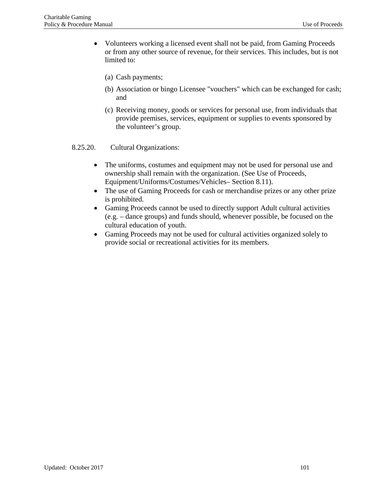- Volunteers working a licensed event shall not be paid, from Gaming Proceeds or from any other source of revenue, for their services. This includes, but is not limited to:
	- (a) Cash payments;
	- (b) Association or bingo Licensee "vouchers" which can be exchanged for cash; and
	- (c) Receiving money, goods or services for personal use, from individuals that provide premises, services, equipment or supplies to events sponsored by the volunteer's group.

### 8.25.20. Cultural Organizations:

- The uniforms, costumes and equipment may not be used for personal use and ownership shall remain with the organization. (See Use of Proceeds, Equipment/Uniforms/Costumes/Vehicles– Section 8.11).
- The use of Gaming Proceeds for cash or merchandise prizes or any other prize is prohibited.
- Gaming Proceeds cannot be used to directly support Adult cultural activities (e.g. – dance groups) and funds should, whenever possible, be focused on the cultural education of youth.
- Gaming Proceeds may not be used for cultural activities organized solely to provide social or recreational activities for its members.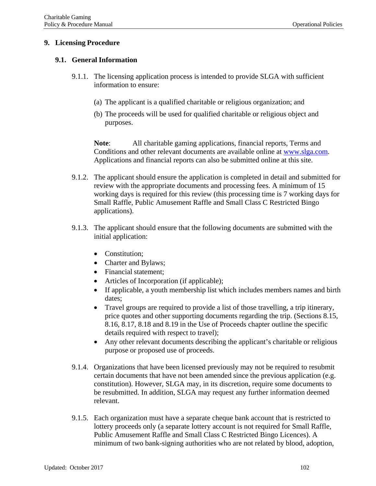# **9. Licensing Procedure**

### **9.1. General Information**

- 9.1.1. The licensing application process is intended to provide SLGA with sufficient information to ensure:
	- (a) The applicant is a qualified charitable or religious organization; and
	- (b) The proceeds will be used for qualified charitable or religious object and purposes.

**Note**: All charitable gaming applications, financial reports, Terms and Conditions and other relevant documents are available online at [www.slga.com.](http://www.slga.com/) Applications and financial reports can also be submitted online at this site.

- 9.1.2. The applicant should ensure the application is completed in detail and submitted for review with the appropriate documents and processing fees. A minimum of 15 working days is required for this review (this processing time is 7 working days for Small Raffle, Public Amusement Raffle and Small Class C Restricted Bingo applications).
- 9.1.3. The applicant should ensure that the following documents are submitted with the initial application:
	- **Constitution:**
	- Charter and Bylaws;
	- Financial statement:
	- Articles of Incorporation (if applicable);
	- If applicable, a youth membership list which includes members names and birth dates;
	- Travel groups are required to provide a list of those travelling, a trip itinerary, price quotes and other supporting documents regarding the trip. (Sections 8.15, 8.16, 8.17, 8.18 and 8.19 in the Use of Proceeds chapter outline the specific details required with respect to travel);
	- Any other relevant documents describing the applicant's charitable or religious purpose or proposed use of proceeds.
- 9.1.4. Organizations that have been licensed previously may not be required to resubmit certain documents that have not been amended since the previous application (e.g. constitution). However, SLGA may, in its discretion, require some documents to be resubmitted. In addition, SLGA may request any further information deemed relevant.
- 9.1.5. Each organization must have a separate cheque bank account that is restricted to lottery proceeds only (a separate lottery account is not required for Small Raffle, Public Amusement Raffle and Small Class C Restricted Bingo Licences). A minimum of two bank-signing authorities who are not related by blood, adoption,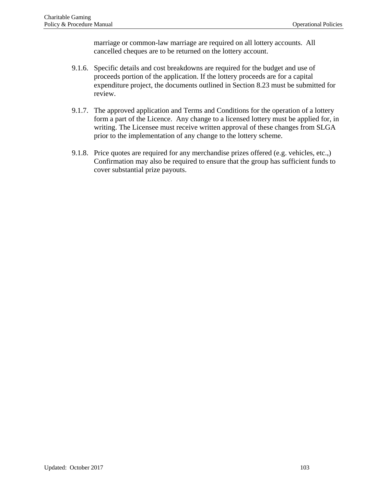marriage or common-law marriage are required on all lottery accounts. All cancelled cheques are to be returned on the lottery account.

- 9.1.6. Specific details and cost breakdowns are required for the budget and use of proceeds portion of the application. If the lottery proceeds are for a capital expenditure project, the documents outlined in Section 8.23 must be submitted for review.
- 9.1.7. The approved application and Terms and Conditions for the operation of a lottery form a part of the Licence. Any change to a licensed lottery must be applied for, in writing. The Licensee must receive written approval of these changes from SLGA prior to the implementation of any change to the lottery scheme.
- 9.1.8. Price quotes are required for any merchandise prizes offered (e.g. vehicles, etc.,) Confirmation may also be required to ensure that the group has sufficient funds to cover substantial prize payouts.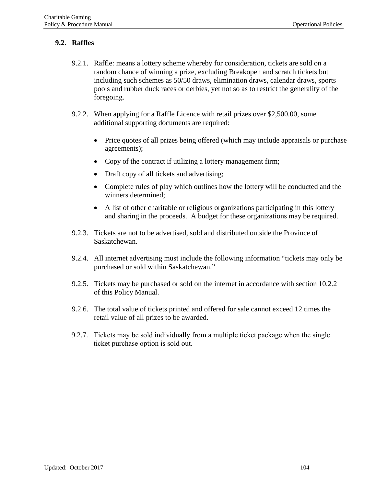# **9.2. Raffles**

- 9.2.1. Raffle: means a lottery scheme whereby for consideration, tickets are sold on a random chance of winning a prize, excluding Breakopen and scratch tickets but including such schemes as 50/50 draws, elimination draws, calendar draws, sports pools and rubber duck races or derbies, yet not so as to restrict the generality of the foregoing.
- 9.2.2. When applying for a Raffle Licence with retail prizes over \$2,500.00, some additional supporting documents are required:
	- Price quotes of all prizes being offered (which may include appraisals or purchase agreements);
	- Copy of the contract if utilizing a lottery management firm;
	- Draft copy of all tickets and advertising;
	- Complete rules of play which outlines how the lottery will be conducted and the winners determined;
	- A list of other charitable or religious organizations participating in this lottery and sharing in the proceeds. A budget for these organizations may be required.
- 9.2.3. Tickets are not to be advertised, sold and distributed outside the Province of Saskatchewan.
- 9.2.4. All internet advertising must include the following information "tickets may only be purchased or sold within Saskatchewan."
- 9.2.5. Tickets may be purchased or sold on the internet in accordance with section 10.2.2 of this Policy Manual.
- 9.2.6. The total value of tickets printed and offered for sale cannot exceed 12 times the retail value of all prizes to be awarded.
- 9.2.7. Tickets may be sold individually from a multiple ticket package when the single ticket purchase option is sold out.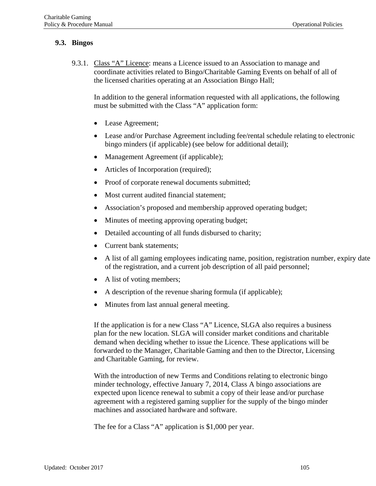# **9.3. Bingos**

9.3.1. Class "A" Licence: means a Licence issued to an Association to manage and coordinate activities related to Bingo/Charitable Gaming Events on behalf of all of the licensed charities operating at an Association Bingo Hall;

In addition to the general information requested with all applications, the following must be submitted with the Class "A" application form:

- Lease Agreement;
- Lease and/or Purchase Agreement including fee/rental schedule relating to electronic bingo minders (if applicable) (see below for additional detail);
- Management Agreement (if applicable);
- Articles of Incorporation (required);
- Proof of corporate renewal documents submitted;
- Most current audited financial statement;
- Association's proposed and membership approved operating budget;
- Minutes of meeting approving operating budget;
- Detailed accounting of all funds disbursed to charity;
- Current bank statements;
- A list of all gaming employees indicating name, position, registration number, expiry date of the registration, and a current job description of all paid personnel;
- A list of voting members;
- A description of the revenue sharing formula (if applicable);
- Minutes from last annual general meeting.

If the application is for a new Class "A" Licence, SLGA also requires a business plan for the new location. SLGA will consider market conditions and charitable demand when deciding whether to issue the Licence. These applications will be forwarded to the Manager, Charitable Gaming and then to the Director, Licensing and Charitable Gaming, for review.

With the introduction of new Terms and Conditions relating to electronic bingo minder technology, effective January 7, 2014, Class A bingo associations are expected upon licence renewal to submit a copy of their lease and/or purchase agreement with a registered gaming supplier for the supply of the bingo minder machines and associated hardware and software.

The fee for a Class "A" application is \$1,000 per year.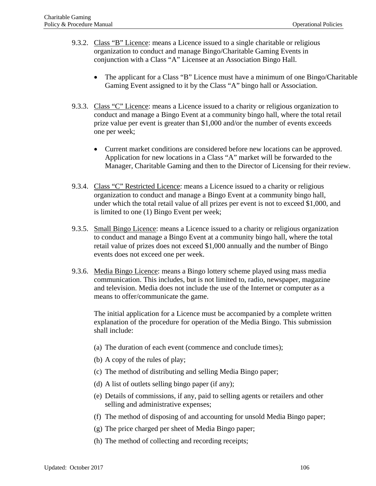- 9.3.2. Class "B" Licence: means a Licence issued to a single charitable or religious organization to conduct and manage Bingo/Charitable Gaming Events in conjunction with a Class "A" Licensee at an Association Bingo Hall.
	- The applicant for a Class "B" Licence must have a minimum of one Bingo/Charitable Gaming Event assigned to it by the Class "A" bingo hall or Association.
- 9.3.3. Class "C" Licence: means a Licence issued to a charity or religious organization to conduct and manage a Bingo Event at a community bingo hall, where the total retail prize value per event is greater than \$1,000 and/or the number of events exceeds one per week;
	- Current market conditions are considered before new locations can be approved. Application for new locations in a Class "A" market will be forwarded to the Manager, Charitable Gaming and then to the Director of Licensing for their review.
- 9.3.4. Class "C" Restricted Licence: means a Licence issued to a charity or religious organization to conduct and manage a Bingo Event at a community bingo hall, under which the total retail value of all prizes per event is not to exceed \$1,000, and is limited to one (1) Bingo Event per week;
- 9.3.5. Small Bingo Licence: means a Licence issued to a charity or religious organization to conduct and manage a Bingo Event at a community bingo hall, where the total retail value of prizes does not exceed \$1,000 annually and the number of Bingo events does not exceed one per week.
- 9.3.6. Media Bingo Licence: means a Bingo lottery scheme played using mass media communication. This includes, but is not limited to, radio, newspaper, magazine and television. Media does not include the use of the Internet or computer as a means to offer/communicate the game.

The initial application for a Licence must be accompanied by a complete written explanation of the procedure for operation of the Media Bingo. This submission shall include:

- (a) The duration of each event (commence and conclude times);
- (b) A copy of the rules of play;
- (c) The method of distributing and selling Media Bingo paper;
- (d) A list of outlets selling bingo paper (if any);
- (e) Details of commissions, if any, paid to selling agents or retailers and other selling and administrative expenses;
- (f) The method of disposing of and accounting for unsold Media Bingo paper;
- (g) The price charged per sheet of Media Bingo paper;
- (h) The method of collecting and recording receipts;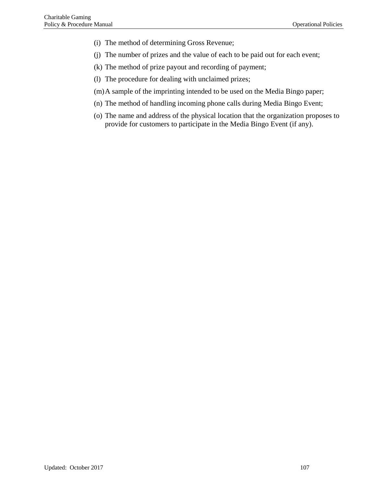- (i) The method of determining Gross Revenue;
- (j) The number of prizes and the value of each to be paid out for each event;
- (k) The method of prize payout and recording of payment;
- (l) The procedure for dealing with unclaimed prizes;
- (m)A sample of the imprinting intended to be used on the Media Bingo paper;
- (n) The method of handling incoming phone calls during Media Bingo Event;
- (o) The name and address of the physical location that the organization proposes to provide for customers to participate in the Media Bingo Event (if any).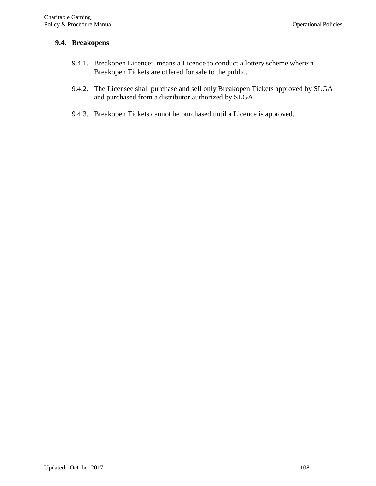# **9.4. Breakopens**

- 9.4.1. Breakopen Licence: means a Licence to conduct a lottery scheme wherein Breakopen Tickets are offered for sale to the public.
- 9.4.2. The Licensee shall purchase and sell only Breakopen Tickets approved by SLGA and purchased from a distributor authorized by SLGA.
- 9.4.3. Breakopen Tickets cannot be purchased until a Licence is approved.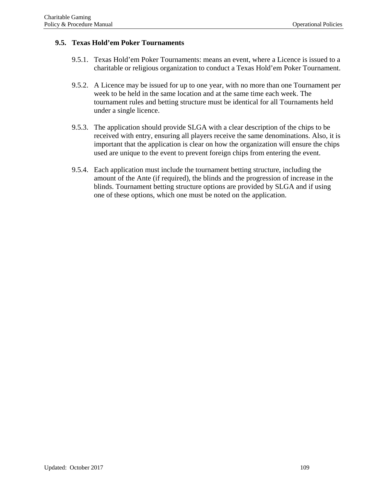# **9.5. Texas Hold'em Poker Tournaments**

- 9.5.1. Texas Hold'em Poker Tournaments: means an event, where a Licence is issued to a charitable or religious organization to conduct a Texas Hold'em Poker Tournament.
- 9.5.2. A Licence may be issued for up to one year, with no more than one Tournament per week to be held in the same location and at the same time each week. The tournament rules and betting structure must be identical for all Tournaments held under a single licence.
- 9.5.3. The application should provide SLGA with a clear description of the chips to be received with entry, ensuring all players receive the same denominations. Also, it is important that the application is clear on how the organization will ensure the chips used are unique to the event to prevent foreign chips from entering the event.
- 9.5.4. Each application must include the tournament betting structure, including the amount of the Ante (if required), the blinds and the progression of increase in the blinds. Tournament betting structure options are provided by SLGA and if using one of these options, which one must be noted on the application.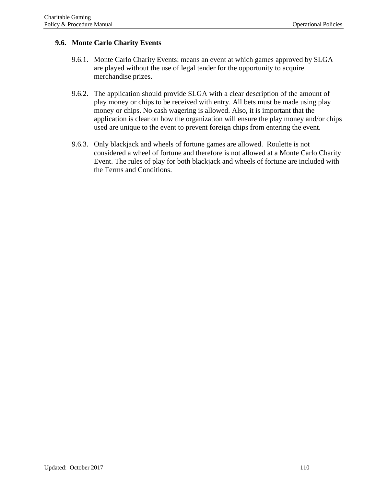# **9.6. Monte Carlo Charity Events**

- 9.6.1. Monte Carlo Charity Events: means an event at which games approved by SLGA are played without the use of legal tender for the opportunity to acquire merchandise prizes.
- 9.6.2. The application should provide SLGA with a clear description of the amount of play money or chips to be received with entry. All bets must be made using play money or chips. No cash wagering is allowed. Also, it is important that the application is clear on how the organization will ensure the play money and/or chips used are unique to the event to prevent foreign chips from entering the event.
- 9.6.3. Only blackjack and wheels of fortune games are allowed. Roulette is not considered a wheel of fortune and therefore is not allowed at a Monte Carlo Charity Event. The rules of play for both blackjack and wheels of fortune are included with the Terms and Conditions.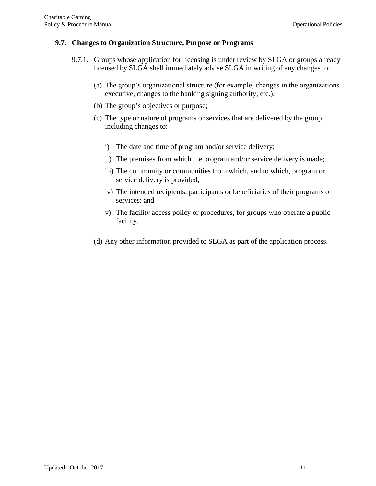### **9.7. Changes to Organization Structure, Purpose or Programs**

- 9.7.1. Groups whose application for licensing is under review by SLGA or groups already licensed by SLGA shall immediately advise SLGA in writing of any changes to:
	- (a) The group's organizational structure (for example, changes in the organizations executive, changes to the banking signing authority, etc.);
	- (b) The group's objectives or purpose;
	- (c) The type or nature of programs or services that are delivered by the group, including changes to:
		- i) The date and time of program and/or service delivery;
		- ii) The premises from which the program and/or service delivery is made;
		- iii) The community or communities from which, and to which, program or service delivery is provided;
		- iv) The intended recipients, participants or beneficiaries of their programs or services; and
		- v) The facility access policy or procedures, for groups who operate a public facility.
	- (d) Any other information provided to SLGA as part of the application process.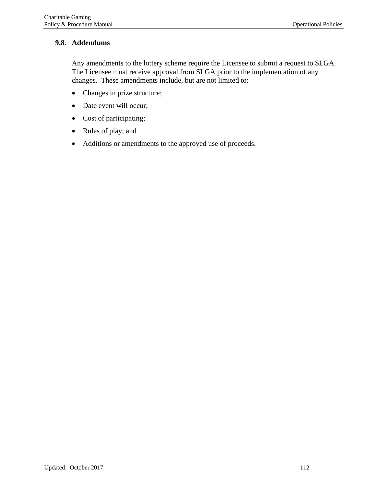# **9.8. Addendums**

Any amendments to the lottery scheme require the Licensee to submit a request to SLGA. The Licensee must receive approval from SLGA prior to the implementation of any changes. These amendments include, but are not limited to:

- Changes in prize structure;
- Date event will occur;
- Cost of participating;
- Rules of play; and
- Additions or amendments to the approved use of proceeds.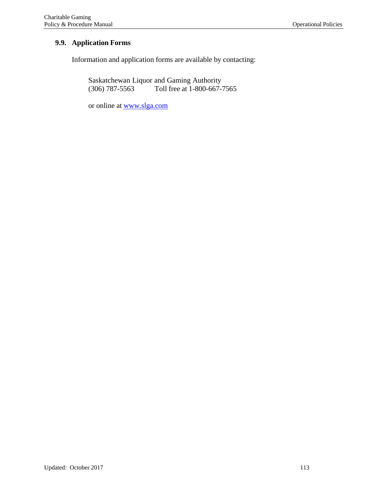# **9.9. Application Forms**

Information and application forms are available by contacting:

Saskatchewan Liquor and Gaming Authority<br>(306) 787-5563 Toll free at 1-800-667-Toll free at 1-800-667-7565

or online at [www.slga.com](http://www.slga.com/)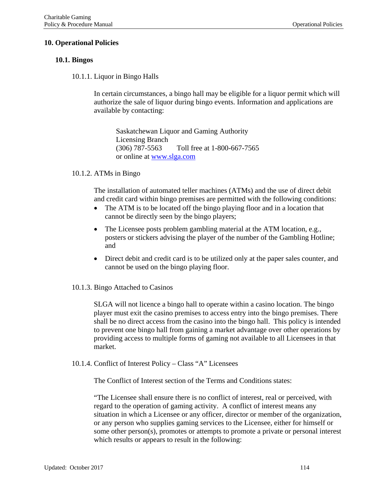### **10. Operational Policies**

#### **10.1. Bingos**

10.1.1. Liquor in Bingo Halls

In certain circumstances, a bingo hall may be eligible for a liquor permit which will authorize the sale of liquor during bingo events. Information and applications are available by contacting:

Saskatchewan Liquor and Gaming Authority Licensing Branch (306) 787-5563 Toll free at 1-800-667-7565 or online at [www.slga.com](http://www.slga.com/)

#### 10.1.2. ATMs in Bingo

The installation of automated teller machines (ATMs) and the use of direct debit and credit card within bingo premises are permitted with the following conditions:

- The ATM is to be located off the bingo playing floor and in a location that cannot be directly seen by the bingo players;
- The Licensee posts problem gambling material at the ATM location, e.g., posters or stickers advising the player of the number of the Gambling Hotline; and
- Direct debit and credit card is to be utilized only at the paper sales counter, and cannot be used on the bingo playing floor.

#### 10.1.3. Bingo Attached to Casinos

SLGA will not licence a bingo hall to operate within a casino location. The bingo player must exit the casino premises to access entry into the bingo premises. There shall be no direct access from the casino into the bingo hall. This policy is intended to prevent one bingo hall from gaining a market advantage over other operations by providing access to multiple forms of gaming not available to all Licensees in that market.

10.1.4. Conflict of Interest Policy – Class "A" Licensees

The Conflict of Interest section of the Terms and Conditions states:

"The Licensee shall ensure there is no conflict of interest, real or perceived, with regard to the operation of gaming activity. A conflict of interest means any situation in which a Licensee or any officer, director or member of the organization, or any person who supplies gaming services to the Licensee, either for himself or some other person(s), promotes or attempts to promote a private or personal interest which results or appears to result in the following: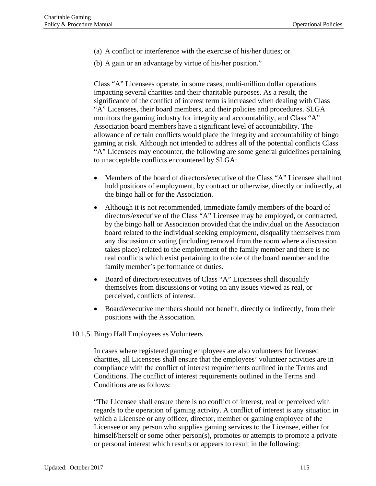- (a) A conflict or interference with the exercise of his/her duties; or
- (b) A gain or an advantage by virtue of his/her position."

Class "A" Licensees operate, in some cases, multi-million dollar operations impacting several charities and their charitable purposes. As a result, the significance of the conflict of interest term is increased when dealing with Class "A" Licensees, their board members, and their policies and procedures. SLGA monitors the gaming industry for integrity and accountability, and Class "A" Association board members have a significant level of accountability. The allowance of certain conflicts would place the integrity and accountability of bingo gaming at risk. Although not intended to address all of the potential conflicts Class "A" Licensees may encounter, the following are some general guidelines pertaining to unacceptable conflicts encountered by SLGA:

- Members of the board of directors/executive of the Class "A" Licensee shall not hold positions of employment, by contract or otherwise, directly or indirectly, at the bingo hall or for the Association.
- Although it is not recommended, immediate family members of the board of directors/executive of the Class "A" Licensee may be employed, or contracted, by the bingo hall or Association provided that the individual on the Association board related to the individual seeking employment, disqualify themselves from any discussion or voting (including removal from the room where a discussion takes place) related to the employment of the family member and there is no real conflicts which exist pertaining to the role of the board member and the family member's performance of duties.
- Board of directors/executives of Class "A" Licensees shall disqualify themselves from discussions or voting on any issues viewed as real, or perceived, conflicts of interest.
- Board/executive members should not benefit, directly or indirectly, from their positions with the Association.

### 10.1.5. Bingo Hall Employees as Volunteers

In cases where registered gaming employees are also volunteers for licensed charities, all Licensees shall ensure that the employees' volunteer activities are in compliance with the conflict of interest requirements outlined in the Terms and Conditions. The conflict of interest requirements outlined in the Terms and Conditions are as follows:

"The Licensee shall ensure there is no conflict of interest, real or perceived with regards to the operation of gaming activity. A conflict of interest is any situation in which a Licensee or any officer, director, member or gaming employee of the Licensee or any person who supplies gaming services to the Licensee, either for himself/herself or some other person(s), promotes or attempts to promote a private or personal interest which results or appears to result in the following: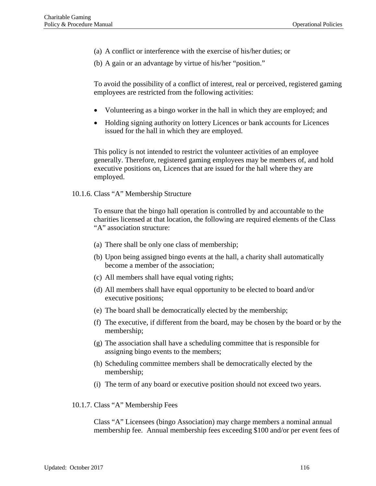(a) A conflict or interference with the exercise of his/her duties; or

(b) A gain or an advantage by virtue of his/her "position."

To avoid the possibility of a conflict of interest, real or perceived, registered gaming employees are restricted from the following activities:

- Volunteering as a bingo worker in the hall in which they are employed; and
- Holding signing authority on lottery Licences or bank accounts for Licences issued for the hall in which they are employed.

This policy is not intended to restrict the volunteer activities of an employee generally. Therefore, registered gaming employees may be members of, and hold executive positions on, Licences that are issued for the hall where they are employed.

10.1.6. Class "A" Membership Structure

To ensure that the bingo hall operation is controlled by and accountable to the charities licensed at that location, the following are required elements of the Class "A" association structure:

- (a) There shall be only one class of membership;
- (b) Upon being assigned bingo events at the hall, a charity shall automatically become a member of the association;
- (c) All members shall have equal voting rights;
- (d) All members shall have equal opportunity to be elected to board and/or executive positions;
- (e) The board shall be democratically elected by the membership;
- (f) The executive, if different from the board, may be chosen by the board or by the membership;
- (g) The association shall have a scheduling committee that is responsible for assigning bingo events to the members;
- (h) Scheduling committee members shall be democratically elected by the membership;
- (i) The term of any board or executive position should not exceed two years.
- 10.1.7. Class "A" Membership Fees

Class "A" Licensees (bingo Association) may charge members a nominal annual membership fee. Annual membership fees exceeding \$100 and/or per event fees of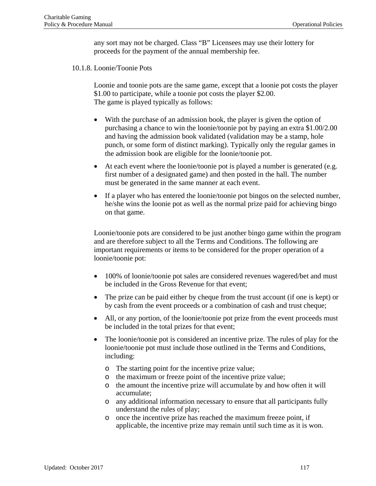any sort may not be charged. Class "B" Licensees may use their lottery for proceeds for the payment of the annual membership fee.

10.1.8. Loonie/Toonie Pots

Loonie and toonie pots are the same game, except that a loonie pot costs the player \$1.00 to participate, while a toonie pot costs the player \$2.00. The game is played typically as follows:

- With the purchase of an admission book, the player is given the option of purchasing a chance to win the loonie/toonie pot by paying an extra \$1.00/2.00 and having the admission book validated (validation may be a stamp, hole punch, or some form of distinct marking). Typically only the regular games in the admission book are eligible for the loonie/toonie pot.
- At each event where the loonie/toonie pot is played a number is generated (e.g. first number of a designated game) and then posted in the hall. The number must be generated in the same manner at each event.
- If a player who has entered the loonie/toonie pot bingos on the selected number, he/she wins the loonie pot as well as the normal prize paid for achieving bingo on that game.

Loonie/toonie pots are considered to be just another bingo game within the program and are therefore subject to all the Terms and Conditions. The following are important requirements or items to be considered for the proper operation of a loonie/toonie pot:

- 100% of loonie/toonie pot sales are considered revenues wagered/bet and must be included in the Gross Revenue for that event;
- The prize can be paid either by cheque from the trust account (if one is kept) or by cash from the event proceeds or a combination of cash and trust cheque;
- All, or any portion, of the loonie/toonie pot prize from the event proceeds must be included in the total prizes for that event;
- The loonie/toonie pot is considered an incentive prize. The rules of play for the loonie/toonie pot must include those outlined in the Terms and Conditions, including:
	- o The starting point for the incentive prize value;
	- o the maximum or freeze point of the incentive prize value;
	- o the amount the incentive prize will accumulate by and how often it will accumulate;
	- o any additional information necessary to ensure that all participants fully understand the rules of play;
	- o once the incentive prize has reached the maximum freeze point, if applicable, the incentive prize may remain until such time as it is won.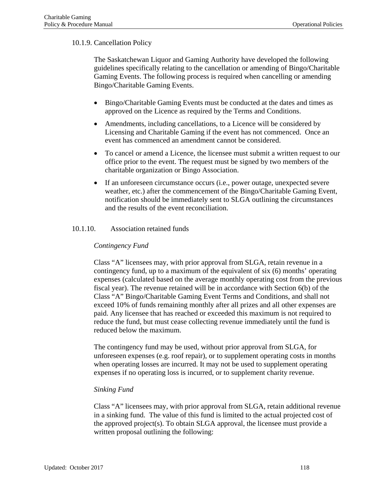# 10.1.9. Cancellation Policy

The Saskatchewan Liquor and Gaming Authority have developed the following guidelines specifically relating to the cancellation or amending of Bingo/Charitable Gaming Events. The following process is required when cancelling or amending Bingo/Charitable Gaming Events.

- Bingo/Charitable Gaming Events must be conducted at the dates and times as approved on the Licence as required by the Terms and Conditions.
- Amendments, including cancellations, to a Licence will be considered by Licensing and Charitable Gaming if the event has not commenced. Once an event has commenced an amendment cannot be considered.
- To cancel or amend a Licence, the licensee must submit a written request to our office prior to the event. The request must be signed by two members of the charitable organization or Bingo Association.
- If an unforeseen circumstance occurs (i.e., power outage, unexpected severe weather, etc.) after the commencement of the Bingo/Charitable Gaming Event, notification should be immediately sent to SLGA outlining the circumstances and the results of the event reconciliation.

#### 10.1.10. Association retained funds

### *Contingency Fund*

Class "A" licensees may, with prior approval from SLGA, retain revenue in a contingency fund, up to a maximum of the equivalent of six (6) months' operating expenses (calculated based on the average monthly operating cost from the previous fiscal year). The revenue retained will be in accordance with Section 6(b) of the Class "A" Bingo/Charitable Gaming Event Terms and Conditions, and shall not exceed 10% of funds remaining monthly after all prizes and all other expenses are paid. Any licensee that has reached or exceeded this maximum is not required to reduce the fund, but must cease collecting revenue immediately until the fund is reduced below the maximum.

The contingency fund may be used, without prior approval from SLGA, for unforeseen expenses (e.g. roof repair), or to supplement operating costs in months when operating losses are incurred. It may not be used to supplement operating expenses if no operating loss is incurred, or to supplement charity revenue.

### *Sinking Fund*

Class "A" licensees may, with prior approval from SLGA, retain additional revenue in a sinking fund. The value of this fund is limited to the actual projected cost of the approved project(s). To obtain SLGA approval, the licensee must provide a written proposal outlining the following: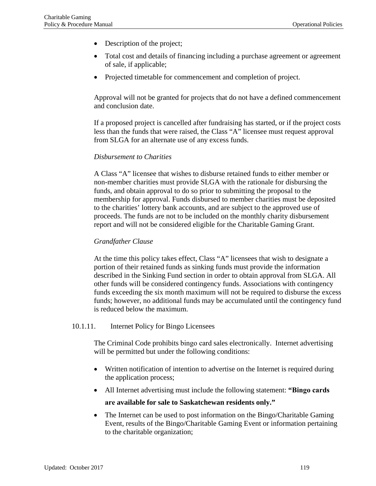- Description of the project;
- Total cost and details of financing including a purchase agreement or agreement of sale, if applicable;
- Projected timetable for commencement and completion of project.

Approval will not be granted for projects that do not have a defined commencement and conclusion date.

If a proposed project is cancelled after fundraising has started, or if the project costs less than the funds that were raised, the Class "A" licensee must request approval from SLGA for an alternate use of any excess funds.

### *Disbursement to Charities*

A Class "A" licensee that wishes to disburse retained funds to either member or non-member charities must provide SLGA with the rationale for disbursing the funds, and obtain approval to do so prior to submitting the proposal to the membership for approval. Funds disbursed to member charities must be deposited to the charities' lottery bank accounts, and are subject to the approved use of proceeds. The funds are not to be included on the monthly charity disbursement report and will not be considered eligible for the Charitable Gaming Grant.

#### *Grandfather Clause*

At the time this policy takes effect, Class "A" licensees that wish to designate a portion of their retained funds as sinking funds must provide the information described in the Sinking Fund section in order to obtain approval from SLGA. All other funds will be considered contingency funds. Associations with contingency funds exceeding the six month maximum will not be required to disburse the excess funds; however, no additional funds may be accumulated until the contingency fund is reduced below the maximum.

#### 10.1.11. Internet Policy for Bingo Licensees

The Criminal Code prohibits bingo card sales electronically. Internet advertising will be permitted but under the following conditions:

- Written notification of intention to advertise on the Internet is required during the application process;
- All Internet advertising must include the following statement: **"Bingo cards**

### **are available for sale to Saskatchewan residents only."**

• The Internet can be used to post information on the Bingo/Charitable Gaming Event, results of the Bingo/Charitable Gaming Event or information pertaining to the charitable organization;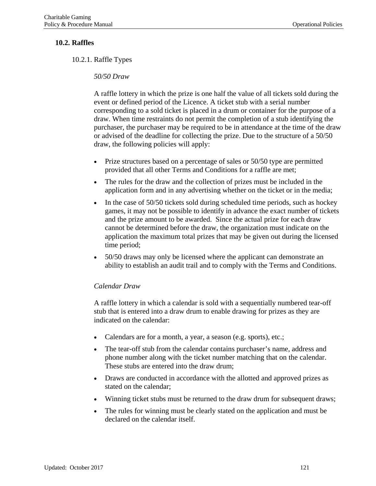## **10.2. Raffles**

10.2.1. Raffle Types

### *50/50 Draw*

A raffle lottery in which the prize is one half the value of all tickets sold during the event or defined period of the Licence. A ticket stub with a serial number corresponding to a sold ticket is placed in a drum or container for the purpose of a draw. When time restraints do not permit the completion of a stub identifying the purchaser, the purchaser may be required to be in attendance at the time of the draw or advised of the deadline for collecting the prize. Due to the structure of a 50/50 draw, the following policies will apply:

- Prize structures based on a percentage of sales or 50/50 type are permitted provided that all other Terms and Conditions for a raffle are met;
- The rules for the draw and the collection of prizes must be included in the application form and in any advertising whether on the ticket or in the media;
- In the case of 50/50 tickets sold during scheduled time periods, such as hockey games, it may not be possible to identify in advance the exact number of tickets and the prize amount to be awarded. Since the actual prize for each draw cannot be determined before the draw, the organization must indicate on the application the maximum total prizes that may be given out during the licensed time period;
- 50/50 draws may only be licensed where the applicant can demonstrate an ability to establish an audit trail and to comply with the Terms and Conditions.

#### *Calendar Draw*

A raffle lottery in which a calendar is sold with a sequentially numbered tear-off stub that is entered into a draw drum to enable drawing for prizes as they are indicated on the calendar:

- Calendars are for a month, a year, a season (e.g. sports), etc.;
- The tear-off stub from the calendar contains purchaser's name, address and phone number along with the ticket number matching that on the calendar. These stubs are entered into the draw drum;
- Draws are conducted in accordance with the allotted and approved prizes as stated on the calendar;
- Winning ticket stubs must be returned to the draw drum for subsequent draws;
- The rules for winning must be clearly stated on the application and must be declared on the calendar itself.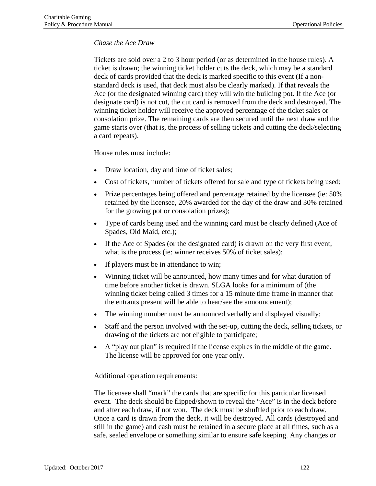# *Chase the Ace Draw*

Tickets are sold over a 2 to 3 hour period (or as determined in the house rules). A ticket is drawn; the winning ticket holder cuts the deck, which may be a standard deck of cards provided that the deck is marked specific to this event (If a nonstandard deck is used, that deck must also be clearly marked). If that reveals the Ace (or the designated winning card) they will win the building pot. If the Ace (or designate card) is not cut, the cut card is removed from the deck and destroyed. The winning ticket holder will receive the approved percentage of the ticket sales or consolation prize. The remaining cards are then secured until the next draw and the game starts over (that is, the process of selling tickets and cutting the deck/selecting a card repeats).

House rules must include:

- Draw location, day and time of ticket sales;
- Cost of tickets, number of tickets offered for sale and type of tickets being used;
- Prize percentages being offered and percentage retained by the licensee (ie: 50% retained by the licensee, 20% awarded for the day of the draw and 30% retained for the growing pot or consolation prizes);
- Type of cards being used and the winning card must be clearly defined (Ace of Spades, Old Maid, etc.);
- If the Ace of Spades (or the designated card) is drawn on the very first event, what is the process (ie: winner receives 50% of ticket sales);
- If players must be in attendance to win;
- Winning ticket will be announced, how many times and for what duration of time before another ticket is drawn. SLGA looks for a minimum of (the winning ticket being called 3 times for a 15 minute time frame in manner that the entrants present will be able to hear/see the announcement);
- The winning number must be announced verbally and displayed visually;
- Staff and the person involved with the set-up, cutting the deck, selling tickets, or drawing of the tickets are not eligible to participate;
- A "play out plan" is required if the license expires in the middle of the game. The license will be approved for one year only.

Additional operation requirements:

The licensee shall "mark" the cards that are specific for this particular licensed event. The deck should be flipped/shown to reveal the "Ace" is in the deck before and after each draw, if not won. The deck must be shuffled prior to each draw. Once a card is drawn from the deck, it will be destroyed. All cards (destroyed and still in the game) and cash must be retained in a secure place at all times, such as a safe, sealed envelope or something similar to ensure safe keeping. Any changes or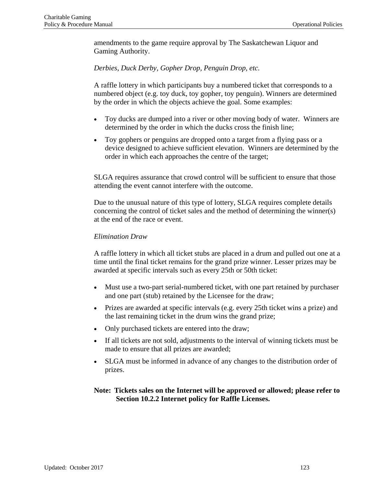amendments to the game require approval by The Saskatchewan Liquor and Gaming Authority.

*Derbies, Duck Derby, Gopher Drop, Penguin Drop, etc.*

A raffle lottery in which participants buy a numbered ticket that corresponds to a numbered object (e.g. toy duck, toy gopher, toy penguin). Winners are determined by the order in which the objects achieve the goal. Some examples:

- Toy ducks are dumped into a river or other moving body of water. Winners are determined by the order in which the ducks cross the finish line;
- Toy gophers or penguins are dropped onto a target from a flying pass or a device designed to achieve sufficient elevation. Winners are determined by the order in which each approaches the centre of the target;

SLGA requires assurance that crowd control will be sufficient to ensure that those attending the event cannot interfere with the outcome.

Due to the unusual nature of this type of lottery, SLGA requires complete details concerning the control of ticket sales and the method of determining the winner(s) at the end of the race or event.

### *Elimination Draw*

A raffle lottery in which all ticket stubs are placed in a drum and pulled out one at a time until the final ticket remains for the grand prize winner. Lesser prizes may be awarded at specific intervals such as every 25th or 50th ticket:

- Must use a two-part serial-numbered ticket, with one part retained by purchaser and one part (stub) retained by the Licensee for the draw;
- Prizes are awarded at specific intervals (e.g. every 25th ticket wins a prize) and the last remaining ticket in the drum wins the grand prize;
- Only purchased tickets are entered into the draw;
- If all tickets are not sold, adjustments to the interval of winning tickets must be made to ensure that all prizes are awarded;
- SLGA must be informed in advance of any changes to the distribution order of prizes.

# **Note: Tickets sales on the Internet will be approved or allowed; please refer to Section 10.2.2 Internet policy for Raffle Licenses.**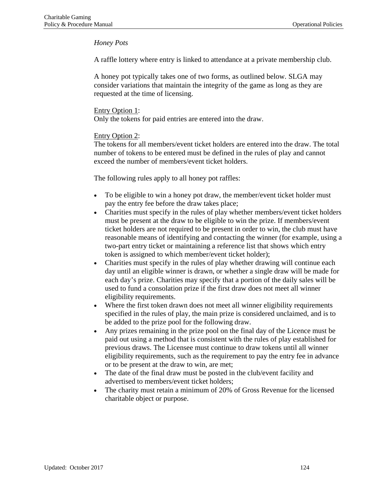# *Honey Pots*

A raffle lottery where entry is linked to attendance at a private membership club.

A honey pot typically takes one of two forms, as outlined below. SLGA may consider variations that maintain the integrity of the game as long as they are requested at the time of licensing.

### Entry Option 1:

Only the tokens for paid entries are entered into the draw.

# Entry Option 2:

The tokens for all members/event ticket holders are entered into the draw. The total number of tokens to be entered must be defined in the rules of play and cannot exceed the number of members/event ticket holders.

The following rules apply to all honey pot raffles:

- To be eligible to win a honey pot draw, the member/event ticket holder must pay the entry fee before the draw takes place;
- Charities must specify in the rules of play whether members/event ticket holders must be present at the draw to be eligible to win the prize. If members/event ticket holders are not required to be present in order to win, the club must have reasonable means of identifying and contacting the winner (for example, using a two-part entry ticket or maintaining a reference list that shows which entry token is assigned to which member/event ticket holder);
- Charities must specify in the rules of play whether drawing will continue each day until an eligible winner is drawn, or whether a single draw will be made for each day's prize. Charities may specify that a portion of the daily sales will be used to fund a consolation prize if the first draw does not meet all winner eligibility requirements.
- Where the first token drawn does not meet all winner eligibility requirements specified in the rules of play, the main prize is considered unclaimed, and is to be added to the prize pool for the following draw.
- Any prizes remaining in the prize pool on the final day of the Licence must be paid out using a method that is consistent with the rules of play established for previous draws. The Licensee must continue to draw tokens until all winner eligibility requirements, such as the requirement to pay the entry fee in advance or to be present at the draw to win, are met;
- The date of the final draw must be posted in the club/event facility and advertised to members/event ticket holders;
- The charity must retain a minimum of 20% of Gross Revenue for the licensed charitable object or purpose.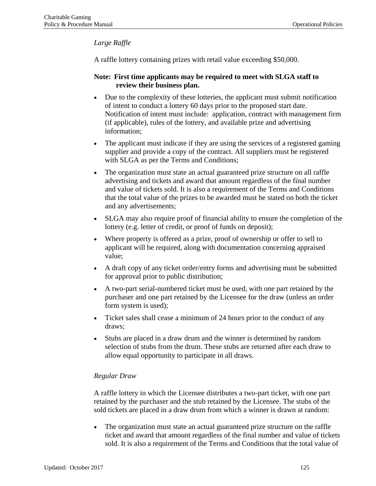# *Large Raffle*

A raffle lottery containing prizes with retail value exceeding \$50,000.

# **Note: First time applicants may be required to meet with SLGA staff to review their business plan.**

- Due to the complexity of these lotteries, the applicant must submit notification of intent to conduct a lottery 60 days prior to the proposed start date. Notification of intent must include: application, contract with management firm (if applicable), rules of the lottery, and available prize and advertising information;
- The applicant must indicate if they are using the services of a registered gaming supplier and provide a copy of the contract. All suppliers must be registered with SLGA as per the Terms and Conditions;
- The organization must state an actual guaranteed prize structure on all raffle advertising and tickets and award that amount regardless of the final number and value of tickets sold. It is also a requirement of the Terms and Conditions that the total value of the prizes to be awarded must be stated on both the ticket and any advertisements;
- SLGA may also require proof of financial ability to ensure the completion of the lottery (e.g. letter of credit, or proof of funds on deposit);
- Where property is offered as a prize, proof of ownership or offer to sell to applicant will be required, along with documentation concerning appraised value;
- A draft copy of any ticket order/entry forms and advertising must be submitted for approval prior to public distribution;
- A two-part serial-numbered ticket must be used, with one part retained by the purchaser and one part retained by the Licensee for the draw (unless an order form system is used);
- Ticket sales shall cease a minimum of 24 hours prior to the conduct of any draws;
- Stubs are placed in a draw drum and the winner is determined by random selection of stubs from the drum. These stubs are returned after each draw to allow equal opportunity to participate in all draws.

# *Regular Draw*

A raffle lottery in which the Licensee distributes a two-part ticket, with one part retained by the purchaser and the stub retained by the Licensee. The stubs of the sold tickets are placed in a draw drum from which a winner is drawn at random:

• The organization must state an actual guaranteed prize structure on the raffle ticket and award that amount regardless of the final number and value of tickets sold. It is also a requirement of the Terms and Conditions that the total value of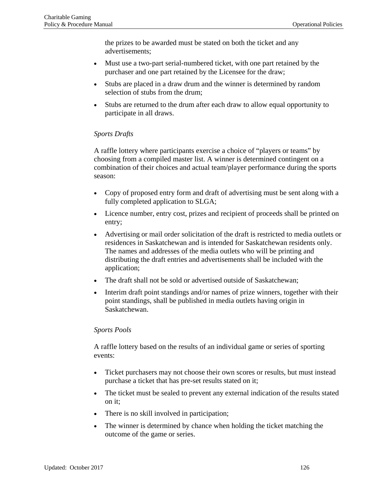the prizes to be awarded must be stated on both the ticket and any advertisements;

- Must use a two-part serial-numbered ticket, with one part retained by the purchaser and one part retained by the Licensee for the draw;
- Stubs are placed in a draw drum and the winner is determined by random selection of stubs from the drum;
- Stubs are returned to the drum after each draw to allow equal opportunity to participate in all draws.

# *Sports Drafts*

A raffle lottery where participants exercise a choice of "players or teams" by choosing from a compiled master list. A winner is determined contingent on a combination of their choices and actual team/player performance during the sports season:

- Copy of proposed entry form and draft of advertising must be sent along with a fully completed application to SLGA;
- Licence number, entry cost, prizes and recipient of proceeds shall be printed on entry;
- Advertising or mail order solicitation of the draft is restricted to media outlets or residences in Saskatchewan and is intended for Saskatchewan residents only. The names and addresses of the media outlets who will be printing and distributing the draft entries and advertisements shall be included with the application;
- The draft shall not be sold or advertised outside of Saskatchewan;
- Interim draft point standings and/or names of prize winners, together with their point standings, shall be published in media outlets having origin in Saskatchewan.

# *Sports Pools*

A raffle lottery based on the results of an individual game or series of sporting events:

- Ticket purchasers may not choose their own scores or results, but must instead purchase a ticket that has pre-set results stated on it;
- The ticket must be sealed to prevent any external indication of the results stated on it;
- There is no skill involved in participation;
- The winner is determined by chance when holding the ticket matching the outcome of the game or series.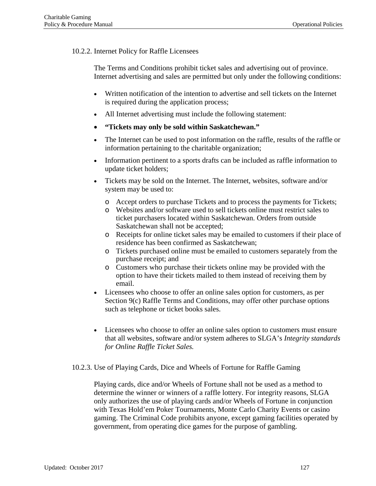# 10.2.2. Internet Policy for Raffle Licensees

The Terms and Conditions prohibit ticket sales and advertising out of province. Internet advertising and sales are permitted but only under the following conditions:

- Written notification of the intention to advertise and sell tickets on the Internet is required during the application process;
- All Internet advertising must include the following statement:
- **"Tickets may only be sold within Saskatchewan."**
- The Internet can be used to post information on the raffle, results of the raffle or information pertaining to the charitable organization;
- Information pertinent to a sports drafts can be included as raffle information to update ticket holders;
- Tickets may be sold on the Internet. The Internet, websites, software and/or system may be used to:
	- o Accept orders to purchase Tickets and to process the payments for Tickets;
	- o Websites and/or software used to sell tickets online must restrict sales to ticket purchasers located within Saskatchewan. Orders from outside Saskatchewan shall not be accepted;
	- o Receipts for online ticket sales may be emailed to customers if their place of residence has been confirmed as Saskatchewan;
	- o Tickets purchased online must be emailed to customers separately from the purchase receipt; and
	- o Customers who purchase their tickets online may be provided with the option to have their tickets mailed to them instead of receiving them by email.
- Licensees who choose to offer an online sales option for customers, as per Section 9(c) Raffle Terms and Conditions, may offer other purchase options such as telephone or ticket books sales.
- Licensees who choose to offer an online sales option to customers must ensure that all websites, software and/or system adheres to SLGA's *Integrity standards for Online Raffle Ticket Sales.*
- 10.2.3. Use of Playing Cards, Dice and Wheels of Fortune for Raffle Gaming

Playing cards, dice and/or Wheels of Fortune shall not be used as a method to determine the winner or winners of a raffle lottery. For integrity reasons, SLGA only authorizes the use of playing cards and/or Wheels of Fortune in conjunction with Texas Hold'em Poker Tournaments, Monte Carlo Charity Events or casino gaming. The Criminal Code prohibits anyone, except gaming facilities operated by government, from operating dice games for the purpose of gambling.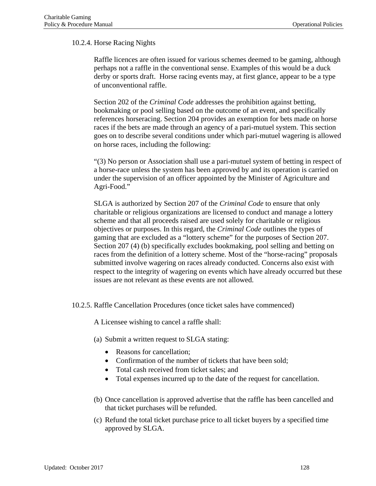# 10.2.4. Horse Racing Nights

Raffle licences are often issued for various schemes deemed to be gaming, although perhaps not a raffle in the conventional sense. Examples of this would be a duck derby or sports draft. Horse racing events may, at first glance, appear to be a type of unconventional raffle.

Section 202 of the *Criminal Code* addresses the prohibition against betting, bookmaking or pool selling based on the outcome of an event, and specifically references horseracing. Section 204 provides an exemption for bets made on horse races if the bets are made through an agency of a pari-mutuel system. This section goes on to describe several conditions under which pari-mutuel wagering is allowed on horse races, including the following:

"(3) No person or Association shall use a pari-mutuel system of betting in respect of a horse-race unless the system has been approved by and its operation is carried on under the supervision of an officer appointed by the Minister of Agriculture and Agri-Food."

SLGA is authorized by Section 207 of the *Criminal Code* to ensure that only charitable or religious organizations are licensed to conduct and manage a lottery scheme and that all proceeds raised are used solely for charitable or religious objectives or purposes. In this regard, the *Criminal Code* outlines the types of gaming that are excluded as a "lottery scheme" for the purposes of Section 207. Section 207 (4) (b) specifically excludes bookmaking, pool selling and betting on races from the definition of a lottery scheme. Most of the "horse-racing" proposals submitted involve wagering on races already conducted. Concerns also exist with respect to the integrity of wagering on events which have already occurred but these issues are not relevant as these events are not allowed.

10.2.5. Raffle Cancellation Procedures (once ticket sales have commenced)

A Licensee wishing to cancel a raffle shall:

- (a) Submit a written request to SLGA stating:
	- Reasons for cancellation;
	- Confirmation of the number of tickets that have been sold;
	- Total cash received from ticket sales; and
	- Total expenses incurred up to the date of the request for cancellation.
- (b) Once cancellation is approved advertise that the raffle has been cancelled and that ticket purchases will be refunded.
- (c) Refund the total ticket purchase price to all ticket buyers by a specified time approved by SLGA.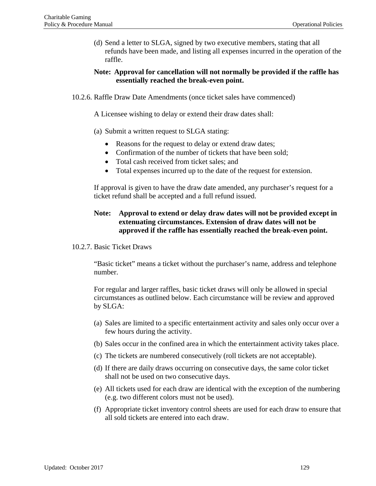(d) Send a letter to SLGA, signed by two executive members, stating that all refunds have been made, and listing all expenses incurred in the operation of the raffle.

### **Note: Approval for cancellation will not normally be provided if the raffle has essentially reached the break-even point.**

10.2.6. Raffle Draw Date Amendments (once ticket sales have commenced)

A Licensee wishing to delay or extend their draw dates shall:

- (a) Submit a written request to SLGA stating:
	- Reasons for the request to delay or extend draw dates;
	- Confirmation of the number of tickets that have been sold:
	- Total cash received from ticket sales; and
	- Total expenses incurred up to the date of the request for extension.

If approval is given to have the draw date amended, any purchaser's request for a ticket refund shall be accepted and a full refund issued.

# **Note: Approval to extend or delay draw dates will not be provided except in extenuating circumstances. Extension of draw dates will not be approved if the raffle has essentially reached the break-even point.**

#### 10.2.7. Basic Ticket Draws

"Basic ticket" means a ticket without the purchaser's name, address and telephone number.

For regular and larger raffles, basic ticket draws will only be allowed in special circumstances as outlined below. Each circumstance will be review and approved by SLGA:

- (a) Sales are limited to a specific entertainment activity and sales only occur over a few hours during the activity.
- (b) Sales occur in the confined area in which the entertainment activity takes place.
- (c) The tickets are numbered consecutively (roll tickets are not acceptable).
- (d) If there are daily draws occurring on consecutive days, the same color ticket shall not be used on two consecutive days.
- (e) All tickets used for each draw are identical with the exception of the numbering (e.g. two different colors must not be used).
- (f) Appropriate ticket inventory control sheets are used for each draw to ensure that all sold tickets are entered into each draw.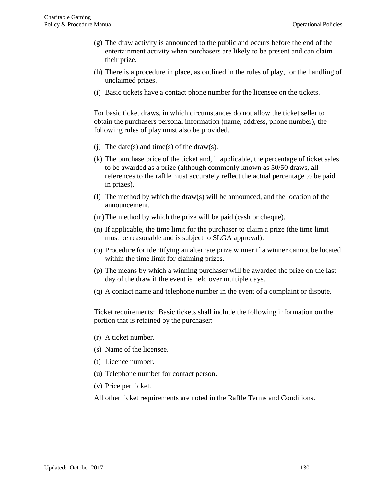- (g) The draw activity is announced to the public and occurs before the end of the entertainment activity when purchasers are likely to be present and can claim their prize.
- (h) There is a procedure in place, as outlined in the rules of play, for the handling of unclaimed prizes.
- (i) Basic tickets have a contact phone number for the licensee on the tickets.

For basic ticket draws, in which circumstances do not allow the ticket seller to obtain the purchasers personal information (name, address, phone number), the following rules of play must also be provided.

- (i) The date(s) and time(s) of the draw(s).
- (k) The purchase price of the ticket and, if applicable, the percentage of ticket sales to be awarded as a prize (although commonly known as 50/50 draws, all references to the raffle must accurately reflect the actual percentage to be paid in prizes).
- (l) The method by which the draw(s) will be announced, and the location of the announcement.
- (m)The method by which the prize will be paid (cash or cheque).
- (n) If applicable, the time limit for the purchaser to claim a prize (the time limit must be reasonable and is subject to SLGA approval).
- (o) Procedure for identifying an alternate prize winner if a winner cannot be located within the time limit for claiming prizes.
- (p) The means by which a winning purchaser will be awarded the prize on the last day of the draw if the event is held over multiple days.
- (q) A contact name and telephone number in the event of a complaint or dispute.

Ticket requirements: Basic tickets shall include the following information on the portion that is retained by the purchaser:

- (r) A ticket number.
- (s) Name of the licensee.
- (t) Licence number.
- (u) Telephone number for contact person.
- (v) Price per ticket.

All other ticket requirements are noted in the Raffle Terms and Conditions.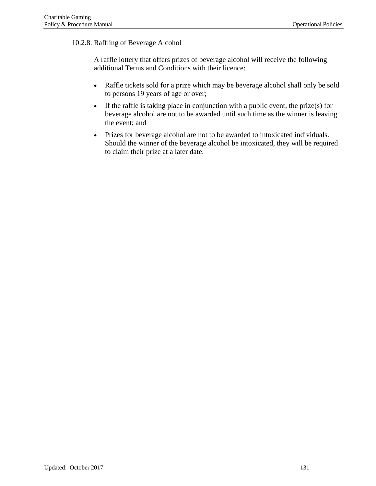# 10.2.8. Raffling of Beverage Alcohol

A raffle lottery that offers prizes of beverage alcohol will receive the following additional Terms and Conditions with their licence:

- Raffle tickets sold for a prize which may be beverage alcohol shall only be sold to persons 19 years of age or over;
- If the raffle is taking place in conjunction with a public event, the prize(s) for beverage alcohol are not to be awarded until such time as the winner is leaving the event; and
- Prizes for beverage alcohol are not to be awarded to intoxicated individuals. Should the winner of the beverage alcohol be intoxicated, they will be required to claim their prize at a later date.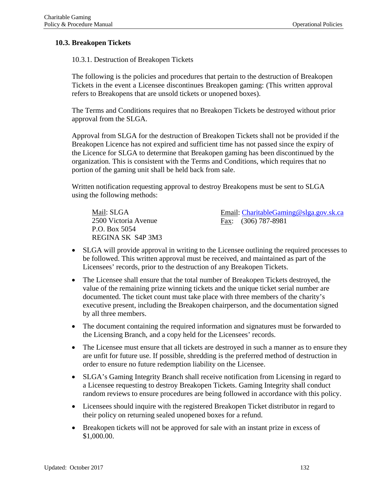### **10.3. Breakopen Tickets**

10.3.1. Destruction of Breakopen Tickets

The following is the policies and procedures that pertain to the destruction of Breakopen Tickets in the event a Licensee discontinues Breakopen gaming: (This written approval refers to Breakopens that are unsold tickets or unopened boxes).

The Terms and Conditions requires that no Breakopen Tickets be destroyed without prior approval from the SLGA.

Approval from SLGA for the destruction of Breakopen Tickets shall not be provided if the Breakopen Licence has not expired and sufficient time has not passed since the expiry of the Licence for SLGA to determine that Breakopen gaming has been discontinued by the organization. This is consistent with the Terms and Conditions, which requires that no portion of the gaming unit shall be held back from sale.

Written notification requesting approval to destroy Breakopens must be sent to SLGA using the following methods:

Mail: SLGA 2500 Victoria Avenue P.O. Box 5054 REGINA SK S4P 3M3

Email: [CharitableGaming@slga.gov.sk.ca](mailto:CharitableGaming@slga.gov.sk.ca) Fax: (306) 787-8981

- SLGA will provide approval in writing to the Licensee outlining the required processes to be followed. This written approval must be received, and maintained as part of the Licensees' records, prior to the destruction of any Breakopen Tickets.
- The Licensee shall ensure that the total number of Breakopen Tickets destroyed, the value of the remaining prize winning tickets and the unique ticket serial number are documented. The ticket count must take place with three members of the charity's executive present, including the Breakopen chairperson, and the documentation signed by all three members.
- The document containing the required information and signatures must be forwarded to the Licensing Branch, and a copy held for the Licensees' records.
- The Licensee must ensure that all tickets are destroyed in such a manner as to ensure they are unfit for future use. If possible, shredding is the preferred method of destruction in order to ensure no future redemption liability on the Licensee.
- SLGA's Gaming Integrity Branch shall receive notification from Licensing in regard to a Licensee requesting to destroy Breakopen Tickets. Gaming Integrity shall conduct random reviews to ensure procedures are being followed in accordance with this policy.
- Licensees should inquire with the registered Breakopen Ticket distributor in regard to their policy on returning sealed unopened boxes for a refund.
- Breakopen tickets will not be approved for sale with an instant prize in excess of \$1,000.00.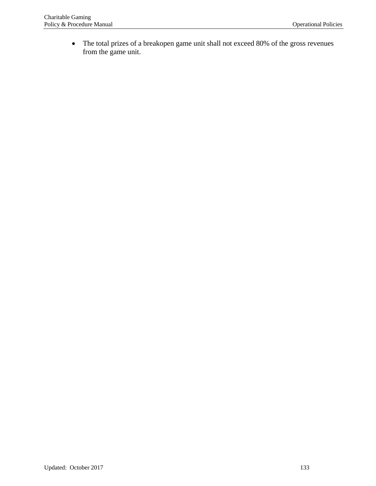• The total prizes of a breakopen game unit shall not exceed 80% of the gross revenues from the game unit.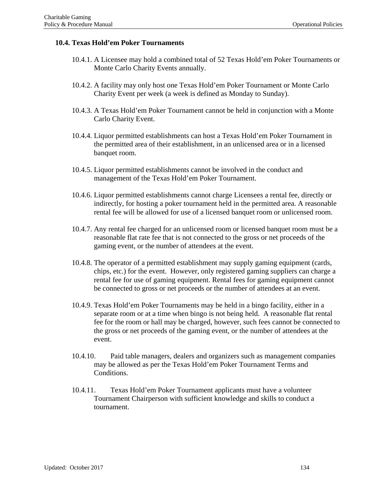### **10.4. Texas Hold'em Poker Tournaments**

- 10.4.1. A Licensee may hold a combined total of 52 Texas Hold'em Poker Tournaments or Monte Carlo Charity Events annually.
- 10.4.2. A facility may only host one Texas Hold'em Poker Tournament or Monte Carlo Charity Event per week (a week is defined as Monday to Sunday).
- 10.4.3. A Texas Hold'em Poker Tournament cannot be held in conjunction with a Monte Carlo Charity Event.
- 10.4.4. Liquor permitted establishments can host a Texas Hold'em Poker Tournament in the permitted area of their establishment, in an unlicensed area or in a licensed banquet room.
- 10.4.5. Liquor permitted establishments cannot be involved in the conduct and management of the Texas Hold'em Poker Tournament.
- 10.4.6. Liquor permitted establishments cannot charge Licensees a rental fee, directly or indirectly, for hosting a poker tournament held in the permitted area. A reasonable rental fee will be allowed for use of a licensed banquet room or unlicensed room.
- 10.4.7. Any rental fee charged for an unlicensed room or licensed banquet room must be a reasonable flat rate fee that is not connected to the gross or net proceeds of the gaming event, or the number of attendees at the event.
- 10.4.8. The operator of a permitted establishment may supply gaming equipment (cards, chips, etc.) for the event. However, only registered gaming suppliers can charge a rental fee for use of gaming equipment. Rental fees for gaming equipment cannot be connected to gross or net proceeds or the number of attendees at an event.
- 10.4.9. Texas Hold'em Poker Tournaments may be held in a bingo facility, either in a separate room or at a time when bingo is not being held. A reasonable flat rental fee for the room or hall may be charged, however, such fees cannot be connected to the gross or net proceeds of the gaming event, or the number of attendees at the event.
- 10.4.10. Paid table managers, dealers and organizers such as management companies may be allowed as per the Texas Hold'em Poker Tournament Terms and Conditions.
- 10.4.11. Texas Hold'em Poker Tournament applicants must have a volunteer Tournament Chairperson with sufficient knowledge and skills to conduct a tournament.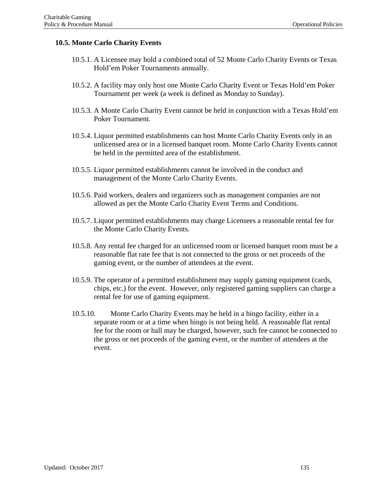# **10.5. Monte Carlo Charity Events**

- 10.5.1. A Licensee may hold a combined total of 52 Monte Carlo Charity Events or Texas Hold'em Poker Tournaments annually.
- 10.5.2. A facility may only host one Monte Carlo Charity Event or Texas Hold'em Poker Tournament per week (a week is defined as Monday to Sunday).
- 10.5.3. A Monte Carlo Charity Event cannot be held in conjunction with a Texas Hold'em Poker Tournament.
- 10.5.4. Liquor permitted establishments can host Monte Carlo Charity Events only in an unlicensed area or in a licensed banquet room. Monte Carlo Charity Events cannot be held in the permitted area of the establishment.
- 10.5.5. Liquor permitted establishments cannot be involved in the conduct and management of the Monte Carlo Charity Events.
- 10.5.6. Paid workers, dealers and organizers such as management companies are not allowed as per the Monte Carlo Charity Event Terms and Conditions.
- 10.5.7. Liquor permitted establishments may charge Licensees a reasonable rental fee for the Monte Carlo Charity Events.
- 10.5.8. Any rental fee charged for an unlicensed room or licensed banquet room must be a reasonable flat rate fee that is not connected to the gross or net proceeds of the gaming event, or the number of attendees at the event.
- 10.5.9. The operator of a permitted establishment may supply gaming equipment (cards, chips, etc.) for the event. However, only registered gaming suppliers can charge a rental fee for use of gaming equipment.
- 10.5.10. Monte Carlo Charity Events may be held in a bingo facility, either in a separate room or at a time when bingo is not being held. A reasonable flat rental fee for the room or hall may be charged, however, such fee cannot be connected to the gross or net proceeds of the gaming event, or the number of attendees at the event.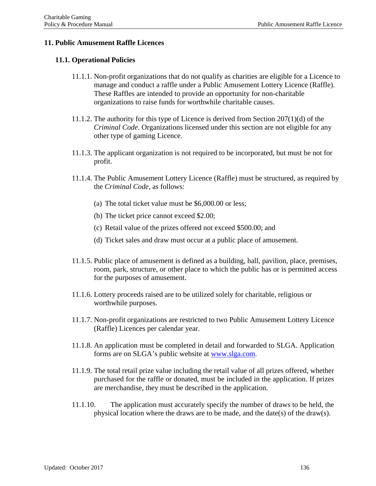### **11. Public Amusement Raffle Licences**

### **11.1. Operational Policies**

- 11.1.1. Non-profit organizations that do not qualify as charities are eligible for a Licence to manage and conduct a raffle under a Public Amusement Lottery Licence (Raffle). These Raffles are intended to provide an opportunity for non-charitable organizations to raise funds for worthwhile charitable causes.
- 11.1.2. The authority for this type of Licence is derived from Section 207(1)(d) of the *Criminal Code*. Organizations licensed under this section are not eligible for any other type of gaming Licence.
- 11.1.3. The applicant organization is not required to be incorporated, but must be not for profit.
- 11.1.4. The Public Amusement Lottery Licence (Raffle) must be structured, as required by the *Criminal Code*, as follows:
	- (a) The total ticket value must be \$6,000.00 or less;
	- (b) The ticket price cannot exceed \$2.00;
	- (c) Retail value of the prizes offered not exceed \$500.00; and
	- (d) Ticket sales and draw must occur at a public place of amusement.
- 11.1.5. Public place of amusement is defined as a building, hall, pavilion, place, premises, room, park, structure, or other place to which the public has or is permitted access for the purposes of amusement.
- 11.1.6. Lottery proceeds raised are to be utilized solely for charitable, religious or worthwhile purposes.
- 11.1.7. Non-profit organizations are restricted to two Public Amusement Lottery Licence (Raffle) Licences per calendar year.
- 11.1.8. An application must be completed in detail and forwarded to SLGA. Application forms are on SLGA's public website at [www.slga.com.](http://www.slga.com/)
- 11.1.9. The total retail prize value including the retail value of all prizes offered, whether purchased for the raffle or donated, must be included in the application. If prizes are merchandise, they must be described in the application.
- 11.1.10. The application must accurately specify the number of draws to be held, the physical location where the draws are to be made, and the date(s) of the draw(s).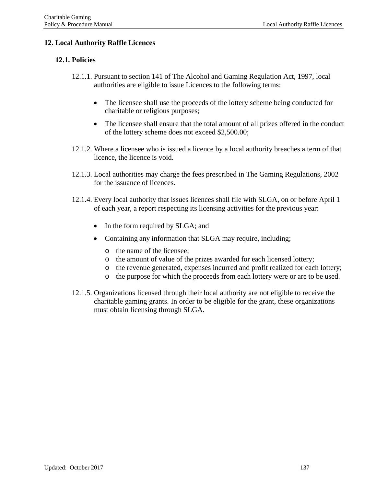# **12. Local Authority Raffle Licences**

## **12.1. Policies**

- 12.1.1. Pursuant to section 141 of The Alcohol and Gaming Regulation Act, 1997, local authorities are eligible to issue Licences to the following terms:
	- The licensee shall use the proceeds of the lottery scheme being conducted for charitable or religious purposes;
	- The licensee shall ensure that the total amount of all prizes offered in the conduct of the lottery scheme does not exceed \$2,500.00;
- 12.1.2. Where a licensee who is issued a licence by a local authority breaches a term of that licence, the licence is void.
- 12.1.3. Local authorities may charge the fees prescribed in The Gaming Regulations, 2002 for the issuance of licences.
- 12.1.4. Every local authority that issues licences shall file with SLGA, on or before April 1 of each year, a report respecting its licensing activities for the previous year:
	- In the form required by SLGA; and
	- Containing any information that SLGA may require, including;
		- o the name of the licensee;
		- o the amount of value of the prizes awarded for each licensed lottery;
		- o the revenue generated, expenses incurred and profit realized for each lottery;
		- o the purpose for which the proceeds from each lottery were or are to be used.
- 12.1.5. Organizations licensed through their local authority are not eligible to receive the charitable gaming grants. In order to be eligible for the grant, these organizations must obtain licensing through SLGA.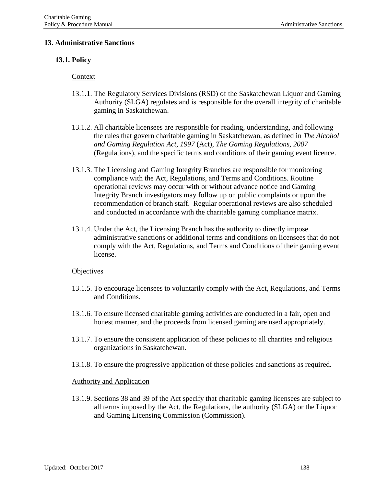### **13. Administrative Sanctions**

### **13.1. Policy**

#### Context

- 13.1.1. The Regulatory Services Divisions (RSD) of the Saskatchewan Liquor and Gaming Authority (SLGA) regulates and is responsible for the overall integrity of charitable gaming in Saskatchewan.
- 13.1.2. All charitable licensees are responsible for reading, understanding, and following the rules that govern charitable gaming in Saskatchewan, as defined in *The Alcohol and Gaming Regulation Act, 1997* (Act), *The Gaming Regulations, 2007* (Regulations), and the specific terms and conditions of their gaming event licence.
- 13.1.3. The Licensing and Gaming Integrity Branches are responsible for monitoring compliance with the Act, Regulations, and Terms and Conditions. Routine operational reviews may occur with or without advance notice and Gaming Integrity Branch investigators may follow up on public complaints or upon the recommendation of branch staff. Regular operational reviews are also scheduled and conducted in accordance with the charitable gaming compliance matrix.
- 13.1.4. Under the Act, the Licensing Branch has the authority to directly impose administrative sanctions or additional terms and conditions on licensees that do not comply with the Act, Regulations, and Terms and Conditions of their gaming event license.

#### **Objectives**

- 13.1.5. To encourage licensees to voluntarily comply with the Act, Regulations, and Terms and Conditions.
- 13.1.6. To ensure licensed charitable gaming activities are conducted in a fair, open and honest manner, and the proceeds from licensed gaming are used appropriately.
- 13.1.7. To ensure the consistent application of these policies to all charities and religious organizations in Saskatchewan.
- 13.1.8. To ensure the progressive application of these policies and sanctions as required.

#### Authority and Application

13.1.9. Sections 38 and 39 of the Act specify that charitable gaming licensees are subject to all terms imposed by the Act, the Regulations, the authority (SLGA) or the Liquor and Gaming Licensing Commission (Commission).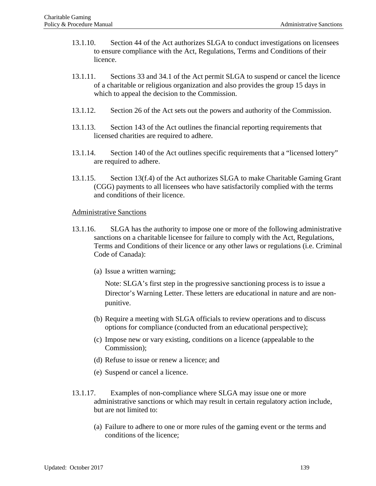- 13.1.10. Section 44 of the Act authorizes SLGA to conduct investigations on licensees to ensure compliance with the Act, Regulations, Terms and Conditions of their licence.
- 13.1.11. Sections 33 and 34.1 of the Act permit SLGA to suspend or cancel the licence of a charitable or religious organization and also provides the group 15 days in which to appeal the decision to the Commission.
- 13.1.12. Section 26 of the Act sets out the powers and authority of the Commission.
- 13.1.13. Section 143 of the Act outlines the financial reporting requirements that licensed charities are required to adhere.
- 13.1.14. Section 140 of the Act outlines specific requirements that a "licensed lottery" are required to adhere.
- 13.1.15. Section 13(f.4) of the Act authorizes SLGA to make Charitable Gaming Grant (CGG) payments to all licensees who have satisfactorily complied with the terms and conditions of their licence.

#### Administrative Sanctions

- 13.1.16. SLGA has the authority to impose one or more of the following administrative sanctions on a charitable licensee for failure to comply with the Act, Regulations, Terms and Conditions of their licence or any other laws or regulations (i.e. Criminal Code of Canada):
	- (a) Issue a written warning;

Note: SLGA's first step in the progressive sanctioning process is to issue a Director's Warning Letter. These letters are educational in nature and are nonpunitive.

- (b) Require a meeting with SLGA officials to review operations and to discuss options for compliance (conducted from an educational perspective);
- (c) Impose new or vary existing, conditions on a licence (appealable to the Commission);
- (d) Refuse to issue or renew a licence; and
- (e) Suspend or cancel a licence.
- 13.1.17. Examples of non-compliance where SLGA may issue one or more administrative sanctions or which may result in certain regulatory action include, but are not limited to:
	- (a) Failure to adhere to one or more rules of the gaming event or the terms and conditions of the licence;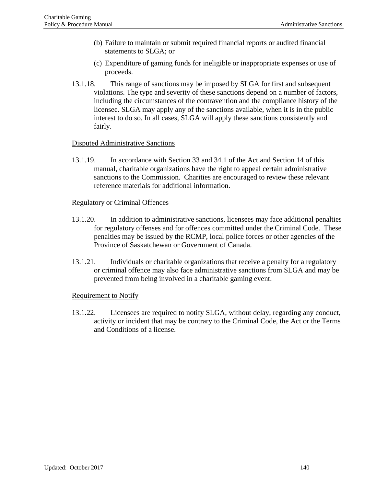- (b) Failure to maintain or submit required financial reports or audited financial statements to SLGA; or
- (c) Expenditure of gaming funds for ineligible or inappropriate expenses or use of proceeds.
- 13.1.18. This range of sanctions may be imposed by SLGA for first and subsequent violations. The type and severity of these sanctions depend on a number of factors, including the circumstances of the contravention and the compliance history of the licensee. SLGA may apply any of the sanctions available, when it is in the public interest to do so. In all cases, SLGA will apply these sanctions consistently and fairly.

# Disputed Administrative Sanctions

13.1.19. In accordance with Section 33 and 34.1 of the Act and Section 14 of this manual, charitable organizations have the right to appeal certain administrative sanctions to the Commission. Charities are encouraged to review these relevant reference materials for additional information.

### Regulatory or Criminal Offences

- 13.1.20. In addition to administrative sanctions, licensees may face additional penalties for regulatory offenses and for offences committed under the Criminal Code. These penalties may be issued by the RCMP, local police forces or other agencies of the Province of Saskatchewan or Government of Canada.
- 13.1.21. Individuals or charitable organizations that receive a penalty for a regulatory or criminal offence may also face administrative sanctions from SLGA and may be prevented from being involved in a charitable gaming event.

### Requirement to Notify

13.1.22. Licensees are required to notify SLGA, without delay, regarding any conduct, activity or incident that may be contrary to the Criminal Code, the Act or the Terms and Conditions of a license.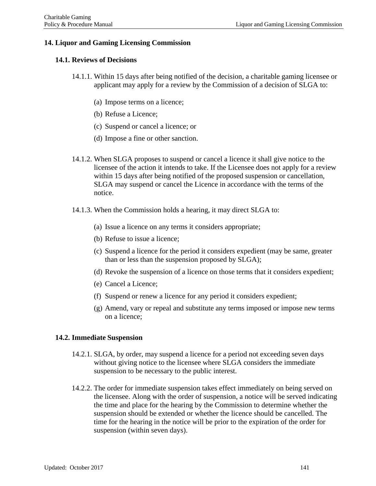# **14. Liquor and Gaming Licensing Commission**

## **14.1. Reviews of Decisions**

- 14.1.1. Within 15 days after being notified of the decision, a charitable gaming licensee or applicant may apply for a review by the Commission of a decision of SLGA to:
	- (a) Impose terms on a licence;
	- (b) Refuse a Licence;
	- (c) Suspend or cancel a licence; or
	- (d) Impose a fine or other sanction.
- 14.1.2. When SLGA proposes to suspend or cancel a licence it shall give notice to the licensee of the action it intends to take. If the Licensee does not apply for a review within 15 days after being notified of the proposed suspension or cancellation, SLGA may suspend or cancel the Licence in accordance with the terms of the notice.
- 14.1.3. When the Commission holds a hearing, it may direct SLGA to:
	- (a) Issue a licence on any terms it considers appropriate;
	- (b) Refuse to issue a licence;
	- (c) Suspend a licence for the period it considers expedient (may be same, greater than or less than the suspension proposed by SLGA);
	- (d) Revoke the suspension of a licence on those terms that it considers expedient;
	- (e) Cancel a Licence;
	- (f) Suspend or renew a licence for any period it considers expedient;
	- (g) Amend, vary or repeal and substitute any terms imposed or impose new terms on a licence;

### **14.2. Immediate Suspension**

- 14.2.1. SLGA, by order, may suspend a licence for a period not exceeding seven days without giving notice to the licensee where SLGA considers the immediate suspension to be necessary to the public interest.
- 14.2.2. The order for immediate suspension takes effect immediately on being served on the licensee. Along with the order of suspension, a notice will be served indicating the time and place for the hearing by the Commission to determine whether the suspension should be extended or whether the licence should be cancelled. The time for the hearing in the notice will be prior to the expiration of the order for suspension (within seven days).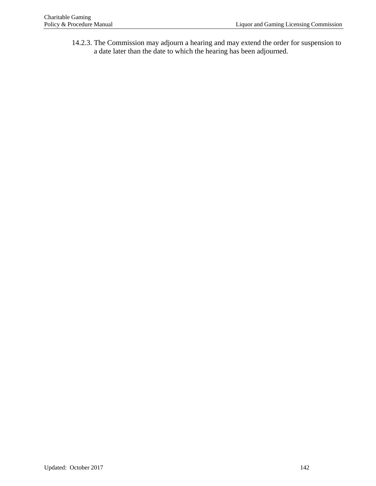14.2.3. The Commission may adjourn a hearing and may extend the order for suspension to a date later than the date to which the hearing has been adjourned.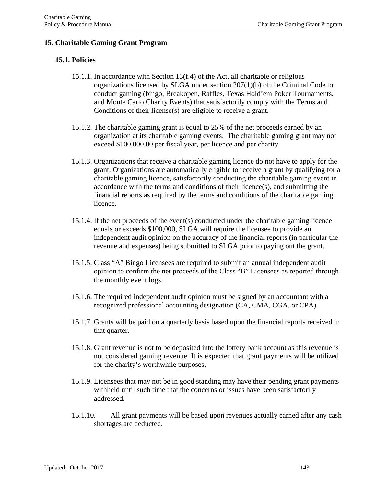# **15. Charitable Gaming Grant Program**

### **15.1. Policies**

- 15.1.1. In accordance with Section 13(f.4) of the Act, all charitable or religious organizations licensed by SLGA under section 207(1)(b) of the Criminal Code to conduct gaming (bingo, Breakopen, Raffles, Texas Hold'em Poker Tournaments, and Monte Carlo Charity Events) that satisfactorily comply with the Terms and Conditions of their license(s) are eligible to receive a grant.
- 15.1.2. The charitable gaming grant is equal to 25% of the net proceeds earned by an organization at its charitable gaming events. The charitable gaming grant may not exceed \$100,000.00 per fiscal year, per licence and per charity.
- 15.1.3. Organizations that receive a charitable gaming licence do not have to apply for the grant. Organizations are automatically eligible to receive a grant by qualifying for a charitable gaming licence, satisfactorily conducting the charitable gaming event in accordance with the terms and conditions of their licence(s), and submitting the financial reports as required by the terms and conditions of the charitable gaming licence.
- 15.1.4. If the net proceeds of the event(s) conducted under the charitable gaming licence equals or exceeds \$100,000, SLGA will require the licensee to provide an independent audit opinion on the accuracy of the financial reports (in particular the revenue and expenses) being submitted to SLGA prior to paying out the grant.
- 15.1.5. Class "A" Bingo Licensees are required to submit an annual independent audit opinion to confirm the net proceeds of the Class "B" Licensees as reported through the monthly event logs.
- 15.1.6. The required independent audit opinion must be signed by an accountant with a recognized professional accounting designation (CA, CMA, CGA, or CPA).
- 15.1.7. Grants will be paid on a quarterly basis based upon the financial reports received in that quarter.
- 15.1.8. Grant revenue is not to be deposited into the lottery bank account as this revenue is not considered gaming revenue. It is expected that grant payments will be utilized for the charity's worthwhile purposes.
- 15.1.9. Licensees that may not be in good standing may have their pending grant payments withheld until such time that the concerns or issues have been satisfactorily addressed.
- 15.1.10. All grant payments will be based upon revenues actually earned after any cash shortages are deducted.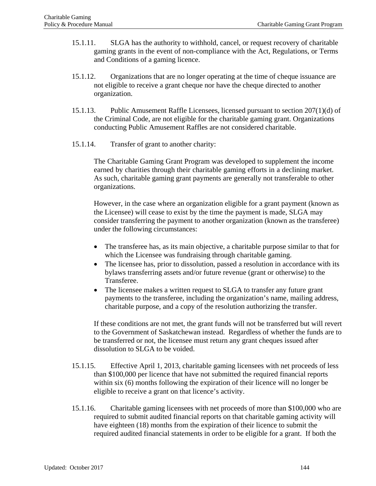- 15.1.11. SLGA has the authority to withhold, cancel, or request recovery of charitable gaming grants in the event of non-compliance with the Act, Regulations, or Terms and Conditions of a gaming licence.
- 15.1.12. Organizations that are no longer operating at the time of cheque issuance are not eligible to receive a grant cheque nor have the cheque directed to another organization.
- 15.1.13. Public Amusement Raffle Licensees, licensed pursuant to section 207(1)(d) of the Criminal Code, are not eligible for the charitable gaming grant. Organizations conducting Public Amusement Raffles are not considered charitable.
- 15.1.14. Transfer of grant to another charity:

The Charitable Gaming Grant Program was developed to supplement the income earned by charities through their charitable gaming efforts in a declining market. As such, charitable gaming grant payments are generally not transferable to other organizations.

However, in the case where an organization eligible for a grant payment (known as the Licensee) will cease to exist by the time the payment is made, SLGA may consider transferring the payment to another organization (known as the transferee) under the following circumstances:

- The transferee has, as its main objective, a charitable purpose similar to that for which the Licensee was fundraising through charitable gaming.
- The licensee has, prior to dissolution, passed a resolution in accordance with its bylaws transferring assets and/or future revenue (grant or otherwise) to the Transferee.
- The licensee makes a written request to SLGA to transfer any future grant payments to the transferee, including the organization's name, mailing address, charitable purpose, and a copy of the resolution authorizing the transfer.

If these conditions are not met, the grant funds will not be transferred but will revert to the Government of Saskatchewan instead. Regardless of whether the funds are to be transferred or not, the licensee must return any grant cheques issued after dissolution to SLGA to be voided.

- 15.1.15. Effective April 1, 2013, charitable gaming licensees with net proceeds of less than \$100,000 per licence that have not submitted the required financial reports within six (6) months following the expiration of their licence will no longer be eligible to receive a grant on that licence's activity.
- 15.1.16. Charitable gaming licensees with net proceeds of more than \$100,000 who are required to submit audited financial reports on that charitable gaming activity will have eighteen (18) months from the expiration of their licence to submit the required audited financial statements in order to be eligible for a grant. If both the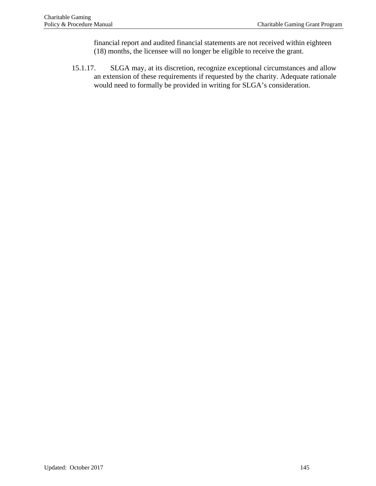financial report and audited financial statements are not received within eighteen (18) months, the licensee will no longer be eligible to receive the grant.

15.1.17. SLGA may, at its discretion, recognize exceptional circumstances and allow an extension of these requirements if requested by the charity. Adequate rationale would need to formally be provided in writing for SLGA's consideration.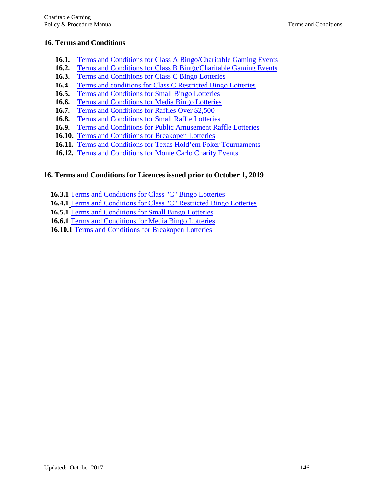### **16. Terms and Conditions**

- **16.1.** Terms [and Conditions for](https://www.slga.com/-/media/slga/files/permits%20and%20licences/charitable%20gaming/bingo/class%20a%20bingo%20-%20charitable%20gaming%20event%20terms%20and%20conditions%20-%20april%202016.pdf?la=en) Class A Bingo/Charitable Gaming Events
- **16.2.** Terms and Conditions for Class B [Bingo/Charitable](https://www.slga.com/-/media/slga/files/permits%20and%20licences/charitable%20gaming/bingo/class%20b%20bingo%20-%20charitable%20gaming%20event%20terms%20and%20conditions%20-%20april%202016.pdf?la=en) Gaming Events
- **16.3.** Terms and [Conditions for](https://www.slga.com/-/media/slga/files/permits%20and%20licences/charitable%20gaming/bingo/class%20c%20bingo%20terms%20and%20conditions%20-%20october%202019.pdf?la=en) Class C Bingo Lotteries
- **16.4.** Terms and conditions for Class C [Restricted Bingo Lotteries](https://www.slga.com/-/media/slga/files/permits%20and%20licences/charitable%20gaming/bingo/class%20c%20restricted%20bingo%20terms%20and%20conditions%20-%20october%202019.pdf?la=en)
- **16.5.** Terms and [Conditions](https://www.slga.com/-/media/slga/files/permits%20and%20licences/charitable%20gaming/bingo/small%20bingo%20terms%20and%20conditions%20-%20october%202019.pdf?la=en) for Small Bingo Lotteries
- **16.6.** Terms and Conditions for [Media Bingo](https://www.slga.com/-/media/slga/files/permits%20and%20licences/charitable%20gaming/bingo/media%20bingo%20terms%20and%20conditions%20-%20october%202019.pdf?la=en) Lotteries
- **16.7.** Terms and [Conditions](https://www.slga.com/-/media/slga/files/permits%20and%20licences/charitable%20gaming/raffles/raffle%20terms%20%20conditions.pdf?la=en) for Raffles Over \$2,500
- **16.8.** Terms and Conditions for Small [Raffle Lotteries](https://www.slga.com/-/media/slga/files/permits%20and%20licences/charitable%20gaming/raffles/small%20raffle%20terms%20and%20conditions.pdf?la=en)
- **16.9.** Terms and Conditions for Public Amusement [Raffle Lotteries](https://www.slga.com/-/media/slga/files/permits%20and%20licences/charitable%20gaming/raffles/public%20amusement%20raffle%20terms%20and%20conditions%20-%20april%202016.pdf?la=en)
- **16.10.** Terms [and Conditions](https://www.slga.com/-/media/slga/files/permits%20and%20licences/charitable%20gaming/breakopen/breakopen%20terms%20and%20conditions%20-%20october%202019.pdf?la=en) for Breakopen Lotteries
- **16.11.** Terms and Conditions for [Texas Hold'em Poker](https://www.slga.com/-/media/slga/files/permits%20and%20licences/charitable%20gaming/texas%20holdem/texas%20holdem%20poker%20tournament%20terms%20and%20conditions.pdf?la=en) Tournaments
- **16.12.** Terms and [Conditions](https://www.slga.com/-/media/slga/files/permits%20and%20licences/charitable%20gaming/monte%20carlo/monte%20carlo%20charity%20event%20terms%20and%20conditions%20-%20april%202016.pdf?la=en) for Monte Carlo Charity Events

## **16. Terms and Conditions for Licences issued prior to October 1, 2019**

**16.3.1** [Terms and Conditions for Class "C"](https://www.slga.com/-/media/slga/files/permits%20and%20licences/charitable%20gaming/bingo/2016/class%20c%20bingo%20event%20terms%20and%20conditions%20-%20april%202016.pdf?la=en) Bingo Lotteries

**16.4.1** [Terms and Conditions for Class "C"](https://www.slga.com/-/media/slga/files/permits%20and%20licences/charitable%20gaming/bingo/2016/class%20c%20restricted%20bingo%20terms%20and%20conditions%20-%20april%202016.pdf?la=en) Restricted Bingo Lotteries

16.5.1 Terms and [Conditions for Small](https://www.slga.com/-/media/slga/files/permits%20and%20licences/charitable%20gaming/bingo/2016/small%20bingo%20terms%20and%20conditions%20-%20april%202016.pdf?la=en) Bingo Lotteries

- **16.6.1** Terms and [Conditions for Media](https://www.slga.com/-/media/slga/files/permits%20and%20licences/charitable%20gaming/bingo/2016/media%20bingo%20terms%20and%20conditions%20-%20april%202016.pdf?la=en) Bingo Lotteries
- **16.10.1** [Terms and Conditions for Breakopen Lotteries](https://www.slga.com/-/media/slga/files/permits%20and%20licences/charitable%20gaming/breakopen/breakopen%20terms%20and%20conditions%20-%20april%202016.pdf?la=en)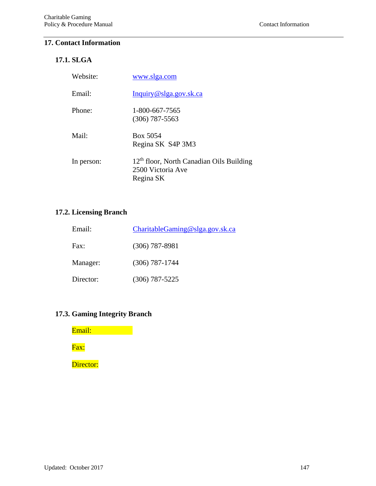#### **17. Contact Information**

# **17.1. SLGA**

| Website:   | www.slga.com                                                                 |
|------------|------------------------------------------------------------------------------|
| Email:     | Inquiry@slga.gov.sk.ca                                                       |
| Phone:     | 1-800-667-7565<br>$(306)$ 787-5563                                           |
| Mail:      | Box 5054<br>Regina SK S4P 3M3                                                |
| In person: | $12th$ floor, North Canadian Oils Building<br>2500 Victoria Ave<br>Regina SK |

## **17.2. Licensing Branch**

| Email:    | CharitableGamma@slga.gov.sk.ca |
|-----------|--------------------------------|
| Fax:      | $(306)$ 787-8981               |
| Manager:  | $(306)$ 787-1744               |
| Director: | $(306)$ 787-5225               |

# **17.3. Gaming Integrity Branch**

Email: **Email:** Fax:

Director: